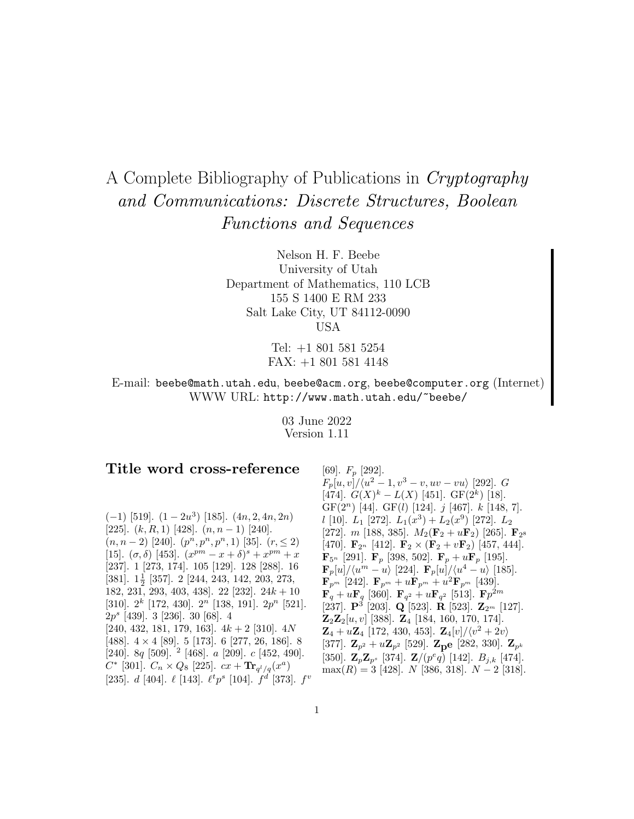# A Complete Bibliography of Publications in Cryptography and Communications: Discrete Structures, Boolean Functions and Sequences

Nelson H. F. Beebe University of Utah Department of Mathematics, 110 LCB 155 S 1400 E RM 233 Salt Lake City, UT 84112-0090 USA

> Tel: +1 801 581 5254 FAX: +1 801 581 4148

E-mail: beebe@math.utah.edu, beebe@acm.org, beebe@computer.org (Internet) WWW URL: http://www.math.utah.edu/~beebe/

> 03 June 2022 Version 1.11

# **Title word cross-reference**

 $(-1)$  [519].  $(1-2u^3)$  [185].  $(4n, 2, 4n, 2n)$ [225].  $(k, R, 1)$  [428].  $(n, n - 1)$  [240].  $(n, n-2)$  [240].  $(p^n, p^n, p^n, 1)$  [35].  $(r, \leq 2)$ [15].  $(\sigma, \delta)$  [453].  $(x^{pm} - x + \delta)^s + x^{pm} + x$ [237]. 1 [273, 174]. 105 [129]. 128 [288]. 16 [381].  $1\frac{1}{2}$  [357]. 2 [244, 243, 142, 203, 273, 182, 231, 293, 403, 438]. 22 [232].  $24k + 10$ [310].  $2^k$  [172, 430].  $2^n$  [138, 191].  $2p^n$  [521].  $2p^s$  [439]. 3 [236]. 30 [68]. 4 [240, 432, 181, 179, 163].  $4k + 2$  [310].  $4N$ [488]. 4 × 4 [89]. 5 [173]. 6 [277, 26, 186]. 8  $\left[ 240\right]$ . 8<br/>q $\left[ 509\right]$ .  $^{2}$   $\left[ 468\right]$ . <br/>  $a$   $\left[ 209\right]$ .  $c$ <br/> $\left[ 452,\,490\right]$ .  $C^*$  [301].  $C_n \times Q_8$  [225].  $cx + \mathbf{Tr}_{q^l/q}(x^a)$ [235].  $d$  [404].  $\ell$  [143].  $\ell^t p^s$  [104].  $f^d$  [373].  $f^v$ 

[69].  $F_p$  [292].  $F_p[u, v]/\langle u^2 - 1, v^3 - v, uv - vu \rangle$  [292]. G [474].  $G(X)^k - L(X)$  [451].  $GF(2^k)$  [18]. GF $(2^n)$  [44]. GF $(l)$  [124]. j [467]. k [148, 7]. l [10].  $L_1$  [272].  $L_1(x^3) + L_2(x^9)$  [272].  $L_2$ [272]. *m* [188, 385].  $M_2(\mathbf{F}_2 + u\mathbf{F}_2)$  [265].  $\mathbf{F}_{2^8}$ [470].  $\mathbf{F}_{2^n}$  [412].  $\mathbf{F}_2 \times (\mathbf{F}_2 + v \mathbf{F}_2)$  [457, 444]. **F**<sub>5</sub><sup>n</sup> [291]. **F**<sub>p</sub> [398, 502]. **F**<sub>p</sub> +  $u$ **F**<sub>p</sub> [195].  $\mathbf{F}_p[u]/\langle u^m - u \rangle$  [224].  $\mathbf{F}_p[u]/\langle u^4 - u \rangle$  [185].  $\mathbf{F}_{p^m}$  [242].  $\mathbf{F}_{p^m} + u\mathbf{F}_{p^m} + u^2\mathbf{F}_{p^m}$  [439].  ${\bf F}_q + u{\bf F}_q$  [360].  ${\bf F}_{q^2} + u{\bf F}_{q^2}$  [513].  ${\bf F}p^{2m}$ [237]. **P**<sup>3</sup> [203]. **Q** [523]. **R** [523]. **Z**2<sup>m</sup> [127]. **Z**2**Z**2[u, v] [388]. **Z**<sup>4</sup> [184, 160, 170, 174].  $\mathbf{Z}_4 + u\mathbf{Z}_4$  [172, 430, 453].  $\mathbf{Z}_4[v]/\langle v^2 + 2v \rangle$ [377].  $\mathbf{Z}_{p^2} + u\mathbf{Z}_{p^2}$  [529].  $\mathbf{Z}_{pe}$  [282, 330].  $\mathbf{Z}_{p^k}$ [350].  $\mathbf{Z}_p \mathbf{Z}_{p^s}$  [374].  $\mathbf{Z}/(p^e q)$  [142].  $B_{j,k}$  [474]. max $(R) = 3$  [428]. N [386, 318]. N – 2 [318].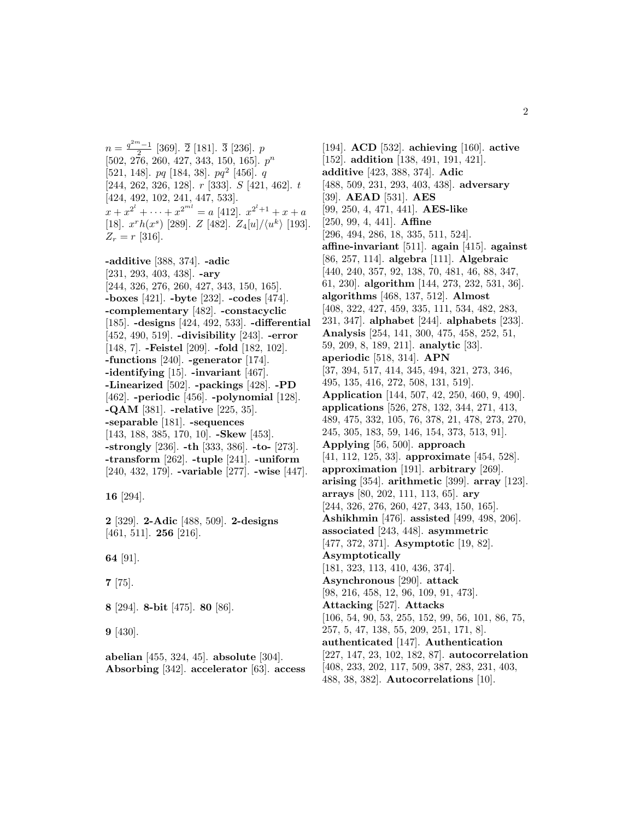$n = \frac{q^{2m}-1}{2}$  [369].  $\overline{2}$  [181].  $\overline{3}$  [236].  $p$  $[502, 276, 260, 427, 343, 150, 165]$ .  $p^n$ [521, 148]. pq [184, 38]. pq<sup>2</sup> [456]. q [244, 262, 326, 128]. r [333]. S [421, 462]. t [424, 492, 102, 241, 447, 533].  $x + x^{2^l} + \cdots + x^{2^{ml}} = a$  [412].  $x^{2^l+1} + x + a$ [18].  $x^r h(x^s)$  [289].  $Z$  [482].  $Z_4[u]/\langle u^k \rangle$  [193].  $Z_r = r$  [316].

**-additive** [388, 374]. **-adic** [231, 293, 403, 438]. **-ary** [244, 326, 276, 260, 427, 343, 150, 165]. **-boxes** [421]. **-byte** [232]. **-codes** [474]. **-complementary** [482]. **-constacyclic** [185]. **-designs** [424, 492, 533]. **-differential** [452, 490, 519]. **-divisibility** [243]. **-error** [148, 7]. **-Feistel** [209]. **-fold** [182, 102]. **-functions** [240]. **-generator** [174]. **-identifying** [15]. **-invariant** [467]. **-Linearized** [502]. **-packings** [428]. **-PD** [462]. **-periodic** [456]. **-polynomial** [128]. **-QAM** [381]. **-relative** [225, 35]. **-separable** [181]. **-sequences** [143, 188, 385, 170, 10]. **-Skew** [453]. **-strongly** [236]. **-th** [333, 386]. **-to-** [273]. **-transform** [262]. **-tuple** [241]. **-uniform** [240, 432, 179]. **-variable** [277]. **-wise** [447].

**16** [294].

**2** [329]. **2-Adic** [488, 509]. **2-designs** [461, 511]. **256** [216].

**64** [91].

- **7** [75].
- **8** [294]. **8-bit** [475]. **80** [86].

**9** [430].

**abelian** [455, 324, 45]. **absolute** [304]. **Absorbing** [342]. **accelerator** [63]. **access**

[194]. **ACD** [532]. **achieving** [160]. **active** [152]. **addition** [138, 491, 191, 421]. **additive** [423, 388, 374]. **Adic** [488, 509, 231, 293, 403, 438]. **adversary** [39]. **AEAD** [531]. **AES** [99, 250, 4, 471, 441]. **AES-like** [250, 99, 4, 441]. **Affine** [296, 494, 286, 18, 335, 511, 524]. **affine-invariant** [511]. **again** [415]. **against** [86, 257, 114]. **algebra** [111]. **Algebraic** [440, 240, 357, 92, 138, 70, 481, 46, 88, 347, 61, 230]. **algorithm** [144, 273, 232, 531, 36]. **algorithms** [468, 137, 512]. **Almost** [408, 322, 427, 459, 335, 111, 534, 482, 283, 231, 347]. **alphabet** [244]. **alphabets** [233]. **Analysis** [254, 141, 300, 475, 458, 252, 51, 59, 209, 8, 189, 211]. **analytic** [33]. **aperiodic** [518, 314]. **APN** [37, 394, 517, 414, 345, 494, 321, 273, 346, 495, 135, 416, 272, 508, 131, 519]. **Application** [144, 507, 42, 250, 460, 9, 490]. **applications** [526, 278, 132, 344, 271, 413, 489, 475, 332, 105, 76, 378, 21, 478, 273, 270, 245, 305, 183, 59, 146, 154, 373, 513, 91]. **Applying** [56, 500]. **approach** [41, 112, 125, 33]. **approximate** [454, 528]. **approximation** [191]. **arbitrary** [269]. **arising** [354]. **arithmetic** [399]. **array** [123]. **arrays** [80, 202, 111, 113, 65]. **ary** [244, 326, 276, 260, 427, 343, 150, 165]. **Ashikhmin** [476]. **assisted** [499, 498, 206]. **associated** [243, 448]. **asymmetric** [477, 372, 371]. **Asymptotic** [19, 82]. **Asymptotically** [181, 323, 113, 410, 436, 374]. **Asynchronous** [290]. **attack** [98, 216, 458, 12, 96, 109, 91, 473]. **Attacking** [527]. **Attacks** [106, 54, 90, 53, 255, 152, 99, 56, 101, 86, 75, 257, 5, 47, 138, 55, 209, 251, 171, 8]. **authenticated** [147]. **Authentication** [227, 147, 23, 102, 182, 87]. **autocorrelation** [408, 233, 202, 117, 509, 387, 283, 231, 403, 488, 38, 382]. **Autocorrelations** [10].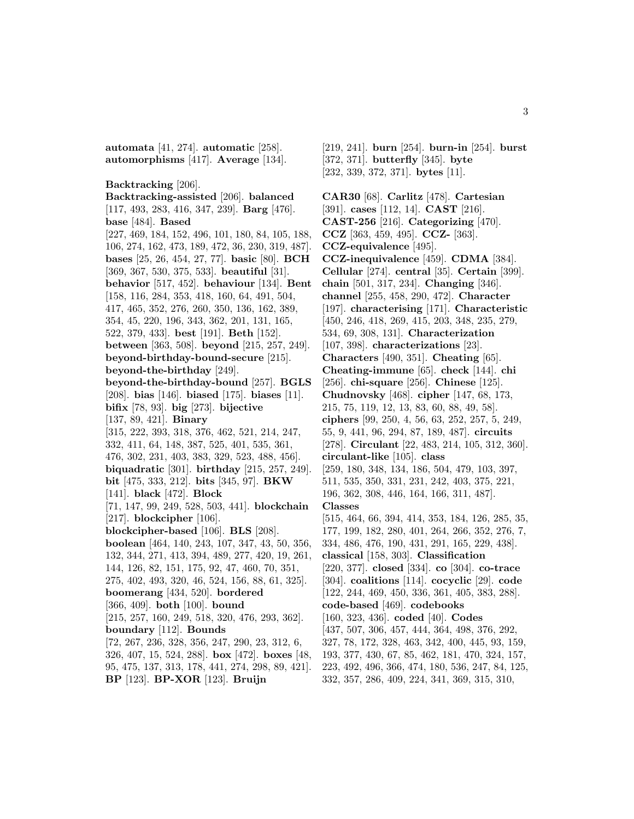**automata** [41, 274]. **automatic** [258]. **automorphisms** [417]. **Average** [134].

```
Backtracking [206].
```
**Backtracking-assisted** [206]. **balanced** [117, 493, 283, 416, 347, 239]. **Barg** [476]. **base** [484]. **Based** [227, 469, 184, 152, 496, 101, 180, 84, 105, 188, 106, 274, 162, 473, 189, 472, 36, 230, 319, 487]. **bases** [25, 26, 454, 27, 77]. **basic** [80]. **BCH** [369, 367, 530, 375, 533]. **beautiful** [31]. **behavior** [517, 452]. **behaviour** [134]. **Bent** [158, 116, 284, 353, 418, 160, 64, 491, 504, 417, 465, 352, 276, 260, 350, 136, 162, 389, 354, 45, 220, 196, 343, 362, 201, 131, 165, 522, 379, 433]. **best** [191]. **Beth** [152]. **between** [363, 508]. **beyond** [215, 257, 249]. **beyond-birthday-bound-secure** [215]. **beyond-the-birthday** [249]. **beyond-the-birthday-bound** [257]. **BGLS** [208]. **bias** [146]. **biased** [175]. **biases** [11]. **bifix** [78, 93]. **big** [273]. **bijective** [137, 89, 421]. **Binary** [315, 222, 393, 318, 376, 462, 521, 214, 247, 332, 411, 64, 148, 387, 525, 401, 535, 361, 476, 302, 231, 403, 383, 329, 523, 488, 456]. **biquadratic** [301]. **birthday** [215, 257, 249]. **bit** [475, 333, 212]. **bits** [345, 97]. **BKW** [141]. **black** [472]. **Block** [71, 147, 99, 249, 528, 503, 441]. **blockchain** [217]. **blockcipher** [106]. **blockcipher-based** [106]. **BLS** [208]. **boolean** [464, 140, 243, 107, 347, 43, 50, 356, 132, 344, 271, 413, 394, 489, 277, 420, 19, 261, 144, 126, 82, 151, 175, 92, 47, 460, 70, 351, 275, 402, 493, 320, 46, 524, 156, 88, 61, 325]. **boomerang** [434, 520]. **bordered** [366, 409]. **both** [100]. **bound** [215, 257, 160, 249, 518, 320, 476, 293, 362]. **boundary** [112]. **Bounds** [72, 267, 236, 328, 356, 247, 290, 23, 312, 6, 326, 407, 15, 524, 288]. **box** [472]. **boxes** [48, 95, 475, 137, 313, 178, 441, 274, 298, 89, 421]. **BP** [123]. **BP-XOR** [123]. **Bruijn**

[219, 241]. **burn** [254]. **burn-in** [254]. **burst** [372, 371]. **butterfly** [345]. **byte** [232, 339, 372, 371]. **bytes** [11].

**CAR30** [68]. **Carlitz** [478]. **Cartesian** [391]. **cases** [112, 14]. **CAST** [216]. **CAST-256** [216]. **Categorizing** [470]. **CCZ** [363, 459, 495]. **CCZ-** [363]. **CCZ-equivalence** [495]. **CCZ-inequivalence** [459]. **CDMA** [384]. **Cellular** [274]. **central** [35]. **Certain** [399]. **chain** [501, 317, 234]. **Changing** [346]. **channel** [255, 458, 290, 472]. **Character** [197]. **characterising** [171]. **Characteristic** [450, 246, 418, 269, 415, 203, 348, 235, 279, 534, 69, 308, 131]. **Characterization** [107, 398]. **characterizations** [23]. **Characters** [490, 351]. **Cheating** [65]. **Cheating-immune** [65]. **check** [144]. **chi** [256]. **chi-square** [256]. **Chinese** [125]. **Chudnovsky** [468]. **cipher** [147, 68, 173, 215, 75, 119, 12, 13, 83, 60, 88, 49, 58]. **ciphers** [99, 250, 4, 56, 63, 252, 257, 5, 249, 55, 9, 441, 96, 294, 87, 189, 487]. **circuits** [278]. **Circulant** [22, 483, 214, 105, 312, 360]. **circulant-like** [105]. **class** [259, 180, 348, 134, 186, 504, 479, 103, 397, 511, 535, 350, 331, 231, 242, 403, 375, 221, 196, 362, 308, 446, 164, 166, 311, 487]. **Classes** [515, 464, 66, 394, 414, 353, 184, 126, 285, 35, 177, 199, 182, 280, 401, 264, 266, 352, 276, 7, 334, 486, 476, 190, 431, 291, 165, 229, 438]. **classical** [158, 303]. **Classification** [220, 377]. **closed** [334]. **co** [304]. **co-trace** [304]. **coalitions** [114]. **cocyclic** [29]. **code** [122, 244, 469, 450, 336, 361, 405, 383, 288]. **code-based** [469]. **codebooks** [160, 323, 436]. **coded** [40]. **Codes** [437, 507, 306, 457, 444, 364, 498, 376, 292, 327, 78, 172, 328, 463, 342, 400, 445, 93, 159, 193, 377, 430, 67, 85, 462, 181, 470, 324, 157, 223, 492, 496, 366, 474, 180, 536, 247, 84, 125, 332, 357, 286, 409, 224, 341, 369, 315, 310,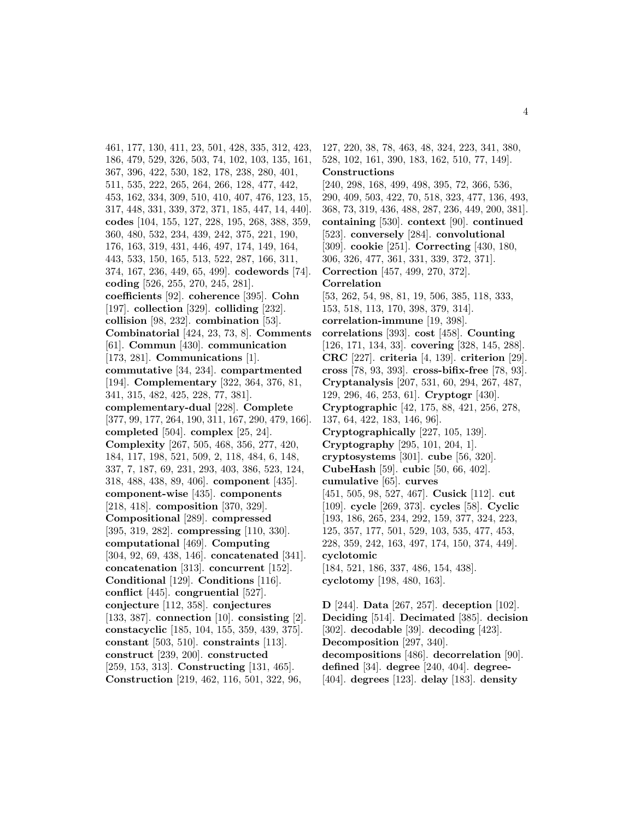461, 177, 130, 411, 23, 501, 428, 335, 312, 423, 186, 479, 529, 326, 503, 74, 102, 103, 135, 161, 367, 396, 422, 530, 182, 178, 238, 280, 401, 511, 535, 222, 265, 264, 266, 128, 477, 442, 453, 162, 334, 309, 510, 410, 407, 476, 123, 15, 317, 448, 331, 339, 372, 371, 185, 447, 14, 440]. **codes** [104, 155, 127, 228, 195, 268, 388, 359, 360, 480, 532, 234, 439, 242, 375, 221, 190, 176, 163, 319, 431, 446, 497, 174, 149, 164, 443, 533, 150, 165, 513, 522, 287, 166, 311, 374, 167, 236, 449, 65, 499]. **codewords** [74]. **coding** [526, 255, 270, 245, 281]. **coefficients** [92]. **coherence** [395]. **Cohn** [197]. **collection** [329]. **colliding** [232]. **collision** [98, 232]. **combination** [53]. **Combinatorial** [424, 23, 73, 8]. **Comments** [61]. **Commun** [430]. **communication** [173, 281]. **Communications** [1]. **commutative** [34, 234]. **compartmented** [194]. **Complementary** [322, 364, 376, 81, 341, 315, 482, 425, 228, 77, 381]. **complementary-dual** [228]. **Complete** [377, 99, 177, 264, 190, 311, 167, 290, 479, 166]. **completed** [504]. **complex** [25, 24]. **Complexity** [267, 505, 468, 356, 277, 420, 184, 117, 198, 521, 509, 2, 118, 484, 6, 148, 337, 7, 187, 69, 231, 293, 403, 386, 523, 124, 318, 488, 438, 89, 406]. **component** [435]. **component-wise** [435]. **components** [218, 418]. **composition** [370, 329]. **Compositional** [289]. **compressed** [395, 319, 282]. **compressing** [110, 330]. **computational** [469]. **Computing** [304, 92, 69, 438, 146]. **concatenated** [341]. **concatenation** [313]. **concurrent** [152]. **Conditional** [129]. **Conditions** [116]. **conflict** [445]. **congruential** [527]. **conjecture** [112, 358]. **conjectures** [133, 387]. **connection** [10]. **consisting** [2]. **constacyclic** [185, 104, 155, 359, 439, 375]. **constant** [503, 510]. **constraints** [113]. **construct** [239, 200]. **constructed** [259, 153, 313]. **Constructing** [131, 465]. **Construction** [219, 462, 116, 501, 322, 96,

127, 220, 38, 78, 463, 48, 324, 223, 341, 380, 528, 102, 161, 390, 183, 162, 510, 77, 149]. **Constructions** [240, 298, 168, 499, 498, 395, 72, 366, 536, 290, 409, 503, 422, 70, 518, 323, 477, 136, 493, 368, 73, 319, 436, 488, 287, 236, 449, 200, 381]. **containing** [530]. **context** [90]. **continued** [523]. **conversely** [284]. **convolutional** [309]. **cookie** [251]. **Correcting** [430, 180, 306, 326, 477, 361, 331, 339, 372, 371]. **Correction** [457, 499, 270, 372]. **Correlation** [53, 262, 54, 98, 81, 19, 506, 385, 118, 333, 153, 518, 113, 170, 398, 379, 314]. **correlation-immune** [19, 398]. **correlations** [393]. **cost** [458]. **Counting** [126, 171, 134, 33]. **covering** [328, 145, 288]. **CRC** [227]. **criteria** [4, 139]. **criterion** [29]. **cross** [78, 93, 393]. **cross-bifix-free** [78, 93]. **Cryptanalysis** [207, 531, 60, 294, 267, 487, 129, 296, 46, 253, 61]. **Cryptogr** [430]. **Cryptographic** [42, 175, 88, 421, 256, 278, 137, 64, 422, 183, 146, 96]. **Cryptographically** [227, 105, 139]. **Cryptography** [295, 101, 204, 1]. **cryptosystems** [301]. **cube** [56, 320]. **CubeHash** [59]. **cubic** [50, 66, 402]. **cumulative** [65]. **curves** [451, 505, 98, 527, 467]. **Cusick** [112]. **cut** [109]. **cycle** [269, 373]. **cycles** [58]. **Cyclic** [193, 186, 265, 234, 292, 159, 377, 324, 223, 125, 357, 177, 501, 529, 103, 535, 477, 453, 228, 359, 242, 163, 497, 174, 150, 374, 449]. **cyclotomic** [184, 521, 186, 337, 486, 154, 438]. **cyclotomy** [198, 480, 163]. **D** [244]. **Data** [267, 257]. **deception** [102].

**Deciding** [514]. **Decimated** [385]. **decision** [302]. **decodable** [39]. **decoding** [423]. **Decomposition** [297, 340]. **decompositions** [486]. **decorrelation** [90]. **defined** [34]. **degree** [240, 404]. **degree-** [404]. **degrees** [123]. **delay** [183]. **density**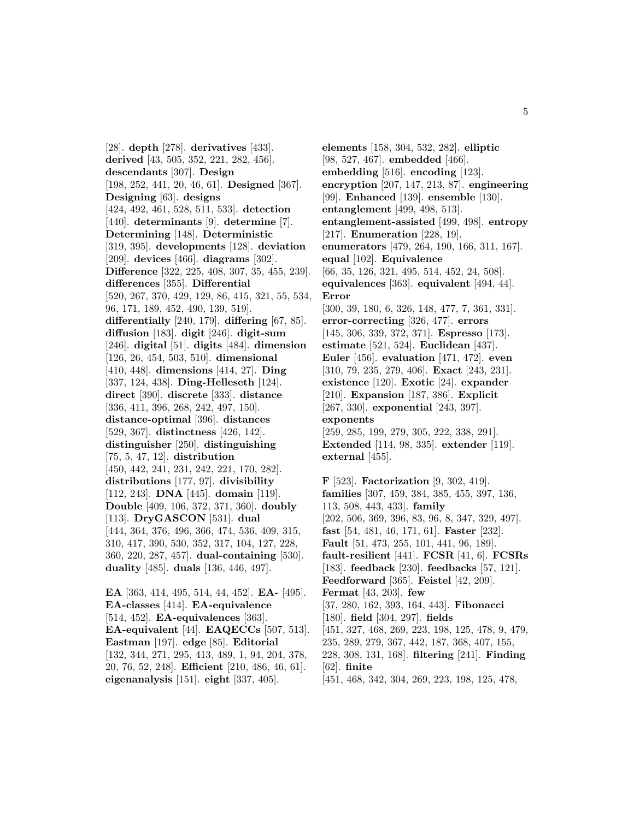[28]. **depth** [278]. **derivatives** [433]. **derived** [43, 505, 352, 221, 282, 456]. **descendants** [307]. **Design** [198, 252, 441, 20, 46, 61]. **Designed** [367]. **Designing** [63]. **designs** [424, 492, 461, 528, 511, 533]. **detection** [440]. **determinants** [9]. **determine** [7]. **Determining** [148]. **Deterministic** [319, 395]. **developments** [128]. **deviation** [209]. **devices** [466]. **diagrams** [302]. **Difference** [322, 225, 408, 307, 35, 455, 239]. **differences** [355]. **Differential** [520, 267, 370, 429, 129, 86, 415, 321, 55, 534, 96, 171, 189, 452, 490, 139, 519]. **differentially** [240, 179]. **differing** [67, 85]. **diffusion** [183]. **digit** [246]. **digit-sum** [246]. **digital** [51]. **digits** [484]. **dimension** [126, 26, 454, 503, 510]. **dimensional** [410, 448]. **dimensions** [414, 27]. **Ding** [337, 124, 438]. **Ding-Helleseth** [124]. **direct** [390]. **discrete** [333]. **distance** [336, 411, 396, 268, 242, 497, 150]. **distance-optimal** [396]. **distances** [529, 367]. **distinctness** [426, 142]. **distinguisher** [250]. **distinguishing** [75, 5, 47, 12]. **distribution** [450, 442, 241, 231, 242, 221, 170, 282]. **distributions** [177, 97]. **divisibility** [112, 243]. **DNA** [445]. **domain** [119]. **Double** [409, 106, 372, 371, 360]. **doubly** [113]. **DryGASCON** [531]. **dual** [444, 364, 376, 496, 366, 474, 536, 409, 315, 310, 417, 390, 530, 352, 317, 104, 127, 228, 360, 220, 287, 457]. **dual-containing** [530]. **duality** [485]. **duals** [136, 446, 497].

**EA** [363, 414, 495, 514, 44, 452]. **EA-** [495]. **EA-classes** [414]. **EA-equivalence** [514, 452]. **EA-equivalences** [363]. **EA-equivalent** [44]. **EAQECCs** [507, 513]. **Eastman** [197]. **edge** [85]. **Editorial** [132, 344, 271, 295, 413, 489, 1, 94, 204, 378, 20, 76, 52, 248]. **Efficient** [210, 486, 46, 61]. **eigenanalysis** [151]. **eight** [337, 405].

**elements** [158, 304, 532, 282]. **elliptic** [98, 527, 467]. **embedded** [466]. **embedding** [516]. **encoding** [123]. **encryption** [207, 147, 213, 87]. **engineering** [99]. **Enhanced** [139]. **ensemble** [130]. **entanglement** [499, 498, 513]. **entanglement-assisted** [499, 498]. **entropy** [217]. **Enumeration** [228, 19]. **enumerators** [479, 264, 190, 166, 311, 167]. **equal** [102]. **Equivalence** [66, 35, 126, 321, 495, 514, 452, 24, 508]. **equivalences** [363]. **equivalent** [494, 44]. **Error** [300, 39, 180, 6, 326, 148, 477, 7, 361, 331]. **error-correcting** [326, 477]. **errors** [145, 306, 339, 372, 371]. **Espresso** [173]. **estimate** [521, 524]. **Euclidean** [437]. **Euler** [456]. **evaluation** [471, 472]. **even** [310, 79, 235, 279, 406]. **Exact** [243, 231]. **existence** [120]. **Exotic** [24]. **expander** [210]. **Expansion** [187, 386]. **Explicit** [267, 330]. **exponential** [243, 397]. **exponents** [259, 285, 199, 279, 305, 222, 338, 291]. **Extended** [114, 98, 335]. **extender** [119]. **external** [455].

**F** [523]. **Factorization** [9, 302, 419]. **families** [307, 459, 384, 385, 455, 397, 136, 113, 508, 443, 433]. **family** [202, 506, 369, 396, 83, 96, 8, 347, 329, 497]. **fast** [54, 481, 46, 171, 61]. **Faster** [232]. **Fault** [51, 473, 255, 101, 441, 96, 189]. **fault-resilient** [441]. **FCSR** [41, 6]. **FCSRs** [183]. **feedback** [230]. **feedbacks** [57, 121]. **Feedforward** [365]. **Feistel** [42, 209]. **Fermat** [43, 203]. **few** [37, 280, 162, 393, 164, 443]. **Fibonacci** [180]. **field** [304, 297]. **fields** [451, 327, 468, 269, 223, 198, 125, 478, 9, 479, 235, 289, 279, 367, 442, 187, 368, 407, 155, 228, 308, 131, 168]. **filtering** [241]. **Finding** [62]. **finite** [451, 468, 342, 304, 269, 223, 198, 125, 478,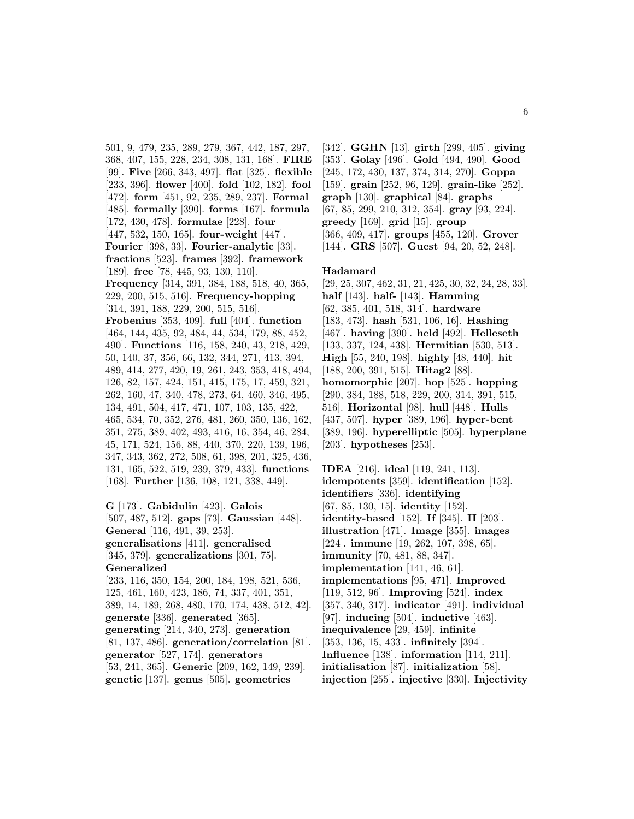501, 9, 479, 235, 289, 279, 367, 442, 187, 297, 368, 407, 155, 228, 234, 308, 131, 168]. **FIRE** [99]. **Five** [266, 343, 497]. **flat** [325]. **flexible** [233, 396]. **flower** [400]. **fold** [102, 182]. **fool** [472]. **form** [451, 92, 235, 289, 237]. **Formal** [485]. **formally** [390]. **forms** [167]. **formula** [172, 430, 478]. **formulae** [228]. **four** [447, 532, 150, 165]. **four-weight** [447]. **Fourier** [398, 33]. **Fourier-analytic** [33]. **fractions** [523]. **frames** [392]. **framework** [189]. **free** [78, 445, 93, 130, 110]. **Frequency** [314, 391, 384, 188, 518, 40, 365, 229, 200, 515, 516]. **Frequency-hopping** [314, 391, 188, 229, 200, 515, 516]. **Frobenius** [353, 409]. **full** [404]. **function** [464, 144, 435, 92, 484, 44, 534, 179, 88, 452, 490]. **Functions** [116, 158, 240, 43, 218, 429, 50, 140, 37, 356, 66, 132, 344, 271, 413, 394, 489, 414, 277, 420, 19, 261, 243, 353, 418, 494, 126, 82, 157, 424, 151, 415, 175, 17, 459, 321, 262, 160, 47, 340, 478, 273, 64, 460, 346, 495, 134, 491, 504, 417, 471, 107, 103, 135, 422, 465, 534, 70, 352, 276, 481, 260, 350, 136, 162, 351, 275, 389, 402, 493, 416, 16, 354, 46, 284, 45, 171, 524, 156, 88, 440, 370, 220, 139, 196, 347, 343, 362, 272, 508, 61, 398, 201, 325, 436, 131, 165, 522, 519, 239, 379, 433]. **functions** [168]. **Further** [136, 108, 121, 338, 449].

**G** [173]. **Gabidulin** [423]. **Galois**

[507, 487, 512]. **gaps** [73]. **Gaussian** [448]. **General** [116, 491, 39, 253]. **generalisations** [411]. **generalised** [345, 379]. **generalizations** [301, 75]. **Generalized** [233, 116, 350, 154, 200, 184, 198, 521, 536, 125, 461, 160, 423, 186, 74, 337, 401, 351, 389, 14, 189, 268, 480, 170, 174, 438, 512, 42]. **generate** [336]. **generated** [365]. **generating** [214, 340, 273]. **generation** [81, 137, 486]. **generation/correlation** [81]. **generator** [527, 174]. **generators**

[53, 241, 365]. **Generic** [209, 162, 149, 239]. **genetic** [137]. **genus** [505]. **geometries**

[342]. **GGHN** [13]. **girth** [299, 405]. **giving** [353]. **Golay** [496]. **Gold** [494, 490]. **Good** [245, 172, 430, 137, 374, 314, 270]. **Goppa** [159]. **grain** [252, 96, 129]. **grain-like** [252]. **graph** [130]. **graphical** [84]. **graphs** [67, 85, 299, 210, 312, 354]. **gray** [93, 224]. **greedy** [169]. **grid** [15]. **group** [366, 409, 417]. **groups** [455, 120]. **Grover** [144]. **GRS** [507]. **Guest** [94, 20, 52, 248].

#### **Hadamard**

[29, 25, 307, 462, 31, 21, 425, 30, 32, 24, 28, 33]. **half** [143]. **half-** [143]. **Hamming** [62, 385, 401, 518, 314]. **hardware** [183, 473]. **hash** [531, 106, 16]. **Hashing** [467]. **having** [390]. **held** [492]. **Helleseth** [133, 337, 124, 438]. **Hermitian** [530, 513]. **High** [55, 240, 198]. **highly** [48, 440]. **hit** [188, 200, 391, 515]. **Hitag2** [88]. **homomorphic** [207]. **hop** [525]. **hopping** [290, 384, 188, 518, 229, 200, 314, 391, 515, 516]. **Horizontal** [98]. **hull** [448]. **Hulls** [437, 507]. **hyper** [389, 196]. **hyper-bent** [389, 196]. **hyperelliptic** [505]. **hyperplane** [203]. **hypotheses** [253].

**IDEA** [216]. **ideal** [119, 241, 113]. **idempotents** [359]. **identification** [152]. **identifiers** [336]. **identifying** [67, 85, 130, 15]. **identity** [152]. **identity-based** [152]. **If** [345]. **II** [203]. **illustration** [471]. **Image** [355]. **images** [224]. **immune** [19, 262, 107, 398, 65]. **immunity** [70, 481, 88, 347]. **implementation** [141, 46, 61]. **implementations** [95, 471]. **Improved** [119, 512, 96]. **Improving** [524]. **index** [357, 340, 317]. **indicator** [491]. **individual** [97]. **inducing** [504]. **inductive** [463]. **inequivalence** [29, 459]. **infinite** [353, 136, 15, 433]. **infinitely** [394]. **Influence** [138]. **information** [114, 211]. **initialisation** [87]. **initialization** [58]. **injection** [255]. **injective** [330]. **Injectivity**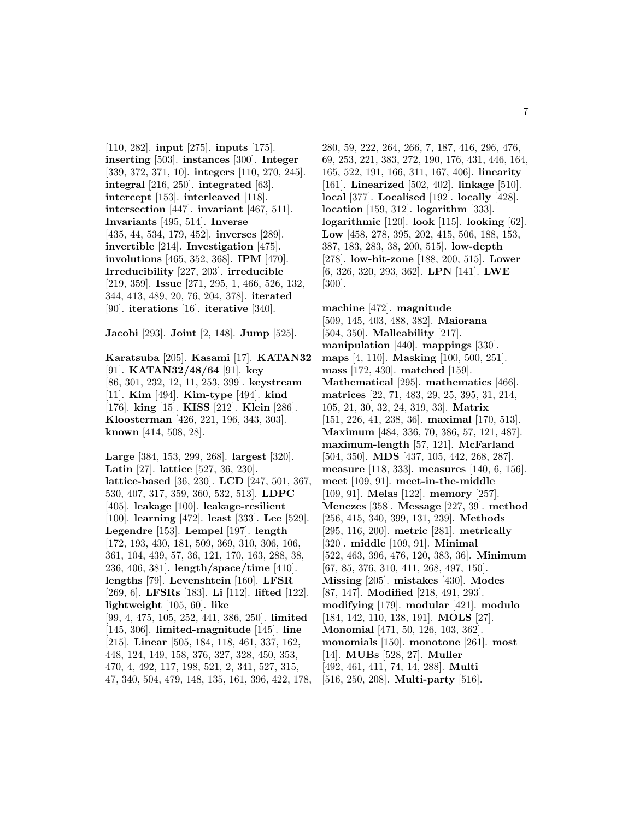[110, 282]. **input** [275]. **inputs** [175]. **inserting** [503]. **instances** [300]. **Integer** [339, 372, 371, 10]. **integers** [110, 270, 245]. **integral** [216, 250]. **integrated** [63]. **intercept** [153]. **interleaved** [118]. **intersection** [447]. **invariant** [467, 511]. **Invariants** [495, 514]. **Inverse** [435, 44, 534, 179, 452]. **inverses** [289]. **invertible** [214]. **Investigation** [475]. **involutions** [465, 352, 368]. **IPM** [470]. **Irreducibility** [227, 203]. **irreducible** [219, 359]. **Issue** [271, 295, 1, 466, 526, 132, 344, 413, 489, 20, 76, 204, 378]. **iterated** [90]. **iterations** [16]. **iterative** [340].

**Jacobi** [293]. **Joint** [2, 148]. **Jump** [525].

**Karatsuba** [205]. **Kasami** [17]. **KATAN32** [91]. **KATAN32/48/64** [91]. **key** [86, 301, 232, 12, 11, 253, 399]. **keystream** [11]. **Kim** [494]. **Kim-type** [494]. **kind** [176]. **king** [15]. **KISS** [212]. **Klein** [286]. **Kloosterman** [426, 221, 196, 343, 303]. **known** [414, 508, 28].

**Large** [384, 153, 299, 268]. **largest** [320]. **Latin** [27]. **lattice** [527, 36, 230]. **lattice-based** [36, 230]. **LCD** [247, 501, 367, 530, 407, 317, 359, 360, 532, 513]. **LDPC** [405]. **leakage** [100]. **leakage-resilient** [100]. **learning** [472]. **least** [333]. **Lee** [529]. **Legendre** [153]. **Lempel** [197]. **length** [172, 193, 430, 181, 509, 369, 310, 306, 106, 361, 104, 439, 57, 36, 121, 170, 163, 288, 38, 236, 406, 381]. **length/space/time** [410]. **lengths** [79]. **Levenshtein** [160]. **LFSR** [269, 6]. **LFSRs** [183]. **Li** [112]. **lifted** [122]. **lightweight** [105, 60]. **like** [99, 4, 475, 105, 252, 441, 386, 250]. **limited** [145, 306]. **limited-magnitude** [145]. **line** [215]. **Linear** [505, 184, 118, 461, 337, 162, 448, 124, 149, 158, 376, 327, 328, 450, 353, 470, 4, 492, 117, 198, 521, 2, 341, 527, 315, 47, 340, 504, 479, 148, 135, 161, 396, 422, 178,

280, 59, 222, 264, 266, 7, 187, 416, 296, 476, 69, 253, 221, 383, 272, 190, 176, 431, 446, 164, 165, 522, 191, 166, 311, 167, 406]. **linearity** [161]. **Linearized** [502, 402]. **linkage** [510]. **local** [377]. **Localised** [192]. **locally** [428]. **location** [159, 312]. **logarithm** [333]. **logarithmic** [120]. **look** [115]. **looking** [62]. **Low** [458, 278, 395, 202, 415, 506, 188, 153, 387, 183, 283, 38, 200, 515]. **low-depth** [278]. **low-hit-zone** [188, 200, 515]. **Lower** [6, 326, 320, 293, 362]. **LPN** [141]. **LWE** [300].

**machine** [472]. **magnitude** [509, 145, 403, 488, 382]. **Maiorana** [504, 350]. **Malleability** [217]. **manipulation** [440]. **mappings** [330]. **maps** [4, 110]. **Masking** [100, 500, 251]. **mass** [172, 430]. **matched** [159]. **Mathematical** [295]. **mathematics** [466]. **matrices** [22, 71, 483, 29, 25, 395, 31, 214, 105, 21, 30, 32, 24, 319, 33]. **Matrix** [151, 226, 41, 238, 36]. **maximal** [170, 513]. **Maximum** [484, 336, 70, 386, 57, 121, 487]. **maximum-length** [57, 121]. **McFarland** [504, 350]. **MDS** [437, 105, 442, 268, 287]. **measure** [118, 333]. **measures** [140, 6, 156]. **meet** [109, 91]. **meet-in-the-middle** [109, 91]. **Melas** [122]. **memory** [257]. **Menezes** [358]. **Message** [227, 39]. **method** [256, 415, 340, 399, 131, 239]. **Methods** [295, 116, 200]. **metric** [281]. **metrically** [320]. **middle** [109, 91]. **Minimal** [522, 463, 396, 476, 120, 383, 36]. **Minimum** [67, 85, 376, 310, 411, 268, 497, 150]. **Missing** [205]. **mistakes** [430]. **Modes** [87, 147]. **Modified** [218, 491, 293]. **modifying** [179]. **modular** [421]. **modulo** [184, 142, 110, 138, 191]. **MOLS** [27]. **Monomial** [471, 50, 126, 103, 362]. **monomials** [150]. **monotone** [261]. **most** [14]. **MUBs** [528, 27]. **Muller** [492, 461, 411, 74, 14, 288]. **Multi** [516, 250, 208]. **Multi-party** [516].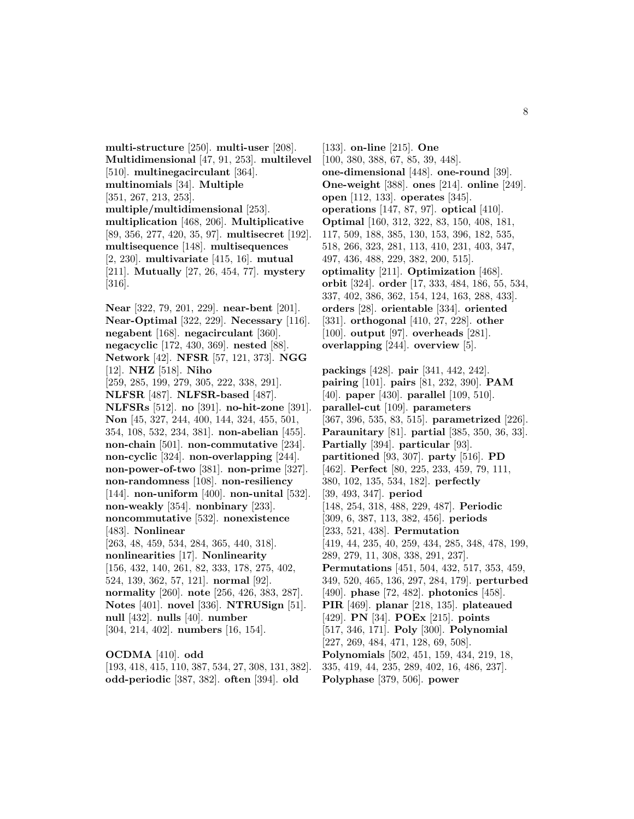**multi-structure** [250]. **multi-user** [208]. **Multidimensional** [47, 91, 253]. **multilevel** [510]. **multinegacirculant** [364]. **multinomials** [34]. **Multiple** [351, 267, 213, 253]. **multiple/multidimensional** [253]. **multiplication** [468, 206]. **Multiplicative** [89, 356, 277, 420, 35, 97]. **multisecret** [192]. **multisequence** [148]. **multisequences** [2, 230]. **multivariate** [415, 16]. **mutual** [211]. **Mutually** [27, 26, 454, 77]. **mystery** [316].

**Near** [322, 79, 201, 229]. **near-bent** [201]. **Near-Optimal** [322, 229]. **Necessary** [116]. **negabent** [168]. **negacirculant** [360]. **negacyclic** [172, 430, 369]. **nested** [88]. **Network** [42]. **NFSR** [57, 121, 373]. **NGG** [12]. **NHZ** [518]. **Niho** [259, 285, 199, 279, 305, 222, 338, 291]. **NLFSR** [487]. **NLFSR-based** [487]. **NLFSRs** [512]. **no** [391]. **no-hit-zone** [391]. **Non** [45, 327, 244, 400, 144, 324, 455, 501, 354, 108, 532, 234, 381]. **non-abelian** [455]. **non-chain** [501]. **non-commutative** [234]. **non-cyclic** [324]. **non-overlapping** [244]. **non-power-of-two** [381]. **non-prime** [327]. **non-randomness** [108]. **non-resiliency** [144]. **non-uniform** [400]. **non-unital** [532]. **non-weakly** [354]. **nonbinary** [233]. **noncommutative** [532]. **nonexistence** [483]. **Nonlinear** [263, 48, 459, 534, 284, 365, 440, 318]. **nonlinearities** [17]. **Nonlinearity** [156, 432, 140, 261, 82, 333, 178, 275, 402, 524, 139, 362, 57, 121]. **normal** [92]. **normality** [260]. **note** [256, 426, 383, 287]. **Notes** [401]. **novel** [336]. **NTRUSign** [51]. **null** [432]. **nulls** [40]. **number** [304, 214, 402]. **numbers** [16, 154].

#### **OCDMA** [410]. **odd**

[193, 418, 415, 110, 387, 534, 27, 308, 131, 382]. **odd-periodic** [387, 382]. **often** [394]. **old**

[133]. **on-line** [215]. **One** [100, 380, 388, 67, 85, 39, 448]. **one-dimensional** [448]. **one-round** [39]. **One-weight** [388]. **ones** [214]. **online** [249]. **open** [112, 133]. **operates** [345]. **operations** [147, 87, 97]. **optical** [410]. **Optimal** [160, 312, 322, 83, 150, 408, 181, 117, 509, 188, 385, 130, 153, 396, 182, 535, 518, 266, 323, 281, 113, 410, 231, 403, 347, 497, 436, 488, 229, 382, 200, 515]. **optimality** [211]. **Optimization** [468]. **orbit** [324]. **order** [17, 333, 484, 186, 55, 534, 337, 402, 386, 362, 154, 124, 163, 288, 433]. **orders** [28]. **orientable** [334]. **oriented** [331]. **orthogonal** [410, 27, 228]. **other** [100]. **output** [97]. **overheads** [281]. **overlapping** [244]. **overview** [5].

**packings** [428]. **pair** [341, 442, 242]. **pairing** [101]. **pairs** [81, 232, 390]. **PAM** [40]. **paper** [430]. **parallel** [109, 510]. **parallel-cut** [109]. **parameters** [367, 396, 535, 83, 515]. **parametrized** [226]. **Paraunitary** [81]. **partial** [385, 350, 36, 33]. **Partially** [394]. **particular** [93]. **partitioned** [93, 307]. **party** [516]. **PD** [462]. **Perfect** [80, 225, 233, 459, 79, 111, 380, 102, 135, 534, 182]. **perfectly** [39, 493, 347]. **period** [148, 254, 318, 488, 229, 487]. **Periodic** [309, 6, 387, 113, 382, 456]. **periods** [233, 521, 438]. **Permutation** [419, 44, 235, 40, 259, 434, 285, 348, 478, 199, 289, 279, 11, 308, 338, 291, 237]. **Permutations** [451, 504, 432, 517, 353, 459, 349, 520, 465, 136, 297, 284, 179]. **perturbed** [490]. **phase** [72, 482]. **photonics** [458]. **PIR** [469]. **planar** [218, 135]. **plateaued** [429]. **PN** [34]. **POEx** [215]. **points** [517, 346, 171]. **Poly** [300]. **Polynomial** [227, 269, 484, 471, 128, 69, 508]. **Polynomials** [502, 451, 159, 434, 219, 18, 335, 419, 44, 235, 289, 402, 16, 486, 237].

**Polyphase** [379, 506]. **power**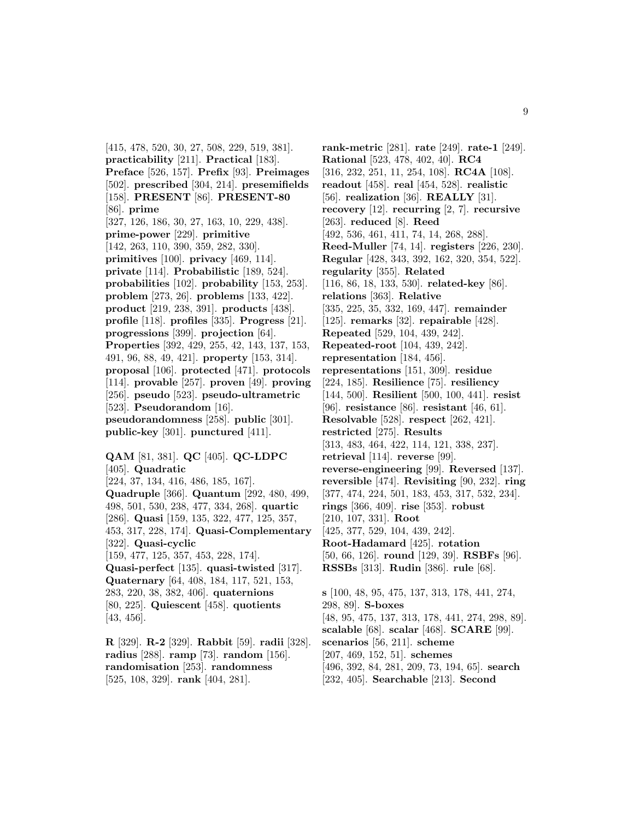[415, 478, 520, 30, 27, 508, 229, 519, 381]. **practicability** [211]. **Practical** [183]. **Preface** [526, 157]. **Prefix** [93]. **Preimages** [502]. **prescribed** [304, 214]. **presemifields** [158]. **PRESENT** [86]. **PRESENT-80** [86]. **prime** [327, 126, 186, 30, 27, 163, 10, 229, 438]. **prime-power** [229]. **primitive** [142, 263, 110, 390, 359, 282, 330]. **primitives** [100]. **privacy** [469, 114]. **private** [114]. **Probabilistic** [189, 524]. **probabilities** [102]. **probability** [153, 253]. **problem** [273, 26]. **problems** [133, 422]. **product** [219, 238, 391]. **products** [438]. **profile** [118]. **profiles** [335]. **Progress** [21]. **progressions** [399]. **projection** [64]. **Properties** [392, 429, 255, 42, 143, 137, 153, 491, 96, 88, 49, 421]. **property** [153, 314]. **proposal** [106]. **protected** [471]. **protocols** [114]. **provable** [257]. **proven** [49]. **proving** [256]. **pseudo** [523]. **pseudo-ultrametric** [523]. **Pseudorandom** [16]. **pseudorandomness** [258]. **public** [301]. **public-key** [301]. **punctured** [411].

**QAM** [81, 381]. **QC** [405]. **QC-LDPC** [405]. **Quadratic** [224, 37, 134, 416, 486, 185, 167]. **Quadruple** [366]. **Quantum** [292, 480, 499, 498, 501, 530, 238, 477, 334, 268]. **quartic** [286]. **Quasi** [159, 135, 322, 477, 125, 357, 453, 317, 228, 174]. **Quasi-Complementary** [322]. **Quasi-cyclic** [159, 477, 125, 357, 453, 228, 174]. **Quasi-perfect** [135]. **quasi-twisted** [317]. **Quaternary** [64, 408, 184, 117, 521, 153, 283, 220, 38, 382, 406]. **quaternions** [80, 225]. **Quiescent** [458]. **quotients** [43, 456].

**R** [329]. **R-2** [329]. **Rabbit** [59]. **radii** [328]. **radius** [288]. **ramp** [73]. **random** [156]. **randomisation** [253]. **randomness** [525, 108, 329]. **rank** [404, 281].

**rank-metric** [281]. **rate** [249]. **rate-1** [249]. **Rational** [523, 478, 402, 40]. **RC4** [316, 232, 251, 11, 254, 108]. **RC4A** [108]. **readout** [458]. **real** [454, 528]. **realistic** [56]. **realization** [36]. **REALLY** [31]. **recovery** [12]. **recurring** [2, 7]. **recursive** [263]. **reduced** [8]. **Reed** [492, 536, 461, 411, 74, 14, 268, 288]. **Reed-Muller** [74, 14]. **registers** [226, 230]. **Regular** [428, 343, 392, 162, 320, 354, 522]. **regularity** [355]. **Related** [116, 86, 18, 133, 530]. **related-key** [86]. **relations** [363]. **Relative** [335, 225, 35, 332, 169, 447]. **remainder** [125]. **remarks** [32]. **repairable** [428]. **Repeated** [529, 104, 439, 242]. **Repeated-root** [104, 439, 242]. **representation** [184, 456]. **representations** [151, 309]. **residue** [224, 185]. **Resilience** [75]. **resiliency** [144, 500]. **Resilient** [500, 100, 441]. **resist** [96]. **resistance** [86]. **resistant** [46, 61]. **Resolvable** [528]. **respect** [262, 421]. **restricted** [275]. **Results** [313, 483, 464, 422, 114, 121, 338, 237]. **retrieval** [114]. **reverse** [99]. **reverse-engineering** [99]. **Reversed** [137]. **reversible** [474]. **Revisiting** [90, 232]. **ring** [377, 474, 224, 501, 183, 453, 317, 532, 234]. **rings** [366, 409]. **rise** [353]. **robust** [210, 107, 331]. **Root** [425, 377, 529, 104, 439, 242]. **Root-Hadamard** [425]. **rotation** [50, 66, 126]. **round** [129, 39]. **RSBFs** [96]. **RSSBs** [313]. **Rudin** [386]. **rule** [68]. **s** [100, 48, 95, 475, 137, 313, 178, 441, 274, 298, 89]. **S-boxes** [48, 95, 475, 137, 313, 178, 441, 274, 298, 89]. **scalable** [68]. **scalar** [468]. **SCARE** [99]. **scenarios** [56, 211]. **scheme**

- [207, 469, 152, 51]. **schemes**
- [496, 392, 84, 281, 209, 73, 194, 65]. **search**
- [232, 405]. **Searchable** [213]. **Second**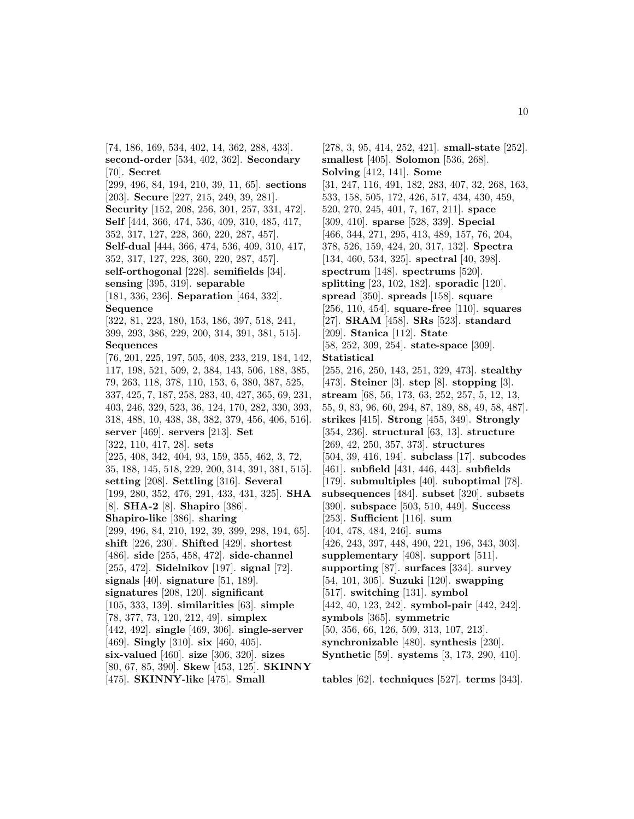[74, 186, 169, 534, 402, 14, 362, 288, 433]. **second-order** [534, 402, 362]. **Secondary** [70]. **Secret** [299, 496, 84, 194, 210, 39, 11, 65]. **sections** [203]. **Secure** [227, 215, 249, 39, 281]. **Security** [152, 208, 256, 301, 257, 331, 472]. **Self** [444, 366, 474, 536, 409, 310, 485, 417, 352, 317, 127, 228, 360, 220, 287, 457]. **Self-dual** [444, 366, 474, 536, 409, 310, 417, 352, 317, 127, 228, 360, 220, 287, 457]. **self-orthogonal** [228]. **semifields** [34]. **sensing** [395, 319]. **separable** [181, 336, 236]. **Separation** [464, 332]. **Sequence** [322, 81, 223, 180, 153, 186, 397, 518, 241, 399, 293, 386, 229, 200, 314, 391, 381, 515]. **Sequences** [76, 201, 225, 197, 505, 408, 233, 219, 184, 142, 117, 198, 521, 509, 2, 384, 143, 506, 188, 385, 79, 263, 118, 378, 110, 153, 6, 380, 387, 525, 337, 425, 7, 187, 258, 283, 40, 427, 365, 69, 231, 403, 246, 329, 523, 36, 124, 170, 282, 330, 393, 318, 488, 10, 438, 38, 382, 379, 456, 406, 516]. **server** [469]. **servers** [213]. **Set** [322, 110, 417, 28]. **sets** [225, 408, 342, 404, 93, 159, 355, 462, 3, 72, 35, 188, 145, 518, 229, 200, 314, 391, 381, 515]. **setting** [208]. **Settling** [316]. **Several** [199, 280, 352, 476, 291, 433, 431, 325]. **SHA** [8]. **SHA-2** [8]. **Shapiro** [386]. **Shapiro-like** [386]. **sharing** [299, 496, 84, 210, 192, 39, 399, 298, 194, 65]. **shift** [226, 230]. **Shifted** [429]. **shortest** [486]. **side** [255, 458, 472]. **side-channel** [255, 472]. **Sidelnikov** [197]. **signal** [72]. **signals** [40]. **signature** [51, 189]. **signatures** [208, 120]. **significant** [105, 333, 139]. **similarities** [63]. **simple** [78, 377, 73, 120, 212, 49]. **simplex** [442, 492]. **single** [469, 306]. **single-server** [469]. **Singly** [310]. **six** [460, 405]. **six-valued** [460]. **size** [306, 320]. **sizes** [80, 67, 85, 390]. **Skew** [453, 125]. **SKINNY** [475]. **SKINNY-like** [475]. **Small**

[278, 3, 95, 414, 252, 421]. **small-state** [252]. **smallest** [405]. **Solomon** [536, 268]. **Solving** [412, 141]. **Some** [31, 247, 116, 491, 182, 283, 407, 32, 268, 163, 533, 158, 505, 172, 426, 517, 434, 430, 459, 520, 270, 245, 401, 7, 167, 211]. **space** [309, 410]. **sparse** [528, 339]. **Special** [466, 344, 271, 295, 413, 489, 157, 76, 204, 378, 526, 159, 424, 20, 317, 132]. **Spectra** [134, 460, 534, 325]. **spectral** [40, 398]. **spectrum** [148]. **spectrums** [520]. **splitting** [23, 102, 182]. **sporadic** [120]. **spread** [350]. **spreads** [158]. **square** [256, 110, 454]. **square-free** [110]. **squares** [27]. **SRAM** [458]. **SRs** [523]. **standard** [209]. **Stanica** [112]. **State** [58, 252, 309, 254]. **state-space** [309]. **Statistical** [255, 216, 250, 143, 251, 329, 473]. **stealthy** [473]. **Steiner** [3]. **step** [8]. **stopping** [3]. **stream** [68, 56, 173, 63, 252, 257, 5, 12, 13, 55, 9, 83, 96, 60, 294, 87, 189, 88, 49, 58, 487]. **strikes** [415]. **Strong** [455, 349]. **Strongly** [354, 236]. **structural** [63, 13]. **structure** [269, 42, 250, 357, 373]. **structures** [504, 39, 416, 194]. **subclass** [17]. **subcodes** [461]. **subfield** [431, 446, 443]. **subfields** [179]. **submultiples** [40]. **suboptimal** [78]. **subsequences** [484]. **subset** [320]. **subsets** [390]. **subspace** [503, 510, 449]. **Success** [253]. **Sufficient** [116]. **sum** [404, 478, 484, 246]. **sums** [426, 243, 397, 448, 490, 221, 196, 343, 303]. **supplementary** [408]. **support** [511]. **supporting** [87]. **surfaces** [334]. **survey** [54, 101, 305]. **Suzuki** [120]. **swapping** [517]. **switching** [131]. **symbol** [442, 40, 123, 242]. **symbol-pair** [442, 242]. **symbols** [365]. **symmetric** [50, 356, 66, 126, 509, 313, 107, 213]. **synchronizable** [480]. **synthesis** [230]. **Synthetic** [59]. **systems** [3, 173, 290, 410].

**tables** [62]. **techniques** [527]. **terms** [343].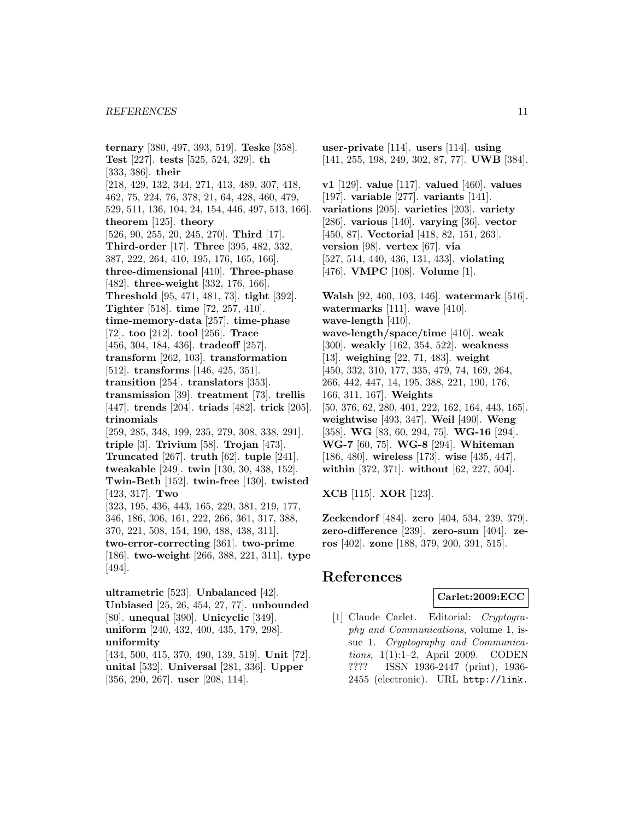**ternary** [380, 497, 393, 519]. **Teske** [358]. **Test** [227]. **tests** [525, 524, 329]. **th** [333, 386]. **their** [218, 429, 132, 344, 271, 413, 489, 307, 418, 462, 75, 224, 76, 378, 21, 64, 428, 460, 479, 529, 511, 136, 104, 24, 154, 446, 497, 513, 166]. **theorem** [125]. **theory** [526, 90, 255, 20, 245, 270]. **Third** [17]. **Third-order** [17]. **Three** [395, 482, 332, 387, 222, 264, 410, 195, 176, 165, 166]. **three-dimensional** [410]. **Three-phase** [482]. **three-weight** [332, 176, 166]. **Threshold** [95, 471, 481, 73]. **tight** [392]. **Tighter** [518]. **time** [72, 257, 410]. **time-memory-data** [257]. **time-phase** [72]. **too** [212]. **tool** [256]. **Trace** [456, 304, 184, 436]. **tradeoff** [257]. **transform** [262, 103]. **transformation** [512]. **transforms** [146, 425, 351]. **transition** [254]. **translators** [353]. **transmission** [39]. **treatment** [73]. **trellis** [447]. **trends** [204]. **triads** [482]. **trick** [205]. **trinomials** [259, 285, 348, 199, 235, 279, 308, 338, 291]. **triple** [3]. **Trivium** [58]. **Trojan** [473]. **Truncated** [267]. **truth** [62]. **tuple** [241]. **tweakable** [249]. **twin** [130, 30, 438, 152]. **Twin-Beth** [152]. **twin-free** [130]. **twisted** [423, 317]. **Two** [323, 195, 436, 443, 165, 229, 381, 219, 177, 346, 186, 306, 161, 222, 266, 361, 317, 388, 370, 221, 508, 154, 190, 488, 438, 311]. **two-error-correcting** [361]. **two-prime** [186]. **two-weight** [266, 388, 221, 311]. **type** [494]. **ultrametric** [523]. **Unbalanced** [42].

**Unbiased** [25, 26, 454, 27, 77]. **unbounded** [80]. **unequal** [390]. **Unicyclic** [349]. **uniform** [240, 432, 400, 435, 179, 298]. **uniformity** [434, 500, 415, 370, 490, 139, 519]. **Unit** [72].

**unital** [532]. **Universal** [281, 336]. **Upper** [356, 290, 267]. **user** [208, 114].

**user-private** [114]. **users** [114]. **using** [141, 255, 198, 249, 302, 87, 77]. **UWB** [384].

**v1** [129]. **value** [117]. **valued** [460]. **values** [197]. **variable** [277]. **variants** [141]. **variations** [205]. **varieties** [203]. **variety** [286]. **various** [140]. **varying** [36]. **vector** [450, 87]. **Vectorial** [418, 82, 151, 263]. **version** [98]. **vertex** [67]. **via** [527, 514, 440, 436, 131, 433]. **violating** [476]. **VMPC** [108]. **Volume** [1].

**Walsh** [92, 460, 103, 146]. **watermark** [516]. **watermarks** [111]. **wave** [410]. **wave-length** [410]. **wave-length/space/time** [410]. **weak** [300]. **weakly** [162, 354, 522]. **weakness** [13]. **weighing** [22, 71, 483]. **weight** [450, 332, 310, 177, 335, 479, 74, 169, 264, 266, 442, 447, 14, 195, 388, 221, 190, 176, 166, 311, 167]. **Weights** [50, 376, 62, 280, 401, 222, 162, 164, 443, 165]. **weightwise** [493, 347]. **Weil** [490]. **Weng** [358]. **WG** [83, 60, 294, 75]. **WG-16** [294]. **WG-7** [60, 75]. **WG-8** [294]. **Whiteman** [186, 480]. **wireless** [173]. **wise** [435, 447]. **within** [372, 371]. **without** [62, 227, 504].

**XCB** [115]. **XOR** [123].

**Zeckendorf** [484]. **zero** [404, 534, 239, 379]. **zero-difference** [239]. **zero-sum** [404]. **zeros** [402]. **zone** [188, 379, 200, 391, 515].

# **References**

#### **Carlet:2009:ECC**

[1] Claude Carlet. Editorial: Cryptography and Communications, volume 1, issue 1. Cryptography and Communications, 1(1):1–2, April 2009. CODEN ???? ISSN 1936-2447 (print), 1936- 2455 (electronic). URL http://link.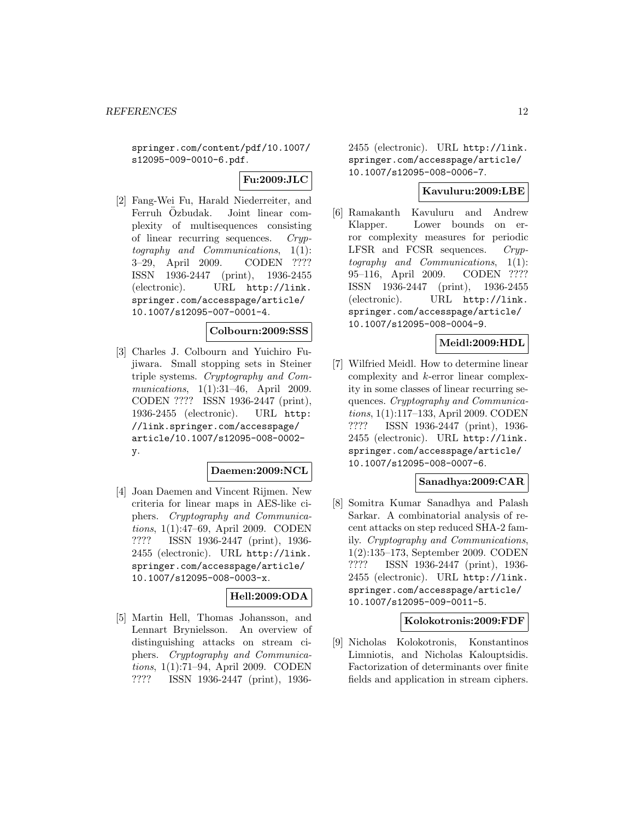springer.com/content/pdf/10.1007/ s12095-009-0010-6.pdf.

**Fu:2009:JLC**

[2] Fang-Wei Fu, Harald Niederreiter, and Ferruh Özbudak. Joint linear complexity of multisequences consisting of linear recurring sequences. Cryptography and Communications, 1(1): 3–29, April 2009. CODEN ???? ISSN 1936-2447 (print), 1936-2455 (electronic). URL http://link. springer.com/accesspage/article/ 10.1007/s12095-007-0001-4.

#### **Colbourn:2009:SSS**

[3] Charles J. Colbourn and Yuichiro Fujiwara. Small stopping sets in Steiner triple systems. Cryptography and Communications, 1(1):31-46, April 2009. CODEN ???? ISSN 1936-2447 (print), 1936-2455 (electronic). URL http: //link.springer.com/accesspage/ article/10.1007/s12095-008-0002 y.

#### **Daemen:2009:NCL**

[4] Joan Daemen and Vincent Rijmen. New criteria for linear maps in AES-like ciphers. Cryptography and Communications, 1(1):47–69, April 2009. CODEN ???? ISSN 1936-2447 (print), 1936- 2455 (electronic). URL http://link. springer.com/accesspage/article/ 10.1007/s12095-008-0003-x.

### **Hell:2009:ODA**

[5] Martin Hell, Thomas Johansson, and Lennart Brynielsson. An overview of distinguishing attacks on stream ciphers. Cryptography and Communications, 1(1):71–94, April 2009. CODEN ???? ISSN 1936-2447 (print), 19362455 (electronic). URL http://link. springer.com/accesspage/article/ 10.1007/s12095-008-0006-7.

#### **Kavuluru:2009:LBE**

[6] Ramakanth Kavuluru and Andrew Klapper. Lower bounds on error complexity measures for periodic LFSR and FCSR sequences. Cryptography and Communications, 1(1): 95–116, April 2009. CODEN ???? ISSN 1936-2447 (print), 1936-2455 (electronic). URL http://link. springer.com/accesspage/article/ 10.1007/s12095-008-0004-9.

### **Meidl:2009:HDL**

[7] Wilfried Meidl. How to determine linear complexity and k-error linear complexity in some classes of linear recurring sequences. Cryptography and Communications, 1(1):117–133, April 2009. CODEN ???? ISSN 1936-2447 (print), 1936- 2455 (electronic). URL http://link. springer.com/accesspage/article/ 10.1007/s12095-008-0007-6.

#### **Sanadhya:2009:CAR**

[8] Somitra Kumar Sanadhya and Palash Sarkar. A combinatorial analysis of recent attacks on step reduced SHA-2 family. Cryptography and Communications, 1(2):135–173, September 2009. CODEN ???? ISSN 1936-2447 (print), 1936- 2455 (electronic). URL http://link. springer.com/accesspage/article/ 10.1007/s12095-009-0011-5.

# **Kolokotronis:2009:FDF**

[9] Nicholas Kolokotronis, Konstantinos Limniotis, and Nicholas Kalouptsidis. Factorization of determinants over finite fields and application in stream ciphers.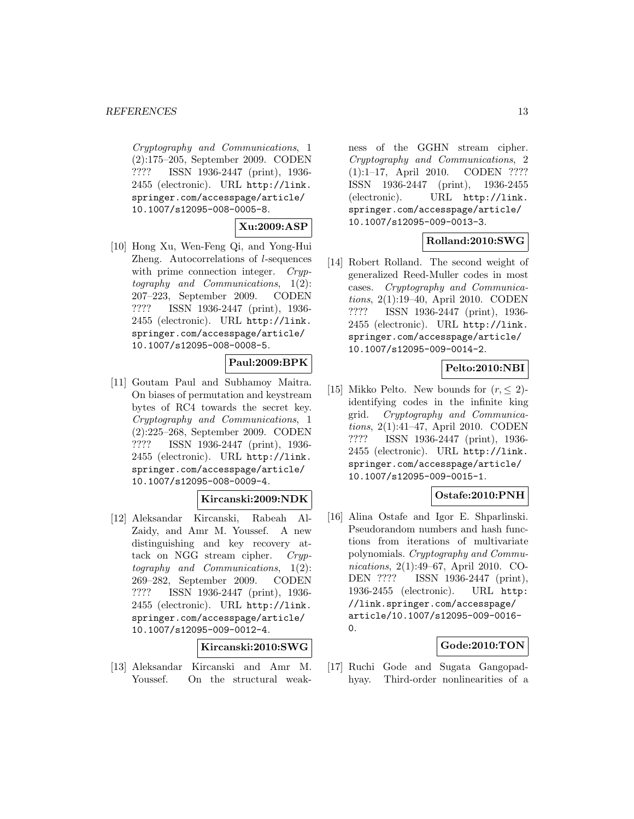Cryptography and Communications, 1 (2):175–205, September 2009. CODEN ???? ISSN 1936-2447 (print), 1936- 2455 (electronic). URL http://link. springer.com/accesspage/article/ 10.1007/s12095-008-0005-8.

#### **Xu:2009:ASP**

[10] Hong Xu, Wen-Feng Qi, and Yong-Hui Zheng. Autocorrelations of l-sequences with prime connection integer. Cryptography and Communications, 1(2): 207–223, September 2009. CODEN ???? ISSN 1936-2447 (print), 1936- 2455 (electronic). URL http://link. springer.com/accesspage/article/ 10.1007/s12095-008-0008-5.

#### **Paul:2009:BPK**

[11] Goutam Paul and Subhamoy Maitra. On biases of permutation and keystream bytes of RC4 towards the secret key. Cryptography and Communications, 1 (2):225–268, September 2009. CODEN ???? ISSN 1936-2447 (print), 1936- 2455 (electronic). URL http://link. springer.com/accesspage/article/ 10.1007/s12095-008-0009-4.

#### **Kircanski:2009:NDK**

[12] Aleksandar Kircanski, Rabeah Al-Zaidy, and Amr M. Youssef. A new distinguishing and key recovery attack on NGG stream cipher. Cryptography and Communications, 1(2): 269–282, September 2009. CODEN ???? ISSN 1936-2447 (print), 1936- 2455 (electronic). URL http://link. springer.com/accesspage/article/ 10.1007/s12095-009-0012-4.

**Kircanski:2010:SWG**

[13] Aleksandar Kircanski and Amr M. Youssef. On the structural weakness of the GGHN stream cipher. Cryptography and Communications, 2 (1):1–17, April 2010. CODEN ???? ISSN 1936-2447 (print), 1936-2455 (electronic). URL http://link. springer.com/accesspage/article/ 10.1007/s12095-009-0013-3.

#### **Rolland:2010:SWG**

[14] Robert Rolland. The second weight of generalized Reed-Muller codes in most cases. Cryptography and Communications, 2(1):19–40, April 2010. CODEN ???? ISSN 1936-2447 (print), 1936- 2455 (electronic). URL http://link. springer.com/accesspage/article/ 10.1007/s12095-009-0014-2.

#### **Pelto:2010:NBI**

[15] Mikko Pelto. New bounds for  $(r, \leq 2)$ identifying codes in the infinite king grid. Cryptography and Communications, 2(1):41–47, April 2010. CODEN ???? ISSN 1936-2447 (print), 1936- 2455 (electronic). URL http://link. springer.com/accesspage/article/ 10.1007/s12095-009-0015-1.

# **Ostafe:2010:PNH**

[16] Alina Ostafe and Igor E. Shparlinski. Pseudorandom numbers and hash functions from iterations of multivariate polynomials. Cryptography and Communications, 2(1):49–67, April 2010. CO-DEN ???? ISSN 1936-2447 (print), 1936-2455 (electronic). URL http: //link.springer.com/accesspage/ article/10.1007/s12095-009-0016- 0.

#### **Gode:2010:TON**

[17] Ruchi Gode and Sugata Gangopadhyay. Third-order nonlinearities of a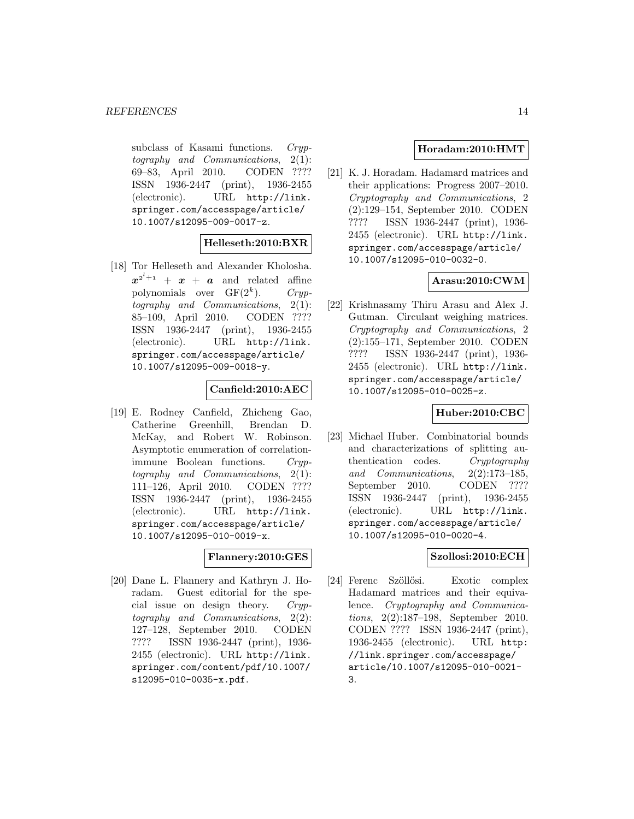subclass of Kasami functions. Cryptography and Communications, 2(1): 69–83, April 2010. CODEN ???? ISSN 1936-2447 (print), 1936-2455 (electronic). URL http://link. springer.com/accesspage/article/ 10.1007/s12095-009-0017-z.

#### **Helleseth:2010:BXR**

[18] Tor Helleseth and Alexander Kholosha.  $x^{2^{l}+1} + x + a$  and related affine polynomials over  $GF(2^k)$ . Cryptography and Communications, 2(1): 85–109, April 2010. CODEN ???? ISSN 1936-2447 (print), 1936-2455 (electronic). URL http://link. springer.com/accesspage/article/ 10.1007/s12095-009-0018-y.

#### **Canfield:2010:AEC**

[19] E. Rodney Canfield, Zhicheng Gao, Catherine Greenhill, Brendan D. McKay, and Robert W. Robinson. Asymptotic enumeration of correlationimmune Boolean functions. Cryptography and Communications, 2(1): 111–126, April 2010. CODEN ???? ISSN 1936-2447 (print), 1936-2455 (electronic). URL http://link. springer.com/accesspage/article/ 10.1007/s12095-010-0019-x.

### **Flannery:2010:GES**

[20] Dane L. Flannery and Kathryn J. Horadam. Guest editorial for the special issue on design theory. Cryptography and Communications, 2(2): 127–128, September 2010. CODEN ???? ISSN 1936-2447 (print), 1936- 2455 (electronic). URL http://link. springer.com/content/pdf/10.1007/ s12095-010-0035-x.pdf.

#### **Horadam:2010:HMT**

[21] K. J. Horadam. Hadamard matrices and their applications: Progress 2007–2010. Cryptography and Communications, 2 (2):129–154, September 2010. CODEN ???? ISSN 1936-2447 (print), 1936- 2455 (electronic). URL http://link. springer.com/accesspage/article/ 10.1007/s12095-010-0032-0.

#### **Arasu:2010:CWM**

[22] Krishnasamy Thiru Arasu and Alex J. Gutman. Circulant weighing matrices. Cryptography and Communications, 2 (2):155–171, September 2010. CODEN ???? ISSN 1936-2447 (print), 1936- 2455 (electronic). URL http://link. springer.com/accesspage/article/ 10.1007/s12095-010-0025-z.

#### **Huber:2010:CBC**

[23] Michael Huber. Combinatorial bounds and characterizations of splitting authentication codes. Cryptography and Communications, 2(2):173–185, September 2010. CODEN ???? ISSN 1936-2447 (print), 1936-2455 (electronic). URL http://link. springer.com/accesspage/article/ 10.1007/s12095-010-0020-4.

#### **Szollosi:2010:ECH**

[24] Ferenc Szöllősi. Exotic complex Hadamard matrices and their equivalence. Cryptography and Communications, 2(2):187–198, September 2010. CODEN ???? ISSN 1936-2447 (print), 1936-2455 (electronic). URL http: //link.springer.com/accesspage/ article/10.1007/s12095-010-0021- 3.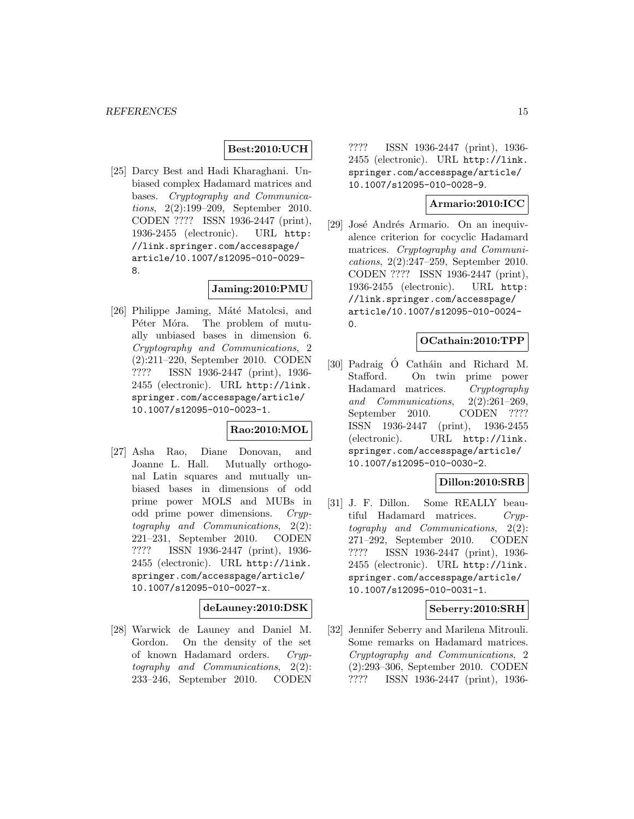### **Best:2010:UCH**

[25] Darcy Best and Hadi Kharaghani. Unbiased complex Hadamard matrices and bases. Cryptography and Communications, 2(2):199–209, September 2010. CODEN ???? ISSN 1936-2447 (print), 1936-2455 (electronic). URL http: //link.springer.com/accesspage/ article/10.1007/s12095-010-0029- 8.

#### **Jaming:2010:PMU**

[26] Philippe Jaming, Máté Matolcsi, and Péter Móra. The problem of mutually unbiased bases in dimension 6. Cryptography and Communications, 2 (2):211–220, September 2010. CODEN ???? ISSN 1936-2447 (print), 1936- 2455 (electronic). URL http://link. springer.com/accesspage/article/ 10.1007/s12095-010-0023-1.

#### **Rao:2010:MOL**

[27] Asha Rao, Diane Donovan, and Joanne L. Hall. Mutually orthogonal Latin squares and mutually unbiased bases in dimensions of odd prime power MOLS and MUBs in odd prime power dimensions. Cryptography and Communications, 2(2): 221–231, September 2010. CODEN ???? ISSN 1936-2447 (print), 1936- 2455 (electronic). URL http://link. springer.com/accesspage/article/ 10.1007/s12095-010-0027-x.

#### **deLauney:2010:DSK**

[28] Warwick de Launey and Daniel M. Gordon. On the density of the set of known Hadamard orders. Cryptography and Communications, 2(2): 233–246, September 2010. CODEN ???? ISSN 1936-2447 (print), 1936- 2455 (electronic). URL http://link. springer.com/accesspage/article/ 10.1007/s12095-010-0028-9.

#### **Armario:2010:ICC**

[29] José Andrés Armario. On an inequivalence criterion for cocyclic Hadamard matrices. Cryptography and Communications, 2(2):247–259, September 2010. CODEN ???? ISSN 1936-2447 (print), 1936-2455 (electronic). URL http: //link.springer.com/accesspage/ article/10.1007/s12095-010-0024-  $\Omega$ .

### **OCathain:2010:TPP**

[30] Padraig Ó Catháin and Richard M. Stafford. On twin prime power Hadamard matrices. Cryptography and Communications, 2(2):261–269, September 2010. CODEN ???? ISSN 1936-2447 (print), 1936-2455 (electronic). URL http://link. springer.com/accesspage/article/ 10.1007/s12095-010-0030-2.

#### **Dillon:2010:SRB**

[31] J. F. Dillon. Some REALLY beautiful Hadamard matrices. Cryptography and Communications, 2(2): 271–292, September 2010. CODEN ???? ISSN 1936-2447 (print), 1936- 2455 (electronic). URL http://link. springer.com/accesspage/article/ 10.1007/s12095-010-0031-1.

#### **Seberry:2010:SRH**

[32] Jennifer Seberry and Marilena Mitrouli. Some remarks on Hadamard matrices. Cryptography and Communications, 2 (2):293–306, September 2010. CODEN ???? ISSN 1936-2447 (print), 1936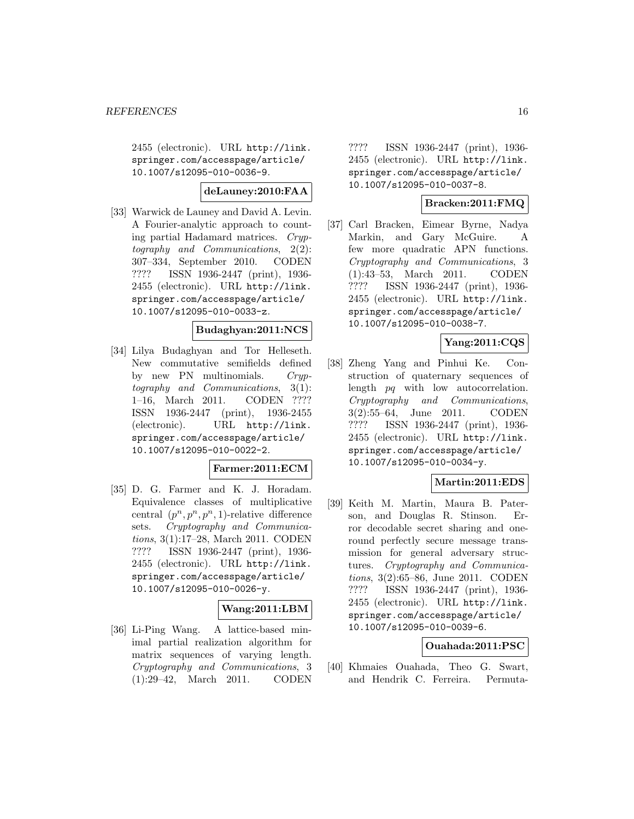2455 (electronic). URL http://link. springer.com/accesspage/article/ 10.1007/s12095-010-0036-9.

#### **deLauney:2010:FAA**

[33] Warwick de Launey and David A. Levin. A Fourier-analytic approach to counting partial Hadamard matrices. Cryptography and Communications, 2(2): 307–334, September 2010. CODEN ???? ISSN 1936-2447 (print), 1936- 2455 (electronic). URL http://link. springer.com/accesspage/article/ 10.1007/s12095-010-0033-z.

#### **Budaghyan:2011:NCS**

[34] Lilya Budaghyan and Tor Helleseth. New commutative semifields defined by new PN multinomials. Cryptography and Communications, 3(1): 1–16, March 2011. CODEN ???? ISSN 1936-2447 (print), 1936-2455 (electronic). URL http://link. springer.com/accesspage/article/ 10.1007/s12095-010-0022-2.

#### **Farmer:2011:ECM**

[35] D. G. Farmer and K. J. Horadam. Equivalence classes of multiplicative central  $(p^n, p^n, p^n, 1)$ -relative difference sets. Cryptography and Communications, 3(1):17–28, March 2011. CODEN ???? ISSN 1936-2447 (print), 1936- 2455 (electronic). URL http://link. springer.com/accesspage/article/ 10.1007/s12095-010-0026-y.

#### **Wang:2011:LBM**

[36] Li-Ping Wang. A lattice-based minimal partial realization algorithm for matrix sequences of varying length. Cryptography and Communications, 3 (1):29–42, March 2011. CODEN

???? ISSN 1936-2447 (print), 1936- 2455 (electronic). URL http://link. springer.com/accesspage/article/ 10.1007/s12095-010-0037-8.

#### **Bracken:2011:FMQ**

[37] Carl Bracken, Eimear Byrne, Nadya Markin, and Gary McGuire. A few more quadratic APN functions. Cryptography and Communications, 3 (1):43–53, March 2011. CODEN ???? ISSN 1936-2447 (print), 1936- 2455 (electronic). URL http://link. springer.com/accesspage/article/ 10.1007/s12095-010-0038-7.

# **Yang:2011:CQS**

[38] Zheng Yang and Pinhui Ke. Construction of quaternary sequences of length pq with low autocorrelation. Cryptography and Communications, 3(2):55–64, June 2011. CODEN ???? ISSN 1936-2447 (print), 1936- 2455 (electronic). URL http://link. springer.com/accesspage/article/ 10.1007/s12095-010-0034-y.

#### **Martin:2011:EDS**

[39] Keith M. Martin, Maura B. Paterson, and Douglas R. Stinson. Error decodable secret sharing and oneround perfectly secure message transmission for general adversary structures. Cryptography and Communications, 3(2):65–86, June 2011. CODEN ???? ISSN 1936-2447 (print), 1936- 2455 (electronic). URL http://link. springer.com/accesspage/article/ 10.1007/s12095-010-0039-6.

#### **Ouahada:2011:PSC**

[40] Khmaies Ouahada, Theo G. Swart, and Hendrik C. Ferreira. Permuta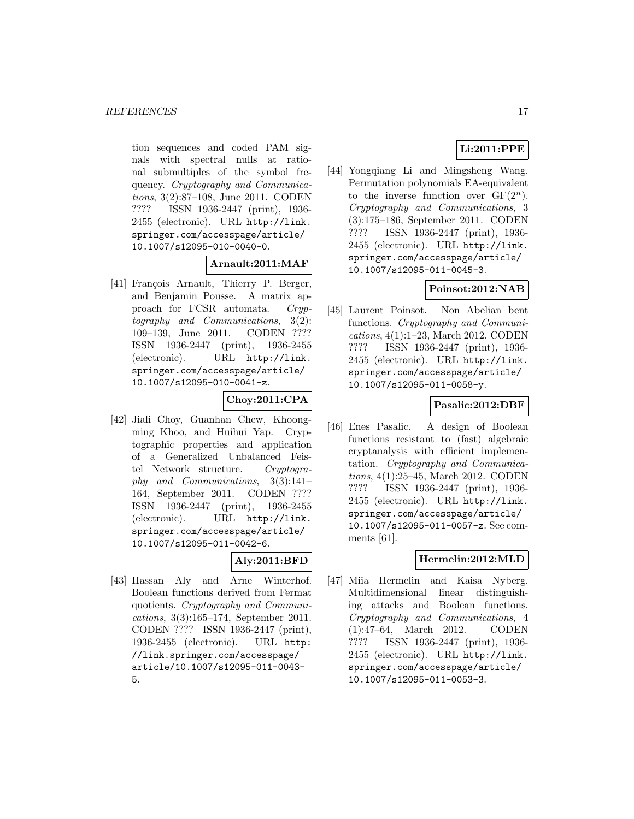tion sequences and coded PAM signals with spectral nulls at rational submultiples of the symbol frequency. Cryptography and Communications, 3(2):87–108, June 2011. CODEN ???? ISSN 1936-2447 (print), 1936- 2455 (electronic). URL http://link. springer.com/accesspage/article/ 10.1007/s12095-010-0040-0.

### **Arnault:2011:MAF**

[41] François Arnault, Thierry P. Berger, and Benjamin Pousse. A matrix approach for FCSR automata. Cryptography and Communications, 3(2): 109–139, June 2011. CODEN ???? ISSN 1936-2447 (print), 1936-2455 (electronic). URL http://link. springer.com/accesspage/article/ 10.1007/s12095-010-0041-z.

#### **Choy:2011:CPA**

[42] Jiali Choy, Guanhan Chew, Khoongming Khoo, and Huihui Yap. Cryptographic properties and application of a Generalized Unbalanced Feistel Network structure. Cruptography and Communications, 3(3):141– 164, September 2011. CODEN ???? ISSN 1936-2447 (print), 1936-2455 (electronic). URL http://link. springer.com/accesspage/article/ 10.1007/s12095-011-0042-6.

### **Aly:2011:BFD**

[43] Hassan Aly and Arne Winterhof. Boolean functions derived from Fermat quotients. Cryptography and Communications, 3(3):165–174, September 2011. CODEN ???? ISSN 1936-2447 (print), 1936-2455 (electronic). URL http: //link.springer.com/accesspage/ article/10.1007/s12095-011-0043- 5.

### **Li:2011:PPE**

[44] Yongqiang Li and Mingsheng Wang. Permutation polynomials EA-equivalent to the inverse function over  $GF(2^n)$ . Cryptography and Communications, 3 (3):175–186, September 2011. CODEN ???? ISSN 1936-2447 (print), 1936- 2455 (electronic). URL http://link. springer.com/accesspage/article/ 10.1007/s12095-011-0045-3.

# **Poinsot:2012:NAB**

[45] Laurent Poinsot. Non Abelian bent functions. Cryptography and Communications, 4(1):1–23, March 2012. CODEN ???? ISSN 1936-2447 (print), 1936- 2455 (electronic). URL http://link. springer.com/accesspage/article/ 10.1007/s12095-011-0058-y.

### **Pasalic:2012:DBF**

[46] Enes Pasalic. A design of Boolean functions resistant to (fast) algebraic cryptanalysis with efficient implementation. Cryptography and Communications, 4(1):25–45, March 2012. CODEN ???? ISSN 1936-2447 (print), 1936- 2455 (electronic). URL http://link. springer.com/accesspage/article/ 10.1007/s12095-011-0057-z. See comments [61].

#### **Hermelin:2012:MLD**

[47] Miia Hermelin and Kaisa Nyberg. Multidimensional linear distinguishing attacks and Boolean functions. Cryptography and Communications, 4 (1):47–64, March 2012. CODEN ???? ISSN 1936-2447 (print), 1936- 2455 (electronic). URL http://link. springer.com/accesspage/article/ 10.1007/s12095-011-0053-3.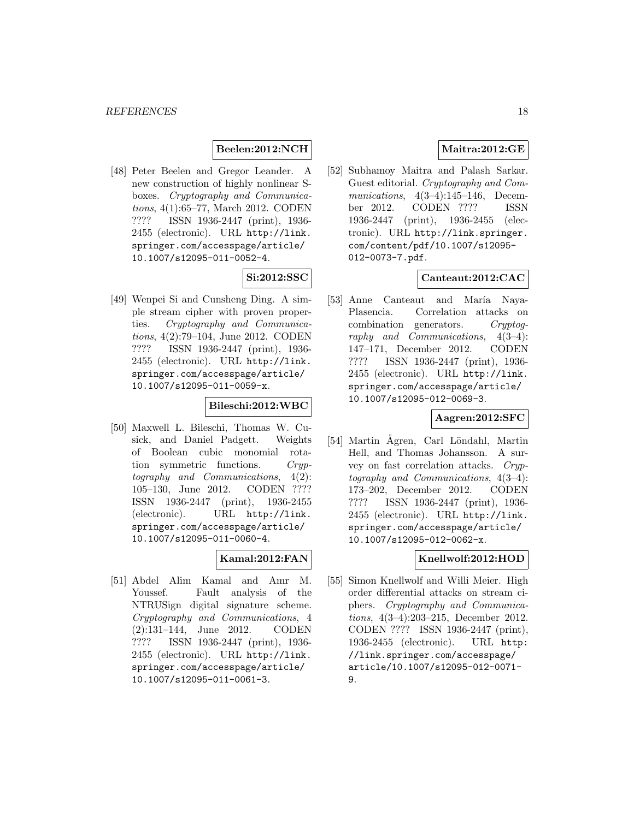#### **Beelen:2012:NCH**

[48] Peter Beelen and Gregor Leander. A new construction of highly nonlinear Sboxes. Cryptography and Communications, 4(1):65–77, March 2012. CODEN ???? ISSN 1936-2447 (print), 1936- 2455 (electronic). URL http://link. springer.com/accesspage/article/ 10.1007/s12095-011-0052-4.

#### **Si:2012:SSC**

[49] Wenpei Si and Cunsheng Ding. A simple stream cipher with proven properties. Cryptography and Communications, 4(2):79–104, June 2012. CODEN ???? ISSN 1936-2447 (print), 1936- 2455 (electronic). URL http://link. springer.com/accesspage/article/ 10.1007/s12095-011-0059-x.

#### **Bileschi:2012:WBC**

[50] Maxwell L. Bileschi, Thomas W. Cusick, and Daniel Padgett. Weights of Boolean cubic monomial rotation symmetric functions. Cryptography and Communications, 4(2): 105–130, June 2012. CODEN ???? ISSN 1936-2447 (print), 1936-2455 (electronic). URL http://link. springer.com/accesspage/article/ 10.1007/s12095-011-0060-4.

# **Kamal:2012:FAN**

[51] Abdel Alim Kamal and Amr M. Youssef. Fault analysis of the NTRUSign digital signature scheme. Cryptography and Communications, 4 (2):131–144, June 2012. CODEN ???? ISSN 1936-2447 (print), 1936- 2455 (electronic). URL http://link. springer.com/accesspage/article/ 10.1007/s12095-011-0061-3.

#### **Maitra:2012:GE**

[52] Subhamoy Maitra and Palash Sarkar. Guest editorial. Cryptography and Communications, 4(3–4):145–146, December 2012. CODEN ???? ISSN 1936-2447 (print), 1936-2455 (electronic). URL http://link.springer. com/content/pdf/10.1007/s12095- 012-0073-7.pdf.

#### **Canteaut:2012:CAC**

[53] Anne Canteaut and María Naya-Plasencia. Correlation attacks on combination generators. Cryptography and Communications, 4(3–4): 147–171, December 2012. CODEN ???? ISSN 1936-2447 (print), 1936- 2455 (electronic). URL http://link. springer.com/accesspage/article/ 10.1007/s12095-012-0069-3.

#### **Aagren:2012:SFC**

[54] Martin Ågren, Carl Löndahl, Martin Hell, and Thomas Johansson. A survey on fast correlation attacks. Cryptography and Communications, 4(3–4): 173–202, December 2012. CODEN ???? ISSN 1936-2447 (print), 1936- 2455 (electronic). URL http://link. springer.com/accesspage/article/ 10.1007/s12095-012-0062-x.

#### **Knellwolf:2012:HOD**

[55] Simon Knellwolf and Willi Meier. High order differential attacks on stream ciphers. Cryptography and Communications, 4(3–4):203–215, December 2012. CODEN ???? ISSN 1936-2447 (print), 1936-2455 (electronic). URL http: //link.springer.com/accesspage/ article/10.1007/s12095-012-0071- 9.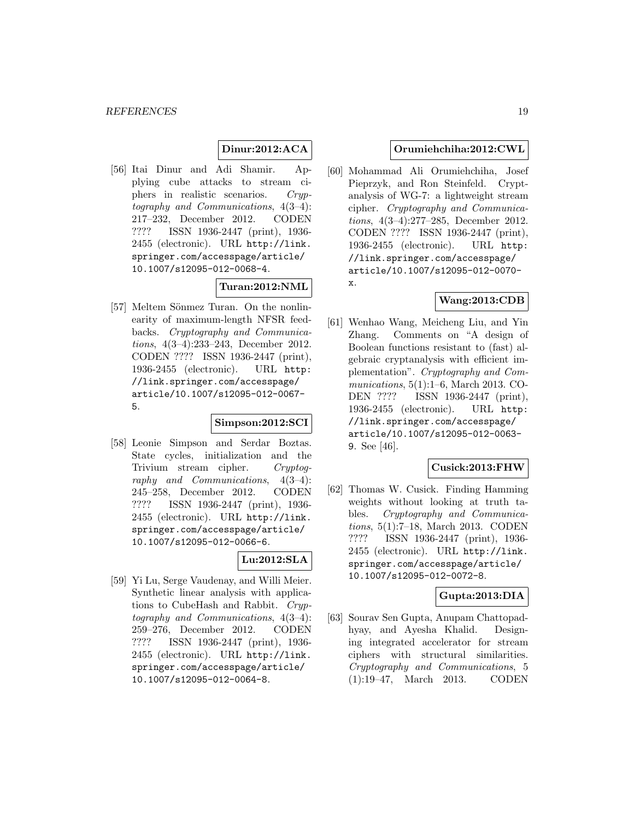### **Dinur:2012:ACA**

[56] Itai Dinur and Adi Shamir. Applying cube attacks to stream ciphers in realistic scenarios. Cryptography and Communications, 4(3–4): 217–232, December 2012. CODEN ???? ISSN 1936-2447 (print), 1936- 2455 (electronic). URL http://link. springer.com/accesspage/article/ 10.1007/s12095-012-0068-4.

#### **Turan:2012:NML**

[57] Meltem Sönmez Turan. On the nonlinearity of maximum-length NFSR feedbacks. Cryptography and Communications, 4(3–4):233–243, December 2012. CODEN ???? ISSN 1936-2447 (print), 1936-2455 (electronic). URL http: //link.springer.com/accesspage/ article/10.1007/s12095-012-0067- 5.

#### **Simpson:2012:SCI**

[58] Leonie Simpson and Serdar Boztas. State cycles, initialization and the Trivium stream cipher. Cryptography and Communications, 4(3–4): 245–258, December 2012. CODEN ???? ISSN 1936-2447 (print), 1936- 2455 (electronic). URL http://link. springer.com/accesspage/article/ 10.1007/s12095-012-0066-6.

### **Lu:2012:SLA**

[59] Yi Lu, Serge Vaudenay, and Willi Meier. Synthetic linear analysis with applications to CubeHash and Rabbit. Cryptography and Communications, 4(3–4): 259–276, December 2012. CODEN ???? ISSN 1936-2447 (print), 1936- 2455 (electronic). URL http://link. springer.com/accesspage/article/ 10.1007/s12095-012-0064-8.

#### **Orumiehchiha:2012:CWL**

[60] Mohammad Ali Orumiehchiha, Josef Pieprzyk, and Ron Steinfeld. Cryptanalysis of WG-7: a lightweight stream cipher. Cryptography and Communications, 4(3–4):277–285, December 2012. CODEN ???? ISSN 1936-2447 (print), 1936-2455 (electronic). URL http: //link.springer.com/accesspage/ article/10.1007/s12095-012-0070 x.

#### **Wang:2013:CDB**

[61] Wenhao Wang, Meicheng Liu, and Yin Zhang. Comments on "A design of Boolean functions resistant to (fast) algebraic cryptanalysis with efficient implementation". Cryptography and Communications, 5(1):1–6, March 2013. CO-DEN ???? ISSN 1936-2447 (print), 1936-2455 (electronic). URL http: //link.springer.com/accesspage/ article/10.1007/s12095-012-0063- 9. See [46].

#### **Cusick:2013:FHW**

[62] Thomas W. Cusick. Finding Hamming weights without looking at truth tables. Cryptography and Communications, 5(1):7–18, March 2013. CODEN ???? ISSN 1936-2447 (print), 1936- 2455 (electronic). URL http://link. springer.com/accesspage/article/ 10.1007/s12095-012-0072-8.

#### **Gupta:2013:DIA**

[63] Sourav Sen Gupta, Anupam Chattopadhyay, and Ayesha Khalid. Designing integrated accelerator for stream ciphers with structural similarities. Cryptography and Communications, 5 (1):19–47, March 2013. CODEN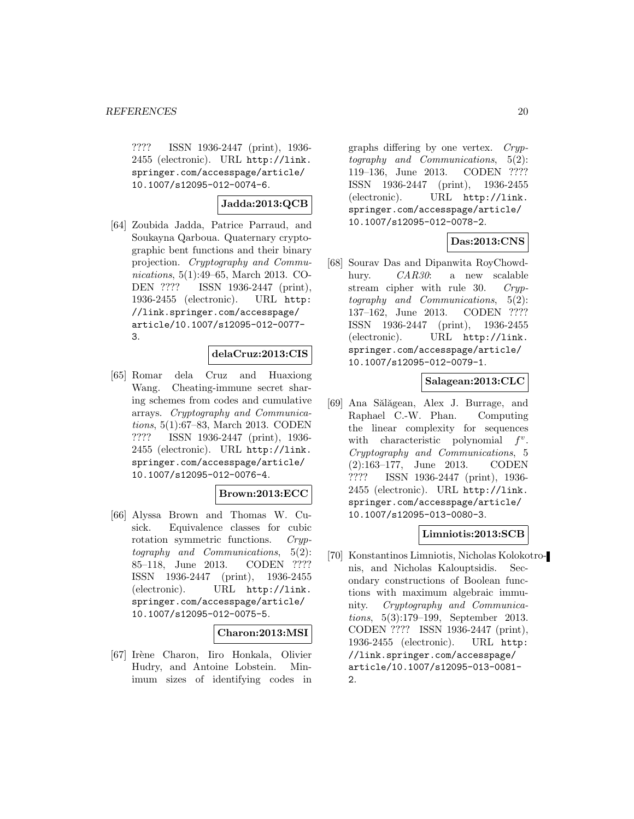???? ISSN 1936-2447 (print), 1936- 2455 (electronic). URL http://link. springer.com/accesspage/article/ 10.1007/s12095-012-0074-6.

# **Jadda:2013:QCB**

[64] Zoubida Jadda, Patrice Parraud, and Soukayna Qarboua. Quaternary cryptographic bent functions and their binary projection. Cryptography and Communications, 5(1):49–65, March 2013. CO-DEN ???? ISSN 1936-2447 (print), 1936-2455 (electronic). URL http: //link.springer.com/accesspage/ article/10.1007/s12095-012-0077- 3.

#### **delaCruz:2013:CIS**

[65] Romar dela Cruz and Huaxiong Wang. Cheating-immune secret sharing schemes from codes and cumulative arrays. Cryptography and Communications, 5(1):67–83, March 2013. CODEN ???? ISSN 1936-2447 (print), 1936- 2455 (electronic). URL http://link. springer.com/accesspage/article/ 10.1007/s12095-012-0076-4.

### **Brown:2013:ECC**

[66] Alyssa Brown and Thomas W. Cusick. Equivalence classes for cubic rotation symmetric functions. Cryptography and Communications, 5(2): 85–118, June 2013. CODEN ???? ISSN 1936-2447 (print), 1936-2455 (electronic). URL http://link. springer.com/accesspage/article/ 10.1007/s12095-012-0075-5.

#### **Charon:2013:MSI**

[67] Irène Charon, Iiro Honkala, Olivier Hudry, and Antoine Lobstein. Minimum sizes of identifying codes in

graphs differing by one vertex. Cryptography and Communications, 5(2): 119–136, June 2013. CODEN ???? ISSN 1936-2447 (print), 1936-2455 (electronic). URL http://link. springer.com/accesspage/article/ 10.1007/s12095-012-0078-2.

#### **Das:2013:CNS**

[68] Sourav Das and Dipanwita RoyChowdhury. *CAR30*: a new scalable stream cipher with rule 30. Cryptography and Communications, 5(2): 137–162, June 2013. CODEN ???? ISSN 1936-2447 (print), 1936-2455 (electronic). URL http://link. springer.com/accesspage/article/ 10.1007/s12095-012-0079-1.

#### **Salagean:2013:CLC**

[69] Ana Sălăgean, Alex J. Burrage, and Raphael C.-W. Phan. Computing the linear complexity for sequences with characteristic polynomial  $f^v$ . Cryptography and Communications, 5 (2):163–177, June 2013. CODEN ???? ISSN 1936-2447 (print), 1936- 2455 (electronic). URL http://link. springer.com/accesspage/article/ 10.1007/s12095-013-0080-3.

#### **Limniotis:2013:SCB**

[70] Konstantinos Limniotis, Nicholas Kolokotronis, and Nicholas Kalouptsidis. Secondary constructions of Boolean functions with maximum algebraic immunity. Cryptography and Communications, 5(3):179–199, September 2013. CODEN ???? ISSN 1936-2447 (print), 1936-2455 (electronic). URL http: //link.springer.com/accesspage/ article/10.1007/s12095-013-0081- 2.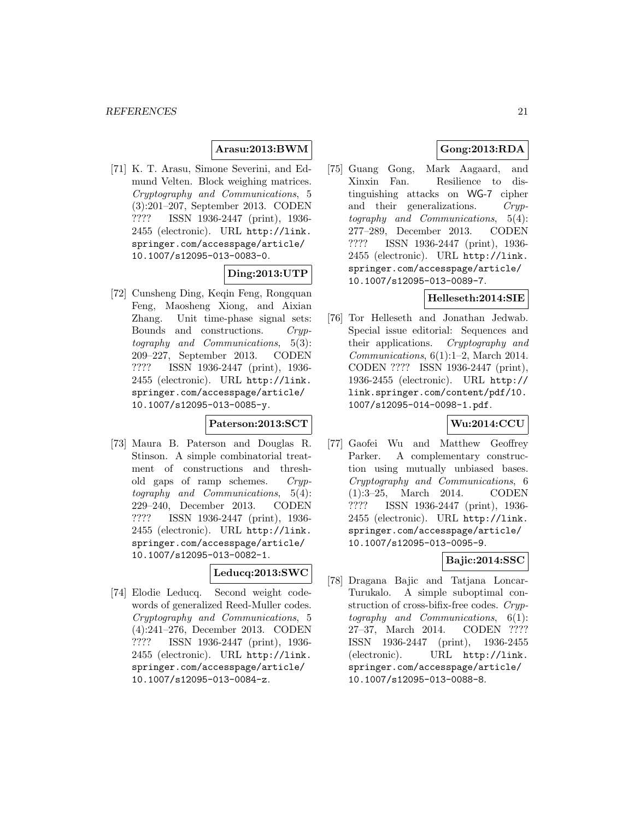### **Arasu:2013:BWM**

[71] K. T. Arasu, Simone Severini, and Edmund Velten. Block weighing matrices. Cryptography and Communications, 5 (3):201–207, September 2013. CODEN ???? ISSN 1936-2447 (print), 1936- 2455 (electronic). URL http://link. springer.com/accesspage/article/ 10.1007/s12095-013-0083-0.

#### **Ding:2013:UTP**

[72] Cunsheng Ding, Keqin Feng, Rongquan Feng, Maosheng Xiong, and Aixian Zhang. Unit time-phase signal sets: Bounds and constructions. Cryptography and Communications, 5(3): 209–227, September 2013. CODEN ???? ISSN 1936-2447 (print), 1936- 2455 (electronic). URL http://link. springer.com/accesspage/article/ 10.1007/s12095-013-0085-y.

### **Paterson:2013:SCT**

[73] Maura B. Paterson and Douglas R. Stinson. A simple combinatorial treatment of constructions and threshold gaps of ramp schemes. Cryptography and Communications, 5(4): 229–240, December 2013. CODEN ???? ISSN 1936-2447 (print), 1936- 2455 (electronic). URL http://link. springer.com/accesspage/article/ 10.1007/s12095-013-0082-1.

### **Leducq:2013:SWC**

[74] Elodie Leducq. Second weight codewords of generalized Reed-Muller codes. Cryptography and Communications, 5 (4):241–276, December 2013. CODEN ???? ISSN 1936-2447 (print), 1936- 2455 (electronic). URL http://link. springer.com/accesspage/article/ 10.1007/s12095-013-0084-z.

# **Gong:2013:RDA**

[75] Guang Gong, Mark Aagaard, and Xinxin Fan. Resilience to distinguishing attacks on WG-7 cipher and their generalizations. Cryptography and Communications, 5(4): 277–289, December 2013. CODEN ???? ISSN 1936-2447 (print), 1936- 2455 (electronic). URL http://link. springer.com/accesspage/article/ 10.1007/s12095-013-0089-7.

#### **Helleseth:2014:SIE**

[76] Tor Helleseth and Jonathan Jedwab. Special issue editorial: Sequences and their applications. Cryptography and Communications, 6(1):1–2, March 2014. CODEN ???? ISSN 1936-2447 (print), 1936-2455 (electronic). URL http:// link.springer.com/content/pdf/10. 1007/s12095-014-0098-1.pdf.

**Wu:2014:CCU**

[77] Gaofei Wu and Matthew Geoffrey Parker. A complementary construction using mutually unbiased bases. Cryptography and Communications, 6 (1):3–25, March 2014. CODEN ???? ISSN 1936-2447 (print), 1936- 2455 (electronic). URL http://link. springer.com/accesspage/article/ 10.1007/s12095-013-0095-9.

# **Bajic:2014:SSC**

[78] Dragana Bajic and Tatjana Loncar-Turukalo. A simple suboptimal construction of cross-bifix-free codes. Cryptography and Communications, 6(1): 27–37, March 2014. CODEN ???? ISSN 1936-2447 (print), 1936-2455 (electronic). URL http://link. springer.com/accesspage/article/ 10.1007/s12095-013-0088-8.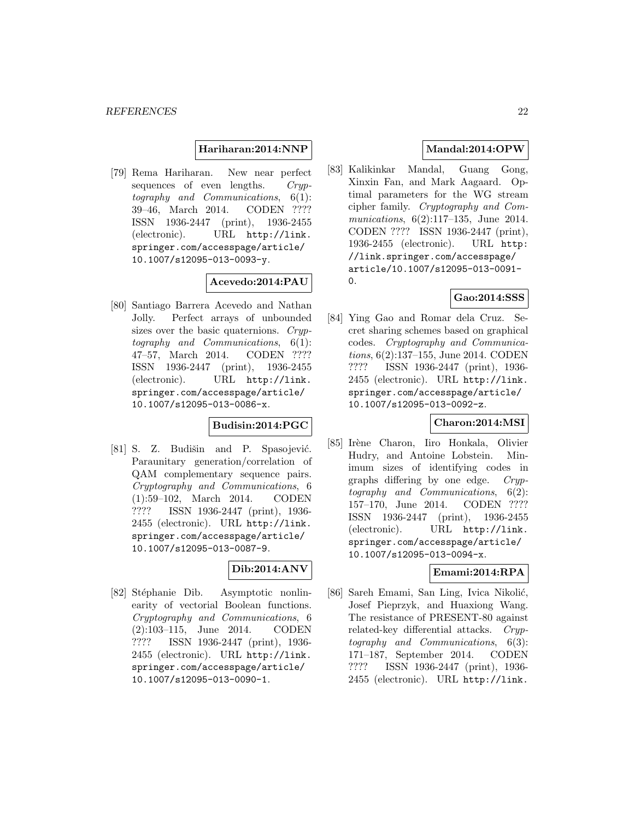#### **Hariharan:2014:NNP**

[79] Rema Hariharan. New near perfect sequences of even lengths. Cryptography and Communications, 6(1): 39–46, March 2014. CODEN ???? ISSN 1936-2447 (print), 1936-2455 (electronic). URL http://link. springer.com/accesspage/article/ 10.1007/s12095-013-0093-y.

#### **Acevedo:2014:PAU**

[80] Santiago Barrera Acevedo and Nathan Jolly. Perfect arrays of unbounded sizes over the basic quaternions. Cryptography and Communications, 6(1): 47–57, March 2014. CODEN ???? ISSN 1936-2447 (print), 1936-2455 (electronic). URL http://link. springer.com/accesspage/article/ 10.1007/s12095-013-0086-x.

## **Budisin:2014:PGC**

[81] S. Z. Budišin and P. Spasojević. Paraunitary generation/correlation of QAM complementary sequence pairs. Cryptography and Communications, 6 (1):59–102, March 2014. CODEN ???? ISSN 1936-2447 (print), 1936- 2455 (electronic). URL http://link. springer.com/accesspage/article/ 10.1007/s12095-013-0087-9.

# **Dib:2014:ANV**

[82] Stéphanie Dib. Asymptotic nonlinearity of vectorial Boolean functions. Cryptography and Communications, 6 (2):103–115, June 2014. CODEN ???? ISSN 1936-2447 (print), 1936- 2455 (electronic). URL http://link. springer.com/accesspage/article/ 10.1007/s12095-013-0090-1.

#### **Mandal:2014:OPW**

[83] Kalikinkar Mandal, Guang Gong, Xinxin Fan, and Mark Aagaard. Optimal parameters for the WG stream cipher family. Cryptography and Communications, 6(2):117-135, June 2014. CODEN ???? ISSN 1936-2447 (print), 1936-2455 (electronic). URL http: //link.springer.com/accesspage/ article/10.1007/s12095-013-0091- 0.

#### **Gao:2014:SSS**

[84] Ying Gao and Romar dela Cruz. Secret sharing schemes based on graphical codes. Cryptography and Communications, 6(2):137–155, June 2014. CODEN ???? ISSN 1936-2447 (print), 1936- 2455 (electronic). URL http://link. springer.com/accesspage/article/ 10.1007/s12095-013-0092-z.

#### **Charon:2014:MSI**

[85] Irène Charon, Iiro Honkala, Olivier Hudry, and Antoine Lobstein. Minimum sizes of identifying codes in graphs differing by one edge. Cryptography and Communications, 6(2): 157–170, June 2014. CODEN ???? ISSN 1936-2447 (print), 1936-2455 (electronic). URL http://link. springer.com/accesspage/article/ 10.1007/s12095-013-0094-x.

#### **Emami:2014:RPA**

[86] Sareh Emami, San Ling, Ivica Nikolić, Josef Pieprzyk, and Huaxiong Wang. The resistance of PRESENT-80 against related-key differential attacks. Cryptography and Communications, 6(3): 171–187, September 2014. CODEN ???? ISSN 1936-2447 (print), 1936- 2455 (electronic). URL http://link.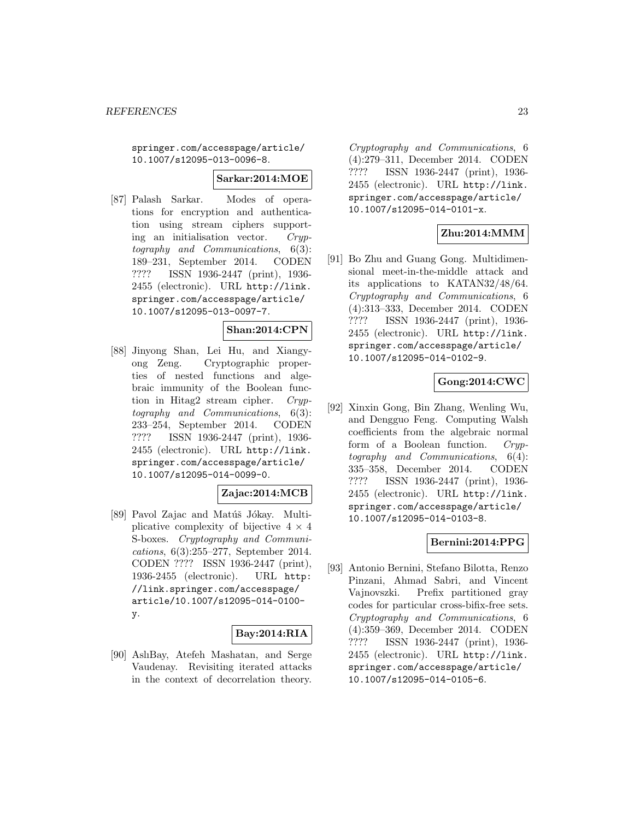springer.com/accesspage/article/ 10.1007/s12095-013-0096-8.

**Sarkar:2014:MOE**

[87] Palash Sarkar. Modes of operations for encryption and authentication using stream ciphers supporting an initialisation vector. Cryptography and Communications, 6(3): 189–231, September 2014. CODEN ???? ISSN 1936-2447 (print), 1936- 2455 (electronic). URL http://link. springer.com/accesspage/article/ 10.1007/s12095-013-0097-7.

#### **Shan:2014:CPN**

[88] Jinyong Shan, Lei Hu, and Xiangyong Zeng. Cryptographic properties of nested functions and algebraic immunity of the Boolean function in Hitag2 stream cipher. Cryptography and Communications, 6(3): 233–254, September 2014. CODEN ???? ISSN 1936-2447 (print), 1936- 2455 (electronic). URL http://link. springer.com/accesspage/article/ 10.1007/s12095-014-0099-0.

# **Zajac:2014:MCB**

[89] Pavol Zajac and Matúš Jókay. Multiplicative complexity of bijective  $4 \times 4$ S-boxes. Cryptography and Communications, 6(3):255–277, September 2014. CODEN ???? ISSN 1936-2447 (print), 1936-2455 (electronic). URL http: //link.springer.com/accesspage/ article/10.1007/s12095-014-0100 y.

#### **Bay:2014:RIA**

[90] AslıBay, Atefeh Mashatan, and Serge Vaudenay. Revisiting iterated attacks in the context of decorrelation theory.

Cryptography and Communications, 6 (4):279–311, December 2014. CODEN ???? ISSN 1936-2447 (print), 1936- 2455 (electronic). URL http://link. springer.com/accesspage/article/ 10.1007/s12095-014-0101-x.

#### **Zhu:2014:MMM**

[91] Bo Zhu and Guang Gong. Multidimensional meet-in-the-middle attack and its applications to KATAN32/48/64. Cryptography and Communications, 6 (4):313–333, December 2014. CODEN ???? ISSN 1936-2447 (print), 1936- 2455 (electronic). URL http://link. springer.com/accesspage/article/ 10.1007/s12095-014-0102-9.

### **Gong:2014:CWC**

[92] Xinxin Gong, Bin Zhang, Wenling Wu, and Dengguo Feng. Computing Walsh coefficients from the algebraic normal form of a Boolean function. Cryptography and Communications, 6(4): 335–358, December 2014. CODEN ???? ISSN 1936-2447 (print), 1936- 2455 (electronic). URL http://link. springer.com/accesspage/article/ 10.1007/s12095-014-0103-8.

### **Bernini:2014:PPG**

[93] Antonio Bernini, Stefano Bilotta, Renzo Pinzani, Ahmad Sabri, and Vincent Vajnovszki. Prefix partitioned gray codes for particular cross-bifix-free sets. Cryptography and Communications, 6 (4):359–369, December 2014. CODEN ???? ISSN 1936-2447 (print), 1936- 2455 (electronic). URL http://link. springer.com/accesspage/article/ 10.1007/s12095-014-0105-6.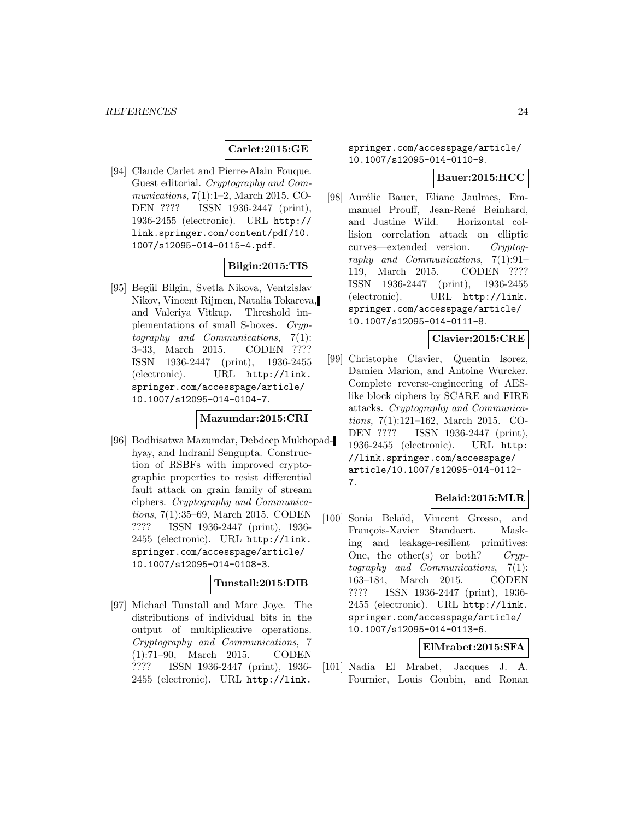#### **Carlet:2015:GE**

[94] Claude Carlet and Pierre-Alain Fouque. Guest editorial. Cryptography and Communications, 7(1):1–2, March 2015. CO-DEN ???? ISSN 1936-2447 (print), 1936-2455 (electronic). URL http:// link.springer.com/content/pdf/10. 1007/s12095-014-0115-4.pdf.

#### **Bilgin:2015:TIS**

[95] Begül Bilgin, Svetla Nikova, Ventzislav Nikov, Vincent Rijmen, Natalia Tokareva, and Valeriya Vitkup. Threshold implementations of small S-boxes. Cryptography and Communications, 7(1): 3–33, March 2015. CODEN ???? ISSN 1936-2447 (print), 1936-2455 (electronic). URL http://link. springer.com/accesspage/article/ 10.1007/s12095-014-0104-7.

#### **Mazumdar:2015:CRI**

[96] Bodhisatwa Mazumdar, Debdeep Mukhopadhyay, and Indranil Sengupta. Construction of RSBFs with improved cryptographic properties to resist differential fault attack on grain family of stream ciphers. Cryptography and Communications, 7(1):35–69, March 2015. CODEN ???? ISSN 1936-2447 (print), 1936- 2455 (electronic). URL http://link. springer.com/accesspage/article/ 10.1007/s12095-014-0108-3.

#### **Tunstall:2015:DIB**

[97] Michael Tunstall and Marc Joye. The distributions of individual bits in the output of multiplicative operations. Cryptography and Communications, 7 (1):71–90, March 2015. CODEN ???? ISSN 1936-2447 (print), 1936- 2455 (electronic). URL http://link.

springer.com/accesspage/article/ 10.1007/s12095-014-0110-9.

#### **Bauer:2015:HCC**

[98] Aurélie Bauer, Eliane Jaulmes, Emmanuel Prouff, Jean-René Reinhard, and Justine Wild. Horizontal collision correlation attack on elliptic curves—extended version. Cryptography and Communications, 7(1):91– 119, March 2015. CODEN ???? ISSN 1936-2447 (print), 1936-2455 (electronic). URL http://link. springer.com/accesspage/article/ 10.1007/s12095-014-0111-8.

#### **Clavier:2015:CRE**

[99] Christophe Clavier, Quentin Isorez, Damien Marion, and Antoine Wurcker. Complete reverse-engineering of AESlike block ciphers by SCARE and FIRE attacks. Cryptography and Communications, 7(1):121–162, March 2015. CO-DEN ???? ISSN 1936-2447 (print), 1936-2455 (electronic). URL http: //link.springer.com/accesspage/ article/10.1007/s12095-014-0112- 7.

### **Belaid:2015:MLR**

[100] Sonia Bela¨ıd, Vincent Grosso, and François-Xavier Standaert. Masking and leakage-resilient primitives: One, the other(s) or both?  $Cryp$ tography and Communications, 7(1): 163–184, March 2015. CODEN ???? ISSN 1936-2447 (print), 1936- 2455 (electronic). URL http://link. springer.com/accesspage/article/ 10.1007/s12095-014-0113-6.

#### **ElMrabet:2015:SFA**

[101] Nadia El Mrabet, Jacques J. A. Fournier, Louis Goubin, and Ronan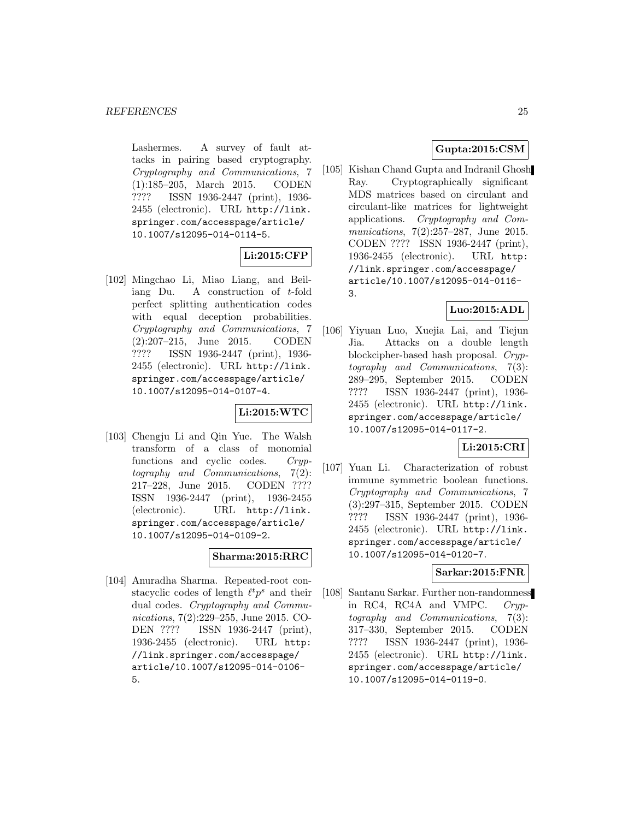Lashermes. A survey of fault attacks in pairing based cryptography. Cryptography and Communications, 7 (1):185–205, March 2015. CODEN ???? ISSN 1936-2447 (print), 1936- 2455 (electronic). URL http://link. springer.com/accesspage/article/ 10.1007/s12095-014-0114-5.

# **Li:2015:CFP**

[102] Mingchao Li, Miao Liang, and Beiliang Du. A construction of t-fold perfect splitting authentication codes with equal deception probabilities. Cryptography and Communications, 7 (2):207–215, June 2015. CODEN ???? ISSN 1936-2447 (print), 1936- 2455 (electronic). URL http://link. springer.com/accesspage/article/ 10.1007/s12095-014-0107-4.

#### **Li:2015:WTC**

[103] Chengju Li and Qin Yue. The Walsh transform of a class of monomial functions and cyclic codes. Cryptography and Communications, 7(2): 217–228, June 2015. CODEN ???? ISSN 1936-2447 (print), 1936-2455 (electronic). URL http://link. springer.com/accesspage/article/ 10.1007/s12095-014-0109-2.

#### **Sharma:2015:RRC**

[104] Anuradha Sharma. Repeated-root constacyclic codes of length  $\ell^t p^s$  and their dual codes. Cryptography and Communications, 7(2):229–255, June 2015. CO-DEN ???? ISSN 1936-2447 (print), 1936-2455 (electronic). URL http: //link.springer.com/accesspage/ article/10.1007/s12095-014-0106- 5.

### **Gupta:2015:CSM**

[105] Kishan Chand Gupta and Indranil Ghosh Ray. Cryptographically significant MDS matrices based on circulant and circulant-like matrices for lightweight applications. Cryptography and Communications, 7(2):257–287, June 2015. CODEN ???? ISSN 1936-2447 (print), 1936-2455 (electronic). URL http: //link.springer.com/accesspage/ article/10.1007/s12095-014-0116- 3.

# **Luo:2015:ADL**

[106] Yiyuan Luo, Xuejia Lai, and Tiejun Jia. Attacks on a double length blockcipher-based hash proposal. Cryptography and Communications, 7(3): 289–295, September 2015. CODEN ???? ISSN 1936-2447 (print), 1936- 2455 (electronic). URL http://link. springer.com/accesspage/article/ 10.1007/s12095-014-0117-2.

### **Li:2015:CRI**

[107] Yuan Li. Characterization of robust immune symmetric boolean functions. Cryptography and Communications, 7 (3):297–315, September 2015. CODEN ???? ISSN 1936-2447 (print), 1936- 2455 (electronic). URL http://link. springer.com/accesspage/article/ 10.1007/s12095-014-0120-7.

#### **Sarkar:2015:FNR**

[108] Santanu Sarkar. Further non-randomness in RC4, RC4A and VMPC. Cryptography and Communications, 7(3): 317–330, September 2015. CODEN ???? ISSN 1936-2447 (print), 1936- 2455 (electronic). URL http://link. springer.com/accesspage/article/ 10.1007/s12095-014-0119-0.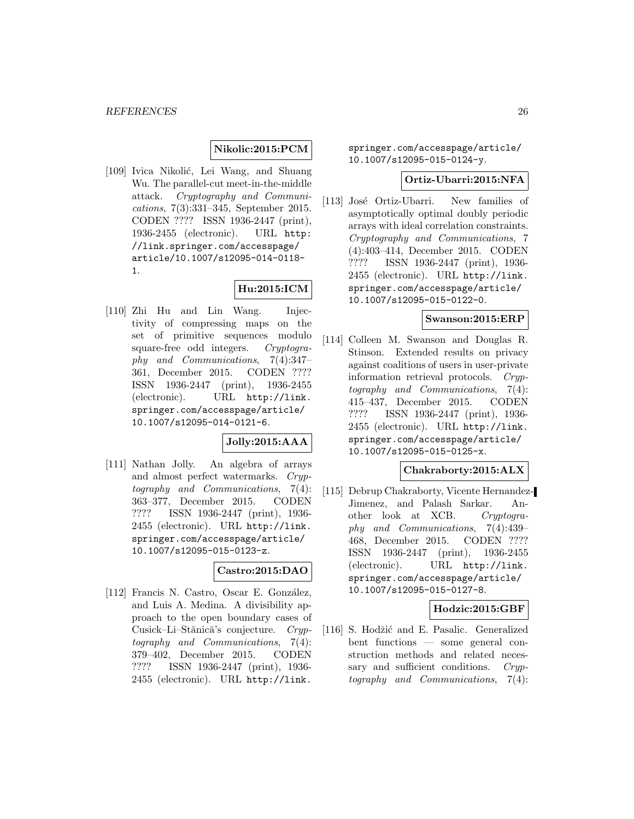#### **Nikolic:2015:PCM**

[109] Ivica Nikolić, Lei Wang, and Shuang Wu. The parallel-cut meet-in-the-middle attack. Cryptography and Communications, 7(3):331–345, September 2015. CODEN ???? ISSN 1936-2447 (print), 1936-2455 (electronic). URL http: //link.springer.com/accesspage/ article/10.1007/s12095-014-0118- 1.

# **Hu:2015:ICM**

[110] Zhi Hu and Lin Wang. Injectivity of compressing maps on the set of primitive sequences modulo square-free odd integers. Cryptography and Communications, 7(4):347– 361, December 2015. CODEN ???? ISSN 1936-2447 (print), 1936-2455 (electronic). URL http://link. springer.com/accesspage/article/ 10.1007/s12095-014-0121-6.

#### **Jolly:2015:AAA**

[111] Nathan Jolly. An algebra of arrays and almost perfect watermarks. Cryptography and Communications, 7(4): 363–377, December 2015. CODEN ???? ISSN 1936-2447 (print), 1936- 2455 (electronic). URL http://link. springer.com/accesspage/article/ 10.1007/s12095-015-0123-z.

#### **Castro:2015:DAO**

[112] Francis N. Castro, Oscar E. González, and Luis A. Medina. A divisibility approach to the open boundary cases of Cusick–Li–Stănică's conjecture. Cryptography and Communications, 7(4): 379–402, December 2015. CODEN ???? ISSN 1936-2447 (print), 1936- 2455 (electronic). URL http://link.

springer.com/accesspage/article/ 10.1007/s12095-015-0124-y.

#### **Ortiz-Ubarri:2015:NFA**

[113] José Ortiz-Ubarri. New families of asymptotically optimal doubly periodic arrays with ideal correlation constraints. Cryptography and Communications, 7 (4):403–414, December 2015. CODEN ???? ISSN 1936-2447 (print), 1936- 2455 (electronic). URL http://link. springer.com/accesspage/article/ 10.1007/s12095-015-0122-0.

#### **Swanson:2015:ERP**

[114] Colleen M. Swanson and Douglas R. Stinson. Extended results on privacy against coalitions of users in user-private information retrieval protocols. Cryptography and Communications, 7(4): 415–437, December 2015. CODEN ???? ISSN 1936-2447 (print), 1936- 2455 (electronic). URL http://link. springer.com/accesspage/article/ 10.1007/s12095-015-0125-x.

#### **Chakraborty:2015:ALX**

[115] Debrup Chakraborty, Vicente Hernandez-Jimenez, and Palash Sarkar. Another look at XCB. Cryptography and Communications, 7(4):439– 468, December 2015. CODEN ???? ISSN 1936-2447 (print), 1936-2455 (electronic). URL http://link. springer.com/accesspage/article/ 10.1007/s12095-015-0127-8.

#### **Hodzic:2015:GBF**

[116] S. Hodžić and E. Pasalic. Generalized bent functions — some general construction methods and related necessary and sufficient conditions. Cryptography and Communications, 7(4):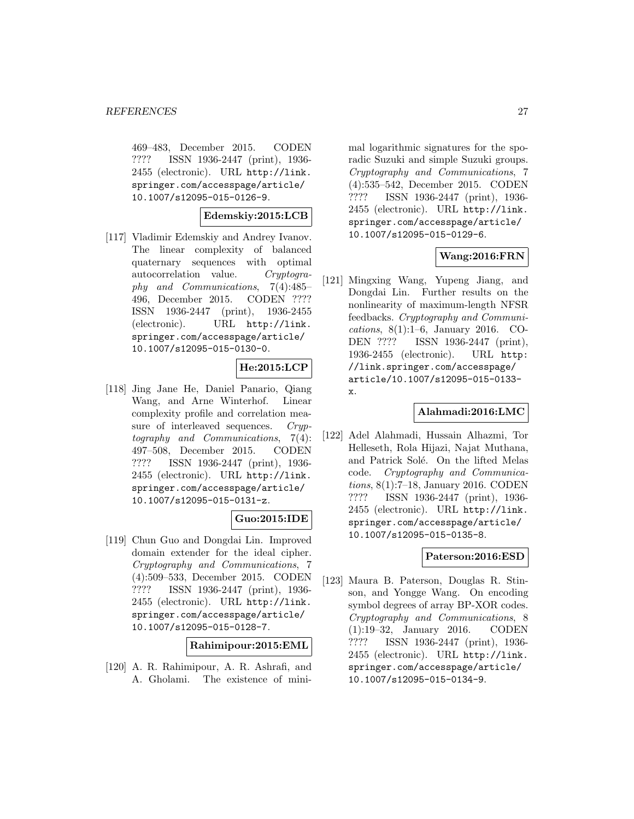469–483, December 2015. CODEN ???? ISSN 1936-2447 (print), 1936- 2455 (electronic). URL http://link. springer.com/accesspage/article/ 10.1007/s12095-015-0126-9.

#### **Edemskiy:2015:LCB**

[117] Vladimir Edemskiy and Andrey Ivanov. The linear complexity of balanced quaternary sequences with optimal autocorrelation value. Cryptography and Communications, 7(4):485– 496, December 2015. CODEN ???? ISSN 1936-2447 (print), 1936-2455 (electronic). URL http://link. springer.com/accesspage/article/ 10.1007/s12095-015-0130-0.

#### **He:2015:LCP**

[118] Jing Jane He, Daniel Panario, Qiang Wang, and Arne Winterhof. Linear complexity profile and correlation measure of interleaved sequences. Cryptography and Communications, 7(4): 497–508, December 2015. CODEN ???? ISSN 1936-2447 (print), 1936- 2455 (electronic). URL http://link. springer.com/accesspage/article/ 10.1007/s12095-015-0131-z.

#### **Guo:2015:IDE**

[119] Chun Guo and Dongdai Lin. Improved domain extender for the ideal cipher. Cryptography and Communications, 7 (4):509–533, December 2015. CODEN ???? ISSN 1936-2447 (print), 1936- 2455 (electronic). URL http://link. springer.com/accesspage/article/ 10.1007/s12095-015-0128-7.

**Rahimipour:2015:EML**

[120] A. R. Rahimipour, A. R. Ashrafi, and A. Gholami. The existence of minimal logarithmic signatures for the sporadic Suzuki and simple Suzuki groups. Cryptography and Communications, 7 (4):535–542, December 2015. CODEN ???? ISSN 1936-2447 (print), 1936- 2455 (electronic). URL http://link. springer.com/accesspage/article/ 10.1007/s12095-015-0129-6.

#### **Wang:2016:FRN**

[121] Mingxing Wang, Yupeng Jiang, and Dongdai Lin. Further results on the nonlinearity of maximum-length NFSR feedbacks. Cryptography and Communications, 8(1):1–6, January 2016. CO-DEN ???? ISSN 1936-2447 (print), 1936-2455 (electronic). URL http: //link.springer.com/accesspage/ article/10.1007/s12095-015-0133 x.

#### **Alahmadi:2016:LMC**

[122] Adel Alahmadi, Hussain Alhazmi, Tor Helleseth, Rola Hijazi, Najat Muthana, and Patrick Solé. On the lifted Melas code. Cryptography and Communications, 8(1):7–18, January 2016. CODEN ???? ISSN 1936-2447 (print), 1936- 2455 (electronic). URL http://link. springer.com/accesspage/article/ 10.1007/s12095-015-0135-8.

#### **Paterson:2016:ESD**

[123] Maura B. Paterson, Douglas R. Stinson, and Yongge Wang. On encoding symbol degrees of array BP-XOR codes. Cryptography and Communications, 8 (1):19–32, January 2016. CODEN ???? ISSN 1936-2447 (print), 1936- 2455 (electronic). URL http://link. springer.com/accesspage/article/ 10.1007/s12095-015-0134-9.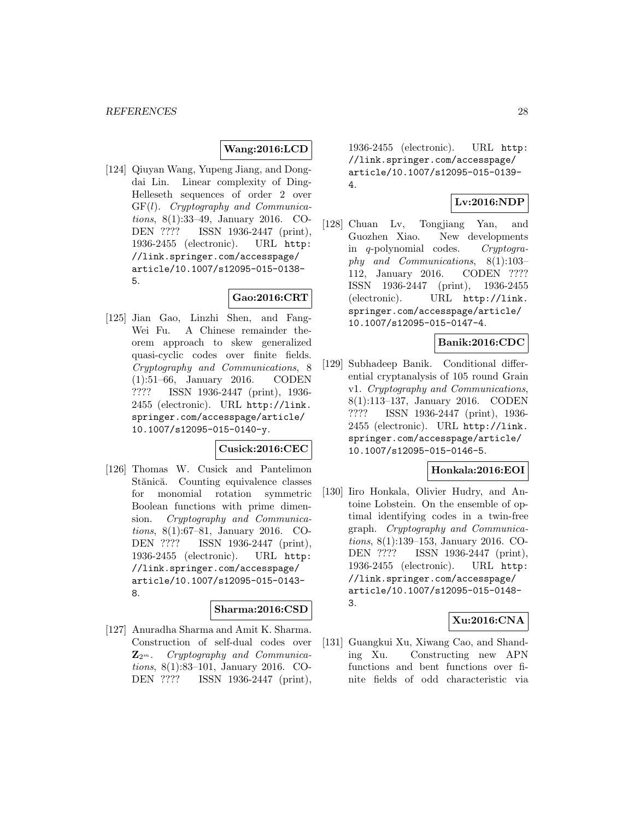#### **Wang:2016:LCD**

[124] Qiuyan Wang, Yupeng Jiang, and Dongdai Lin. Linear complexity of Ding-Helleseth sequences of order 2 over GF(l). Cryptography and Communications, 8(1):33–49, January 2016. CO-DEN ???? ISSN 1936-2447 (print), 1936-2455 (electronic). URL http: //link.springer.com/accesspage/ article/10.1007/s12095-015-0138- 5.

# **Gao:2016:CRT**

[125] Jian Gao, Linzhi Shen, and Fang-Wei Fu. A Chinese remainder theorem approach to skew generalized quasi-cyclic codes over finite fields. Cryptography and Communications, 8 (1):51–66, January 2016. CODEN ???? ISSN 1936-2447 (print), 1936- 2455 (electronic). URL http://link. springer.com/accesspage/article/ 10.1007/s12095-015-0140-y.

#### **Cusick:2016:CEC**

[126] Thomas W. Cusick and Pantelimon Stănică. Counting equivalence classes for monomial rotation symmetric Boolean functions with prime dimension. Cryptography and Communications, 8(1):67–81, January 2016. CO-DEN ???? ISSN 1936-2447 (print), 1936-2455 (electronic). URL http: //link.springer.com/accesspage/ article/10.1007/s12095-015-0143- 8.

#### **Sharma:2016:CSD**

[127] Anuradha Sharma and Amit K. Sharma. Construction of self-dual codes over **Z**2<sup>m</sup>. Cryptography and Communications, 8(1):83–101, January 2016. CO-DEN ???? ISSN 1936-2447 (print),

1936-2455 (electronic). URL http: //link.springer.com/accesspage/ article/10.1007/s12095-015-0139- 4.

#### **Lv:2016:NDP**

[128] Chuan Lv, Tongjiang Yan, and Guozhen Xiao. New developments in q-polynomial codes. Cryptography and Communications, 8(1):103– 112, January 2016. CODEN ???? ISSN 1936-2447 (print), 1936-2455 (electronic). URL http://link. springer.com/accesspage/article/ 10.1007/s12095-015-0147-4.

# **Banik:2016:CDC**

[129] Subhadeep Banik. Conditional differential cryptanalysis of 105 round Grain v1. Cryptography and Communications, 8(1):113–137, January 2016. CODEN ???? ISSN 1936-2447 (print), 1936- 2455 (electronic). URL http://link. springer.com/accesspage/article/ 10.1007/s12095-015-0146-5.

#### **Honkala:2016:EOI**

[130] Iiro Honkala, Olivier Hudry, and Antoine Lobstein. On the ensemble of optimal identifying codes in a twin-free graph. Cryptography and Communications, 8(1):139–153, January 2016. CO-DEN ???? ISSN 1936-2447 (print), 1936-2455 (electronic). URL http: //link.springer.com/accesspage/ article/10.1007/s12095-015-0148- 3.

#### **Xu:2016:CNA**

[131] Guangkui Xu, Xiwang Cao, and Shanding Xu. Constructing new APN functions and bent functions over finite fields of odd characteristic via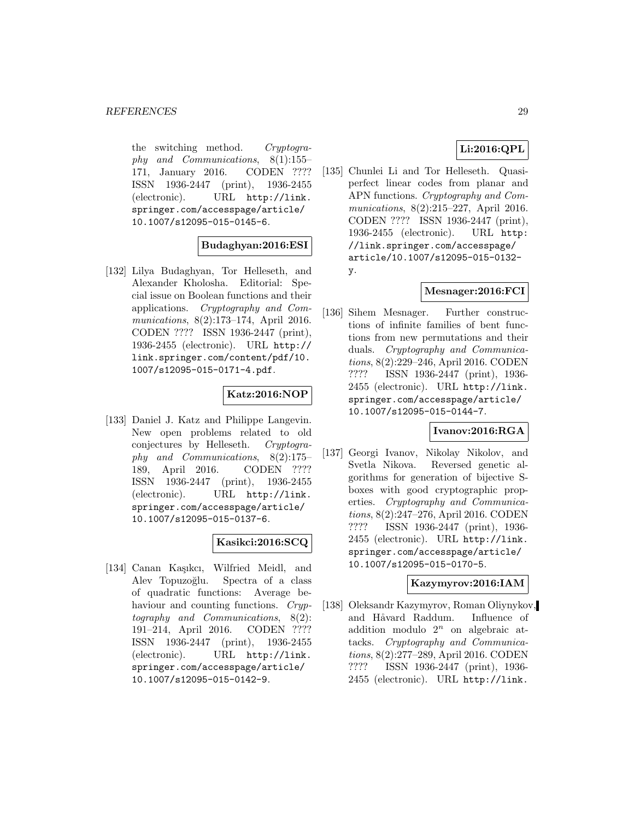the switching method. Cryptography and Communications, 8(1):155– 171, January 2016. CODEN ???? ISSN 1936-2447 (print), 1936-2455 (electronic). URL http://link. springer.com/accesspage/article/ 10.1007/s12095-015-0145-6.

#### **Budaghyan:2016:ESI**

[132] Lilya Budaghyan, Tor Helleseth, and Alexander Kholosha. Editorial: Special issue on Boolean functions and their applications. Cryptography and Communications, 8(2):173–174, April 2016. CODEN ???? ISSN 1936-2447 (print), 1936-2455 (electronic). URL http:// link.springer.com/content/pdf/10. 1007/s12095-015-0171-4.pdf.

# **Katz:2016:NOP**

[133] Daniel J. Katz and Philippe Langevin. New open problems related to old conjectures by Helleseth. Cryptography and Communications, 8(2):175– 189, April 2016. CODEN ???? ISSN 1936-2447 (print), 1936-2455 (electronic). URL http://link. springer.com/accesspage/article/ 10.1007/s12095-015-0137-6.

# **Kasikci:2016:SCQ**

[134] Canan Kaşıkcı, Wilfried Meidl, and Alev Topuzoğlu. Spectra of a class of quadratic functions: Average behaviour and counting functions. Cryptography and Communications, 8(2): 191–214, April 2016. CODEN ???? ISSN 1936-2447 (print), 1936-2455 (electronic). URL http://link. springer.com/accesspage/article/ 10.1007/s12095-015-0142-9.

# **Li:2016:QPL**

[135] Chunlei Li and Tor Helleseth. Quasiperfect linear codes from planar and APN functions. Cryptography and Communications, 8(2):215–227, April 2016. CODEN ???? ISSN 1936-2447 (print), 1936-2455 (electronic). URL http: //link.springer.com/accesspage/ article/10.1007/s12095-015-0132 y.

#### **Mesnager:2016:FCI**

[136] Sihem Mesnager. Further constructions of infinite families of bent functions from new permutations and their duals. Cryptography and Communications, 8(2):229–246, April 2016. CODEN ???? ISSN 1936-2447 (print), 1936- 2455 (electronic). URL http://link. springer.com/accesspage/article/ 10.1007/s12095-015-0144-7.

#### **Ivanov:2016:RGA**

[137] Georgi Ivanov, Nikolay Nikolov, and Svetla Nikova. Reversed genetic algorithms for generation of bijective Sboxes with good cryptographic properties. Cryptography and Communications, 8(2):247–276, April 2016. CODEN ???? ISSN 1936-2447 (print), 1936- 2455 (electronic). URL http://link. springer.com/accesspage/article/ 10.1007/s12095-015-0170-5.

#### **Kazymyrov:2016:IAM**

[138] Oleksandr Kazymyrov, Roman Oliynykov, and Håvard Raddum. Influence of addition modulo  $2^n$  on algebraic attacks. Cryptography and Communications, 8(2):277–289, April 2016. CODEN ???? ISSN 1936-2447 (print), 1936- 2455 (electronic). URL http://link.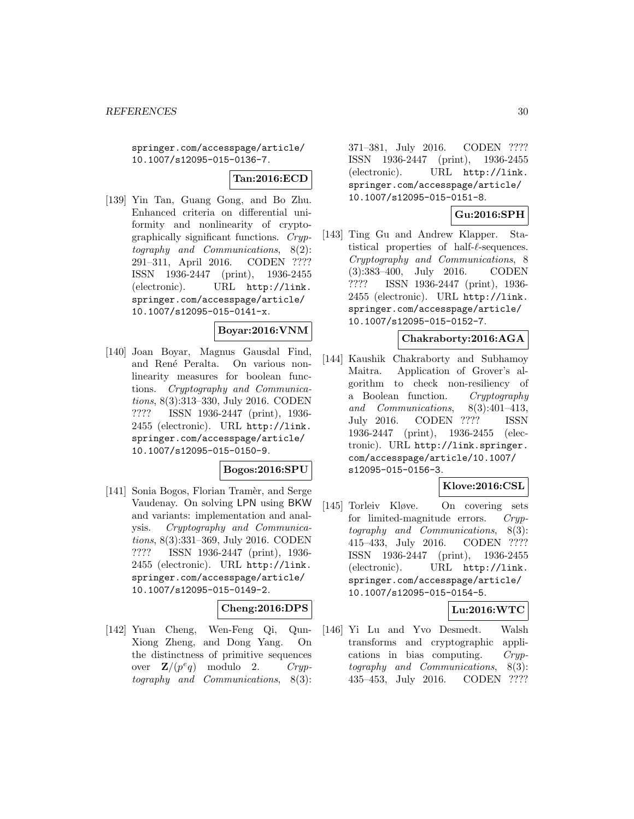springer.com/accesspage/article/ 10.1007/s12095-015-0136-7.

**Tan:2016:ECD**

[139] Yin Tan, Guang Gong, and Bo Zhu. Enhanced criteria on differential uniformity and nonlinearity of cryptographically significant functions. Cryptography and Communications, 8(2): 291–311, April 2016. CODEN ???? ISSN 1936-2447 (print), 1936-2455 (electronic). URL http://link. springer.com/accesspage/article/ 10.1007/s12095-015-0141-x.

#### **Boyar:2016:VNM**

[140] Joan Boyar, Magnus Gausdal Find, and René Peralta. On various nonlinearity measures for boolean functions. Cryptography and Communications, 8(3):313–330, July 2016. CODEN ???? ISSN 1936-2447 (print), 1936- 2455 (electronic). URL http://link. springer.com/accesspage/article/ 10.1007/s12095-015-0150-9.

#### **Bogos:2016:SPU**

[141] Sonia Bogos, Florian Tramèr, and Serge Vaudenay. On solving LPN using BKW and variants: implementation and analysis. Cryptography and Communications, 8(3):331–369, July 2016. CODEN ???? ISSN 1936-2447 (print), 1936- 2455 (electronic). URL http://link. springer.com/accesspage/article/ 10.1007/s12095-015-0149-2.

### **Cheng:2016:DPS**

[142] Yuan Cheng, Wen-Feng Qi, Qun-Xiong Zheng, and Dong Yang. On the distinctness of primitive sequences over  $\mathbf{Z}/(p^e q)$  modulo 2. Cryptography and Communications, 8(3):

371–381, July 2016. CODEN ???? ISSN 1936-2447 (print), 1936-2455 (electronic). URL http://link. springer.com/accesspage/article/ 10.1007/s12095-015-0151-8.

#### **Gu:2016:SPH**

[143] Ting Gu and Andrew Klapper. Statistical properties of half- $\ell$ -sequences. Cryptography and Communications, 8 (3):383–400, July 2016. CODEN ???? ISSN 1936-2447 (print), 1936- 2455 (electronic). URL http://link. springer.com/accesspage/article/ 10.1007/s12095-015-0152-7.

#### **Chakraborty:2016:AGA**

[144] Kaushik Chakraborty and Subhamoy Maitra. Application of Grover's algorithm to check non-resiliency of a Boolean function. Cryptography and Communications, 8(3):401–413, July 2016. CODEN ???? ISSN 1936-2447 (print), 1936-2455 (electronic). URL http://link.springer. com/accesspage/article/10.1007/ s12095-015-0156-3.

#### **Klove:2016:CSL**

[145] Torleiv Kløve. On covering sets for limited-magnitude errors. Cryptography and Communications, 8(3): 415–433, July 2016. CODEN ???? ISSN 1936-2447 (print), 1936-2455 (electronic). URL http://link. springer.com/accesspage/article/ 10.1007/s12095-015-0154-5.

#### **Lu:2016:WTC**

[146] Yi Lu and Yvo Desmedt. Walsh transforms and cryptographic applications in bias computing. Cryptography and Communications, 8(3): 435–453, July 2016. CODEN ????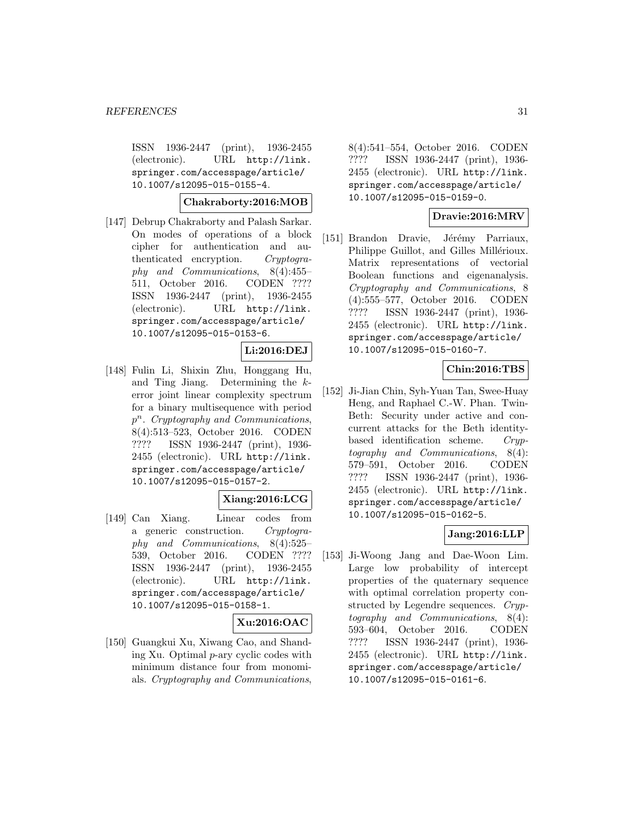ISSN 1936-2447 (print), 1936-2455 (electronic). URL http://link. springer.com/accesspage/article/ 10.1007/s12095-015-0155-4.

**Chakraborty:2016:MOB**

[147] Debrup Chakraborty and Palash Sarkar. On modes of operations of a block cipher for authentication and authenticated encryption. Cryptogra-<br>phy and Communications,  $8(4):455$ phy and Communications, 511, October 2016. CODEN ???? ISSN 1936-2447 (print), 1936-2455 (electronic). URL http://link. springer.com/accesspage/article/ 10.1007/s12095-015-0153-6.

#### **Li:2016:DEJ**

[148] Fulin Li, Shixin Zhu, Honggang Hu, and Ting Jiang. Determining the kerror joint linear complexity spectrum for a binary multisequence with period  $p^n$ . Cryptography and Communications, 8(4):513–523, October 2016. CODEN ???? ISSN 1936-2447 (print), 1936- 2455 (electronic). URL http://link. springer.com/accesspage/article/ 10.1007/s12095-015-0157-2.

#### **Xiang:2016:LCG**

[149] Can Xiang. Linear codes from a generic construction. Cryptography and Communications, 8(4):525– 539, October 2016. CODEN ???? ISSN 1936-2447 (print), 1936-2455 (electronic). URL http://link. springer.com/accesspage/article/ 10.1007/s12095-015-0158-1.

#### **Xu:2016:OAC**

[150] Guangkui Xu, Xiwang Cao, and Shanding Xu. Optimal p-ary cyclic codes with minimum distance four from monomials. Cryptography and Communications,

8(4):541–554, October 2016. CODEN ???? ISSN 1936-2447 (print), 1936- 2455 (electronic). URL http://link. springer.com/accesspage/article/ 10.1007/s12095-015-0159-0.

### **Dravie:2016:MRV**

[151] Brandon Dravie, Jérémy Parriaux, Philippe Guillot, and Gilles Millérioux. Matrix representations of vectorial Boolean functions and eigenanalysis. Cryptography and Communications, 8 (4):555–577, October 2016. CODEN ???? ISSN 1936-2447 (print), 1936- 2455 (electronic). URL http://link. springer.com/accesspage/article/ 10.1007/s12095-015-0160-7.

#### **Chin:2016:TBS**

[152] Ji-Jian Chin, Syh-Yuan Tan, Swee-Huay Heng, and Raphael C.-W. Phan. Twin-Beth: Security under active and concurrent attacks for the Beth identitybased identification scheme. Cryptography and Communications, 8(4): 579–591, October 2016. CODEN ???? ISSN 1936-2447 (print), 1936- 2455 (electronic). URL http://link. springer.com/accesspage/article/ 10.1007/s12095-015-0162-5.

#### **Jang:2016:LLP**

[153] Ji-Woong Jang and Dae-Woon Lim. Large low probability of intercept properties of the quaternary sequence with optimal correlation property constructed by Legendre sequences. Cryptography and Communications, 8(4): 593–604, October 2016. CODEN ???? ISSN 1936-2447 (print), 1936- 2455 (electronic). URL http://link. springer.com/accesspage/article/ 10.1007/s12095-015-0161-6.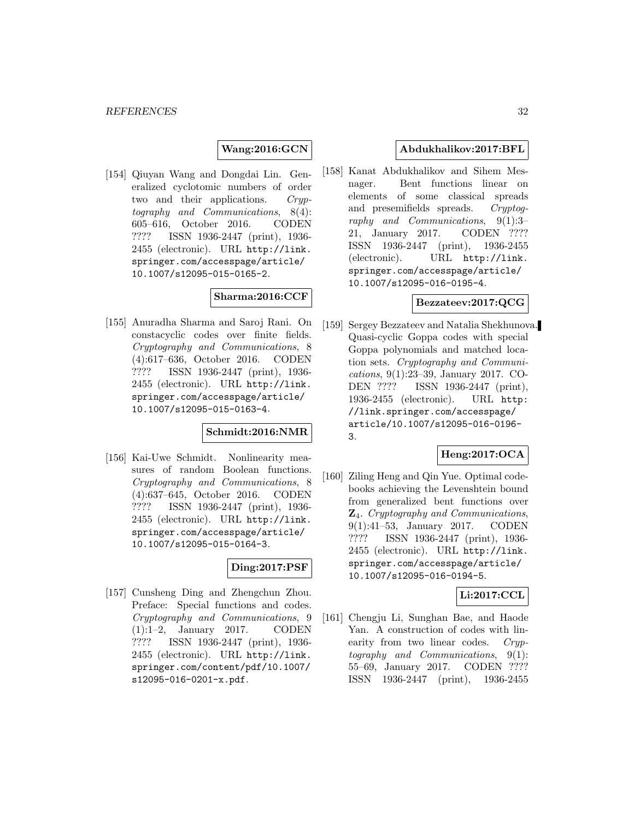#### **Wang:2016:GCN**

[154] Qiuyan Wang and Dongdai Lin. Generalized cyclotomic numbers of order two and their applications. Cryptography and Communications, 8(4): 605–616, October 2016. CODEN ???? ISSN 1936-2447 (print), 1936- 2455 (electronic). URL http://link. springer.com/accesspage/article/ 10.1007/s12095-015-0165-2.

#### **Sharma:2016:CCF**

[155] Anuradha Sharma and Saroj Rani. On constacyclic codes over finite fields. Cryptography and Communications, 8 (4):617–636, October 2016. CODEN ???? ISSN 1936-2447 (print), 1936- 2455 (electronic). URL http://link. springer.com/accesspage/article/ 10.1007/s12095-015-0163-4.

#### **Schmidt:2016:NMR**

[156] Kai-Uwe Schmidt. Nonlinearity measures of random Boolean functions. Cryptography and Communications, 8 (4):637–645, October 2016. CODEN ???? ISSN 1936-2447 (print), 1936- 2455 (electronic). URL http://link. springer.com/accesspage/article/ 10.1007/s12095-015-0164-3.

### **Ding:2017:PSF**

[157] Cunsheng Ding and Zhengchun Zhou. Preface: Special functions and codes. Cryptography and Communications, 9 (1):1–2, January 2017. CODEN ???? ISSN 1936-2447 (print), 1936- 2455 (electronic). URL http://link. springer.com/content/pdf/10.1007/ s12095-016-0201-x.pdf.

#### **Abdukhalikov:2017:BFL**

[158] Kanat Abdukhalikov and Sihem Mesnager. Bent functions linear on elements of some classical spreads and presemifields spreads. Cryptography and Communications, 9(1):3– 21, January 2017. CODEN ???? ISSN 1936-2447 (print), 1936-2455 (electronic). URL http://link. springer.com/accesspage/article/ 10.1007/s12095-016-0195-4.

#### **Bezzateev:2017:QCG**

[159] Sergey Bezzateev and Natalia Shekhunova. Quasi-cyclic Goppa codes with special Goppa polynomials and matched location sets. Cryptography and Communications, 9(1):23–39, January 2017. CO-DEN ???? ISSN 1936-2447 (print), 1936-2455 (electronic). URL http: //link.springer.com/accesspage/ article/10.1007/s12095-016-0196- 3.

### **Heng:2017:OCA**

[160] Ziling Heng and Qin Yue. Optimal codebooks achieving the Levenshtein bound from generalized bent functions over **Z**4. Cryptography and Communications, 9(1):41–53, January 2017. CODEN ???? ISSN 1936-2447 (print), 1936- 2455 (electronic). URL http://link. springer.com/accesspage/article/ 10.1007/s12095-016-0194-5.

### **Li:2017:CCL**

[161] Chengju Li, Sunghan Bae, and Haode Yan. A construction of codes with linearity from two linear codes. Cryptography and Communications, 9(1): 55–69, January 2017. CODEN ???? ISSN 1936-2447 (print), 1936-2455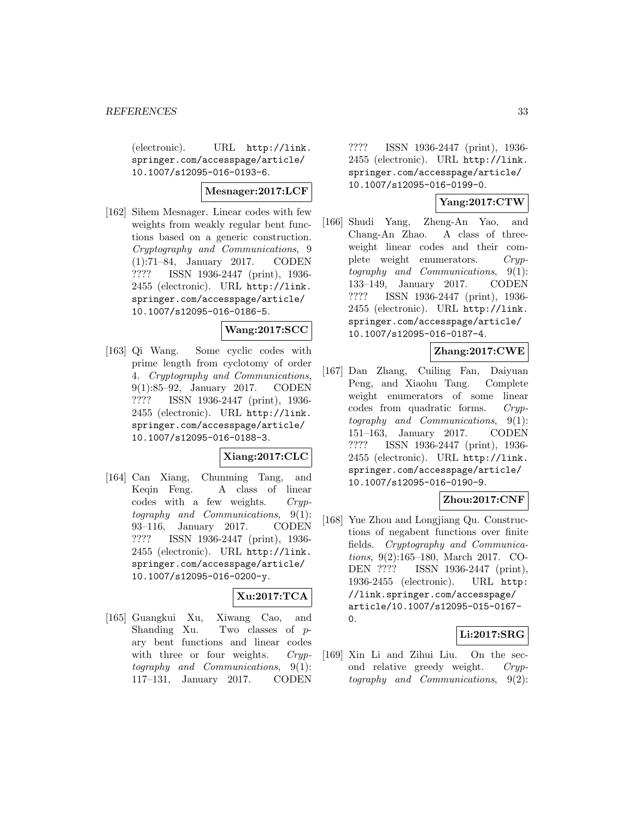(electronic). URL http://link. springer.com/accesspage/article/ 10.1007/s12095-016-0193-6.

#### **Mesnager:2017:LCF**

[162] Sihem Mesnager. Linear codes with few weights from weakly regular bent functions based on a generic construction. Cryptography and Communications, 9 (1):71–84, January 2017. CODEN ???? ISSN 1936-2447 (print), 1936- 2455 (electronic). URL http://link. springer.com/accesspage/article/ 10.1007/s12095-016-0186-5.

#### **Wang:2017:SCC**

[163] Qi Wang. Some cyclic codes with prime length from cyclotomy of order 4. Cryptography and Communications, 9(1):85–92, January 2017. CODEN ???? ISSN 1936-2447 (print), 1936- 2455 (electronic). URL http://link. springer.com/accesspage/article/ 10.1007/s12095-016-0188-3.

#### **Xiang:2017:CLC**

[164] Can Xiang, Chunming Tang, and Keqin Feng. A class of linear codes with a few weights. Cryptography and Communications, 9(1): 93–116, January 2017. CODEN ???? ISSN 1936-2447 (print), 1936- 2455 (electronic). URL http://link. springer.com/accesspage/article/ 10.1007/s12095-016-0200-y.

# **Xu:2017:TCA**

[165] Guangkui Xu, Xiwang Cao, and Shanding Xu. Two classes of pary bent functions and linear codes with three or four weights. Cryptography and Communications, 9(1): 117–131, January 2017. CODEN

???? ISSN 1936-2447 (print), 1936- 2455 (electronic). URL http://link. springer.com/accesspage/article/ 10.1007/s12095-016-0199-0.

#### **Yang:2017:CTW**

[166] Shudi Yang, Zheng-An Yao, and Chang-An Zhao. A class of threeweight linear codes and their complete weight enumerators. Cryptography and Communications, 9(1): 133–149, January 2017. CODEN ???? ISSN 1936-2447 (print), 1936- 2455 (electronic). URL http://link. springer.com/accesspage/article/ 10.1007/s12095-016-0187-4.

#### **Zhang:2017:CWE**

[167] Dan Zhang, Cuiling Fan, Daiyuan Peng, and Xiaohu Tang. Complete weight enumerators of some linear codes from quadratic forms. Cryptography and Communications, 9(1): 151–163, January 2017. CODEN ???? ISSN 1936-2447 (print), 1936- 2455 (electronic). URL http://link. springer.com/accesspage/article/ 10.1007/s12095-016-0190-9.

#### **Zhou:2017:CNF**

[168] Yue Zhou and Longjiang Qu. Constructions of negabent functions over finite fields. Cryptography and Communications, 9(2):165–180, March 2017. CO-<br>DEN ???? ISSN 1936-2447 (print). ISSN 1936-2447 (print), 1936-2455 (electronic). URL http: //link.springer.com/accesspage/ article/10.1007/s12095-015-0167-  $\Omega$ 

### **Li:2017:SRG**

[169] Xin Li and Zihui Liu. On the second relative greedy weight. Cryptography and Communications, 9(2):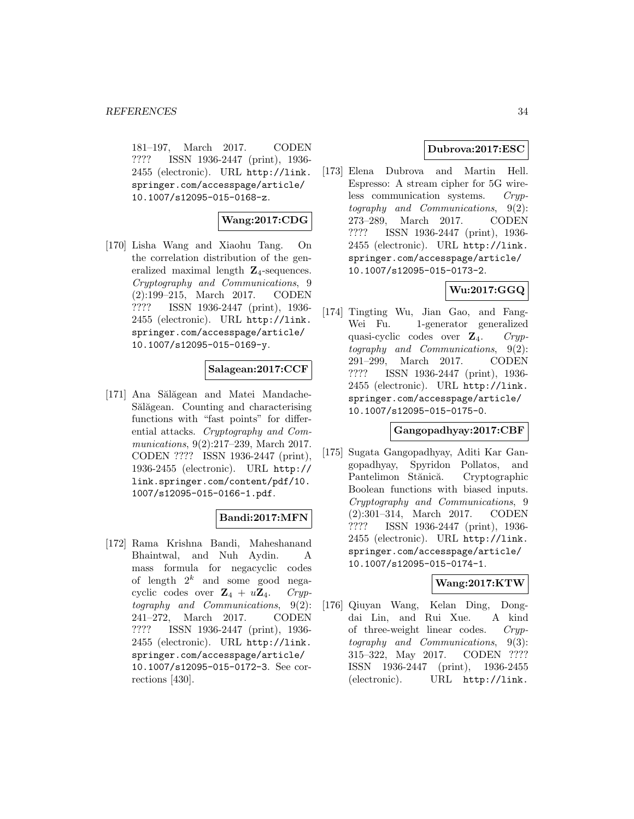181–197, March 2017. CODEN ???? ISSN 1936-2447 (print), 1936- 2455 (electronic). URL http://link. springer.com/accesspage/article/ 10.1007/s12095-015-0168-z.

#### **Wang:2017:CDG**

[170] Lisha Wang and Xiaohu Tang. On the correlation distribution of the generalized maximal length **Z**4-sequences. Cryptography and Communications, 9 (2):199–215, March 2017. CODEN ???? ISSN 1936-2447 (print), 1936- 2455 (electronic). URL http://link. springer.com/accesspage/article/ 10.1007/s12095-015-0169-y.

#### **Salagean:2017:CCF**

[171] Ana Sălăgean and Matei Mandache-Sălăgean. Counting and characterising functions with "fast points" for differential attacks. Cryptography and Communications, 9(2):217–239, March 2017. CODEN ???? ISSN 1936-2447 (print), 1936-2455 (electronic). URL http:// link.springer.com/content/pdf/10. 1007/s12095-015-0166-1.pdf.

### **Bandi:2017:MFN**

[172] Rama Krishna Bandi, Maheshanand Bhaintwal, and Nuh Aydin. A mass formula for negacyclic codes of length  $2^k$  and some good negacyclic codes over  $\mathbf{Z}_4 + u\mathbf{Z}_4$ . Cryptography and Communications, 9(2): 241–272, March 2017. CODEN ???? ISSN 1936-2447 (print), 1936- 2455 (electronic). URL http://link. springer.com/accesspage/article/ 10.1007/s12095-015-0172-3. See corrections [430].

#### **Dubrova:2017:ESC**

[173] Elena Dubrova and Martin Hell. Espresso: A stream cipher for 5G wireless communication systems. Cryptography and Communications, 9(2): 273–289, March 2017. CODEN ???? ISSN 1936-2447 (print), 1936- 2455 (electronic). URL http://link. springer.com/accesspage/article/ 10.1007/s12095-015-0173-2.

# **Wu:2017:GGQ**

[174] Tingting Wu, Jian Gao, and Fang-Wei Fu. 1-generator generalized quasi-cyclic codes over **Z**4. Cryptography and Communications, 9(2): 291–299, March 2017. CODEN ???? ISSN 1936-2447 (print), 1936- 2455 (electronic). URL http://link. springer.com/accesspage/article/ 10.1007/s12095-015-0175-0.

### **Gangopadhyay:2017:CBF**

[175] Sugata Gangopadhyay, Aditi Kar Gangopadhyay, Spyridon Pollatos, and Pantelimon Stănică. Cryptographic Boolean functions with biased inputs. Cryptography and Communications, 9 (2):301–314, March 2017. CODEN ???? ISSN 1936-2447 (print), 1936- 2455 (electronic). URL http://link. springer.com/accesspage/article/ 10.1007/s12095-015-0174-1.

### **Wang:2017:KTW**

[176] Qiuyan Wang, Kelan Ding, Dongdai Lin, and Rui Xue. A kind of three-weight linear codes. Cryptography and Communications, 9(3): 315–322, May 2017. CODEN ???? ISSN 1936-2447 (print), 1936-2455 (electronic). URL http://link.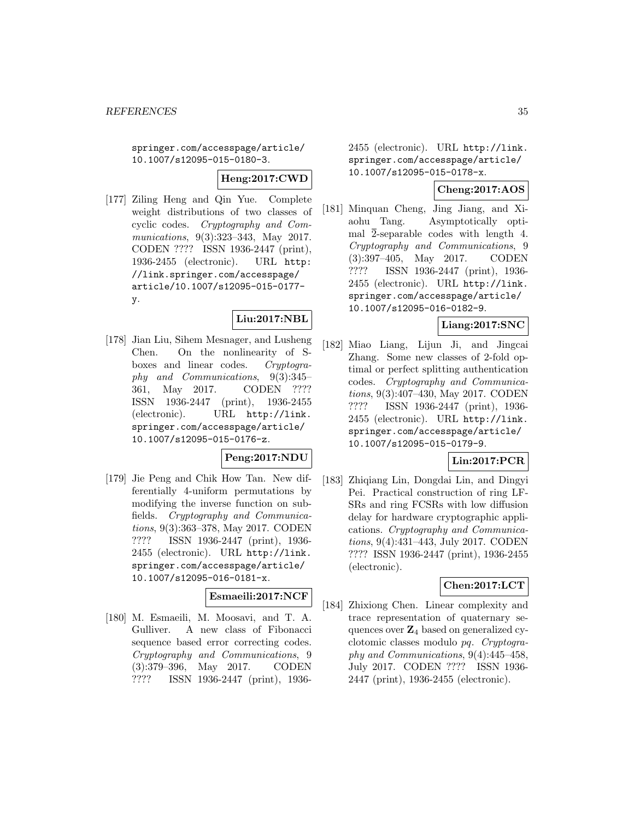springer.com/accesspage/article/ 10.1007/s12095-015-0180-3.

**Heng:2017:CWD**

[177] Ziling Heng and Qin Yue. Complete weight distributions of two classes of cyclic codes. Cryptography and Communications, 9(3):323-343, May 2017. CODEN ???? ISSN 1936-2447 (print), 1936-2455 (electronic). URL http: //link.springer.com/accesspage/ article/10.1007/s12095-015-0177 y.

# **Liu:2017:NBL**

[178] Jian Liu, Sihem Mesnager, and Lusheng Chen. On the nonlinearity of Sboxes and linear codes. Cryptography and Communications, 9(3):345– 361, May 2017. CODEN ???? ISSN 1936-2447 (print), 1936-2455 (electronic). URL http://link. springer.com/accesspage/article/ 10.1007/s12095-015-0176-z.

#### **Peng:2017:NDU**

[179] Jie Peng and Chik How Tan. New differentially 4-uniform permutations by modifying the inverse function on subfields. Cryptography and Communications, 9(3):363–378, May 2017. CODEN ???? ISSN 1936-2447 (print), 1936- 2455 (electronic). URL http://link. springer.com/accesspage/article/ 10.1007/s12095-016-0181-x.

# **Esmaeili:2017:NCF**

[180] M. Esmaeili, M. Moosavi, and T. A. Gulliver. A new class of Fibonacci sequence based error correcting codes. Cryptography and Communications, 9 (3):379–396, May 2017. CODEN ???? ISSN 1936-2447 (print), 19362455 (electronic). URL http://link. springer.com/accesspage/article/ 10.1007/s12095-015-0178-x.

#### **Cheng:2017:AOS**

[181] Minquan Cheng, Jing Jiang, and Xiaohu Tang. Asymptotically optimal 2-separable codes with length 4. Cryptography and Communications, 9 (3):397–405, May 2017. CODEN ???? ISSN 1936-2447 (print), 1936- 2455 (electronic). URL http://link. springer.com/accesspage/article/ 10.1007/s12095-016-0182-9.

#### **Liang:2017:SNC**

[182] Miao Liang, Lijun Ji, and Jingcai Zhang. Some new classes of 2-fold optimal or perfect splitting authentication codes. Cryptography and Communications, 9(3):407–430, May 2017. CODEN ???? ISSN 1936-2447 (print), 1936- 2455 (electronic). URL http://link. springer.com/accesspage/article/ 10.1007/s12095-015-0179-9.

### **Lin:2017:PCR**

[183] Zhiqiang Lin, Dongdai Lin, and Dingyi Pei. Practical construction of ring LF-SRs and ring FCSRs with low diffusion delay for hardware cryptographic applications. Cryptography and Communications, 9(4):431–443, July 2017. CODEN ???? ISSN 1936-2447 (print), 1936-2455 (electronic).

### **Chen:2017:LCT**

[184] Zhixiong Chen. Linear complexity and trace representation of quaternary sequences over **Z**<sup>4</sup> based on generalized cyclotomic classes modulo pq. Cryptography and Communications, 9(4):445–458, July 2017. CODEN ???? ISSN 1936- 2447 (print), 1936-2455 (electronic).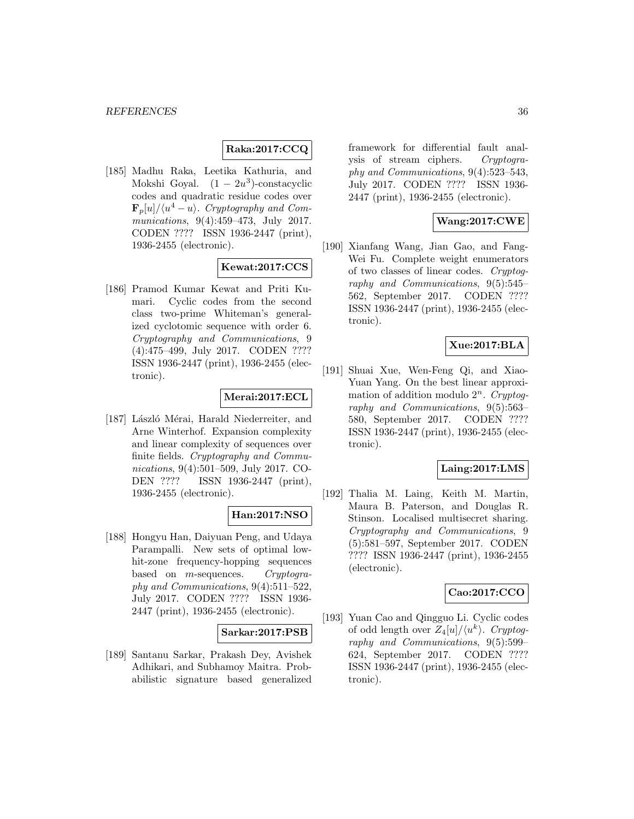#### **Raka:2017:CCQ**

[185] Madhu Raka, Leetika Kathuria, and Mokshi Goyal.  $(1 - 2u^3)$ -constacyclic codes and quadratic residue codes over  $\mathbf{F}_p[u]/\langle u^4 - u \rangle$ . Cryptography and Communications, 9(4):459–473, July 2017. CODEN ???? ISSN 1936-2447 (print), 1936-2455 (electronic).

# **Kewat:2017:CCS**

[186] Pramod Kumar Kewat and Priti Kumari. Cyclic codes from the second class two-prime Whiteman's generalized cyclotomic sequence with order 6. Cryptography and Communications, 9 (4):475–499, July 2017. CODEN ???? ISSN 1936-2447 (print), 1936-2455 (electronic).

#### **Merai:2017:ECL**

[187] László Mérai, Harald Niederreiter, and Arne Winterhof. Expansion complexity and linear complexity of sequences over finite fields. Cryptography and Communications, 9(4):501–509, July 2017. CO-DEN ???? ISSN 1936-2447 (print), 1936-2455 (electronic).

#### **Han:2017:NSO**

[188] Hongyu Han, Daiyuan Peng, and Udaya Parampalli. New sets of optimal lowhit-zone frequency-hopping sequences based on *m*-sequences. Cryptography and Communications, 9(4):511–522, July 2017. CODEN ???? ISSN 1936- 2447 (print), 1936-2455 (electronic).

#### **Sarkar:2017:PSB**

[189] Santanu Sarkar, Prakash Dey, Avishek Adhikari, and Subhamoy Maitra. Probabilistic signature based generalized

framework for differential fault analysis of stream ciphers. Cryptography and Communications, 9(4):523–543, July 2017. CODEN ???? ISSN 1936- 2447 (print), 1936-2455 (electronic).

# **Wang:2017:CWE**

[190] Xianfang Wang, Jian Gao, and Fang-Wei Fu. Complete weight enumerators of two classes of linear codes. Cryptography and Communications, 9(5):545– 562, September 2017. CODEN ???? ISSN 1936-2447 (print), 1936-2455 (electronic).

### **Xue:2017:BLA**

[191] Shuai Xue, Wen-Feng Qi, and Xiao-Yuan Yang. On the best linear approximation of addition modulo  $2^n$ . Cryptography and Communications, 9(5):563– 580, September 2017. CODEN ???? ISSN 1936-2447 (print), 1936-2455 (electronic).

#### **Laing:2017:LMS**

[192] Thalia M. Laing, Keith M. Martin, Maura B. Paterson, and Douglas R. Stinson. Localised multisecret sharing. Cryptography and Communications, 9 (5):581–597, September 2017. CODEN ???? ISSN 1936-2447 (print), 1936-2455 (electronic).

#### **Cao:2017:CCO**

[193] Yuan Cao and Qingguo Li. Cyclic codes of odd length over  $Z_4[u]/\langle u^k \rangle$ . Cryptography and Communications, 9(5):599– 624, September 2017. CODEN ???? ISSN 1936-2447 (print), 1936-2455 (electronic).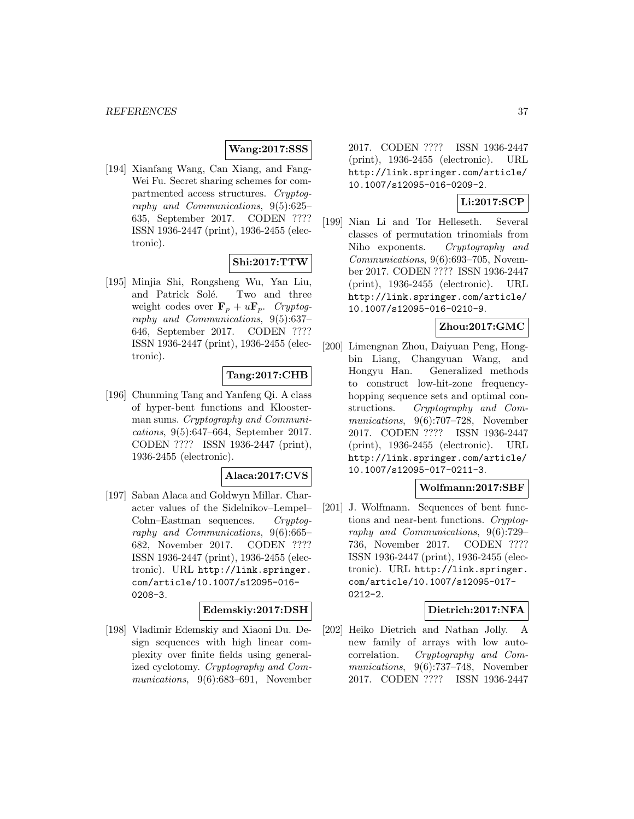### **Wang:2017:SSS**

[194] Xianfang Wang, Can Xiang, and Fang-Wei Fu. Secret sharing schemes for compartmented access structures. Cryptography and Communications, 9(5):625– 635, September 2017. CODEN ???? ISSN 1936-2447 (print), 1936-2455 (electronic).

#### **Shi:2017:TTW**

[195] Minjia Shi, Rongsheng Wu, Yan Liu, and Patrick Solé. Two and three weight codes over  $\mathbf{F}_p + u\mathbf{F}_p$ . Cryptography and Communications, 9(5):637– 646, September 2017. CODEN ???? ISSN 1936-2447 (print), 1936-2455 (electronic).

## **Tang:2017:CHB**

[196] Chunming Tang and Yanfeng Qi. A class of hyper-bent functions and Kloosterman sums. Cryptography and Communications, 9(5):647–664, September 2017. CODEN ???? ISSN 1936-2447 (print), 1936-2455 (electronic).

#### **Alaca:2017:CVS**

[197] Saban Alaca and Goldwyn Millar. Character values of the Sidelnikov–Lempel– Cohn–Eastman sequences. Cryptography and Communications, 9(6):665– 682, November 2017. CODEN ???? ISSN 1936-2447 (print), 1936-2455 (electronic). URL http://link.springer. com/article/10.1007/s12095-016- 0208-3.

#### **Edemskiy:2017:DSH**

[198] Vladimir Edemskiy and Xiaoni Du. Design sequences with high linear complexity over finite fields using generalized cyclotomy. Cryptography and Communications, 9(6):683–691, November

2017. CODEN ???? ISSN 1936-2447 (print), 1936-2455 (electronic). URL http://link.springer.com/article/ 10.1007/s12095-016-0209-2.

### **Li:2017:SCP**

[199] Nian Li and Tor Helleseth. Several classes of permutation trinomials from Niho exponents. Cryptography and Communications, 9(6):693–705, November 2017. CODEN ???? ISSN 1936-2447 (print), 1936-2455 (electronic). URL http://link.springer.com/article/ 10.1007/s12095-016-0210-9.

#### **Zhou:2017:GMC**

[200] Limengnan Zhou, Daiyuan Peng, Hongbin Liang, Changyuan Wang, and Hongyu Han. Generalized methods to construct low-hit-zone frequencyhopping sequence sets and optimal constructions. Cryptography and Communications, 9(6):707-728, November 2017. CODEN ???? ISSN 1936-2447 (print), 1936-2455 (electronic). URL http://link.springer.com/article/ 10.1007/s12095-017-0211-3.

#### **Wolfmann:2017:SBF**

[201] J. Wolfmann. Sequences of bent functions and near-bent functions. Cryptography and Communications, 9(6):729– 736, November 2017. CODEN ???? ISSN 1936-2447 (print), 1936-2455 (electronic). URL http://link.springer. com/article/10.1007/s12095-017- 0212-2.

#### **Dietrich:2017:NFA**

[202] Heiko Dietrich and Nathan Jolly. A new family of arrays with low autocorrelation. Cryptography and Communications, 9(6):737-748, November 2017. CODEN ???? ISSN 1936-2447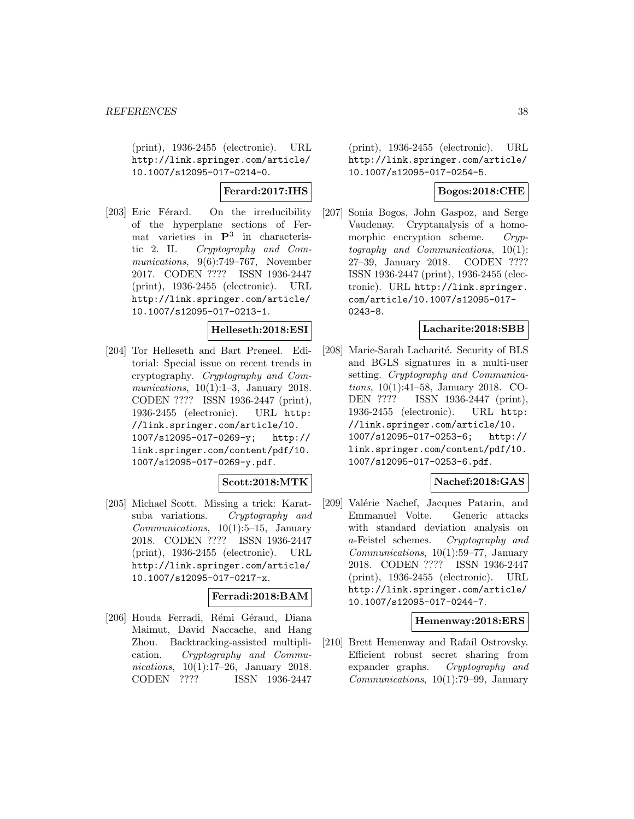(print), 1936-2455 (electronic). URL http://link.springer.com/article/ 10.1007/s12095-017-0214-0.

## **Ferard:2017:IHS**

[203] Eric Férard. On the irreducibility of the hyperplane sections of Fermat varieties in **P**<sup>3</sup> in characteristic 2. II. Cryptography and Communications, 9(6):749–767, November 2017. CODEN ???? ISSN 1936-2447 (print), 1936-2455 (electronic). URL http://link.springer.com/article/ 10.1007/s12095-017-0213-1.

#### **Helleseth:2018:ESI**

[204] Tor Helleseth and Bart Preneel. Editorial: Special issue on recent trends in cryptography. Cryptography and Communications,  $10(1):1-3$ , January 2018. CODEN ???? ISSN 1936-2447 (print), 1936-2455 (electronic). URL http: //link.springer.com/article/10. 1007/s12095-017-0269-y; http:// link.springer.com/content/pdf/10. 1007/s12095-017-0269-y.pdf.

#### **Scott:2018:MTK**

[205] Michael Scott. Missing a trick: Karatsuba variations. Cryptography and  $Communications, 10(1):5-15, January$ 2018. CODEN ???? ISSN 1936-2447 (print), 1936-2455 (electronic). URL http://link.springer.com/article/ 10.1007/s12095-017-0217-x.

# **Ferradi:2018:BAM**

[206] Houda Ferradi, Rémi Géraud, Diana Maimut, David Naccache, and Hang Zhou. Backtracking-assisted multiplication. Cryptography and Communications, 10(1):17–26, January 2018. CODEN ???? ISSN 1936-2447

(print), 1936-2455 (electronic). URL http://link.springer.com/article/ 10.1007/s12095-017-0254-5.

### **Bogos:2018:CHE**

[207] Sonia Bogos, John Gaspoz, and Serge Vaudenay. Cryptanalysis of a homomorphic encryption scheme. Cryptography and Communications, 10(1): 27–39, January 2018. CODEN ???? ISSN 1936-2447 (print), 1936-2455 (electronic). URL http://link.springer. com/article/10.1007/s12095-017- 0243-8.

#### **Lacharite:2018:SBB**

[208] Marie-Sarah Lacharité. Security of BLS and BGLS signatures in a multi-user setting. Cryptography and Communications, 10(1):41–58, January 2018. CO-DEN ???? ISSN 1936-2447 (print), 1936-2455 (electronic). URL http: //link.springer.com/article/10. 1007/s12095-017-0253-6; http:// link.springer.com/content/pdf/10. 1007/s12095-017-0253-6.pdf.

#### **Nachef:2018:GAS**

[209] Valérie Nachef, Jacques Patarin, and Emmanuel Volte. Generic attacks with standard deviation analysis on a-Feistel schemes. Cryptography and Communications, 10(1):59–77, January 2018. CODEN ???? ISSN 1936-2447 (print), 1936-2455 (electronic). URL http://link.springer.com/article/ 10.1007/s12095-017-0244-7.

#### **Hemenway:2018:ERS**

[210] Brett Hemenway and Rafail Ostrovsky. Efficient robust secret sharing from expander graphs. Cryptography and Communications, 10(1):79–99, January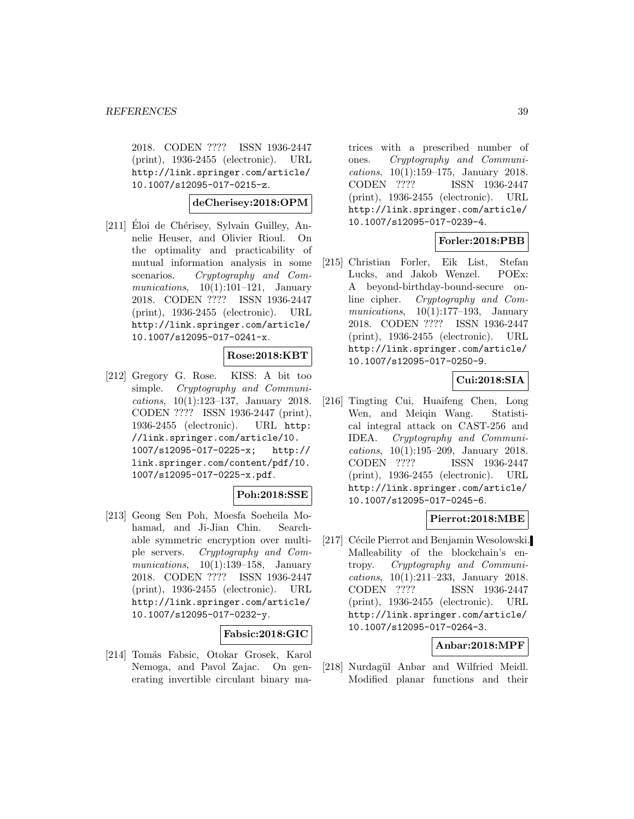2018. CODEN ???? ISSN 1936-2447 (print), 1936-2455 (electronic). URL http://link.springer.com/article/ 10.1007/s12095-017-0215-z.

### **deCherisey:2018:OPM**

 $[211]$  Eloi de Chérisey, Sylvain Guilley, Annelie Heuser, and Olivier Rioul. On the optimality and practicability of mutual information analysis in some scenarios. Cryptography and Communications,  $10(1):101-121$ , January 2018. CODEN ???? ISSN 1936-2447 (print), 1936-2455 (electronic). URL http://link.springer.com/article/ 10.1007/s12095-017-0241-x.

#### **Rose:2018:KBT**

[212] Gregory G. Rose. KISS: A bit too simple. Cryptography and Communications, 10(1):123–137, January 2018. CODEN ???? ISSN 1936-2447 (print), 1936-2455 (electronic). URL http: //link.springer.com/article/10. 1007/s12095-017-0225-x; http:// link.springer.com/content/pdf/10. 1007/s12095-017-0225-x.pdf.

# **Poh:2018:SSE**

[213] Geong Sen Poh, Moesfa Soeheila Mohamad, and Ji-Jian Chin. Searchable symmetric encryption over multiple servers. Cryptography and Communications,  $10(1):139-158$ , January 2018. CODEN ???? ISSN 1936-2447 (print), 1936-2455 (electronic). URL http://link.springer.com/article/ 10.1007/s12095-017-0232-y.

#### **Fabsic:2018:GIC**

[214] Tomás Fabsic, Otokar Grosek, Karol Nemoga, and Pavol Zajac. On generating invertible circulant binary matrices with a prescribed number of ones. Cryptography and Communications, 10(1):159–175, January 2018. CODEN ???? ISSN 1936-2447 (print), 1936-2455 (electronic). URL http://link.springer.com/article/ 10.1007/s12095-017-0239-4.

#### **Forler:2018:PBB**

[215] Christian Forler, Eik List, Stefan Lucks, and Jakob Wenzel. POEx: A beyond-birthday-bound-secure online cipher. Cryptography and Communications,  $10(1):177-193$ , January 2018. CODEN ???? ISSN 1936-2447 (print), 1936-2455 (electronic). URL http://link.springer.com/article/ 10.1007/s12095-017-0250-9.

### **Cui:2018:SIA**

[216] Tingting Cui, Huaifeng Chen, Long Wen, and Meiqin Wang. Statistical integral attack on CAST-256 and IDEA. Cryptography and Communications, 10(1):195–209, January 2018. CODEN ???? ISSN 1936-2447 (print), 1936-2455 (electronic). URL http://link.springer.com/article/ 10.1007/s12095-017-0245-6.

#### **Pierrot:2018:MBE**

[217] Cécile Pierrot and Benjamin Wesolowski. Malleability of the blockchain's entropy. Cryptography and Communications, 10(1):211–233, January 2018. CODEN ???? ISSN 1936-2447 (print), 1936-2455 (electronic). URL http://link.springer.com/article/ 10.1007/s12095-017-0264-3.

#### **Anbar:2018:MPF**

[218] Nurdagül Anbar and Wilfried Meidl. Modified planar functions and their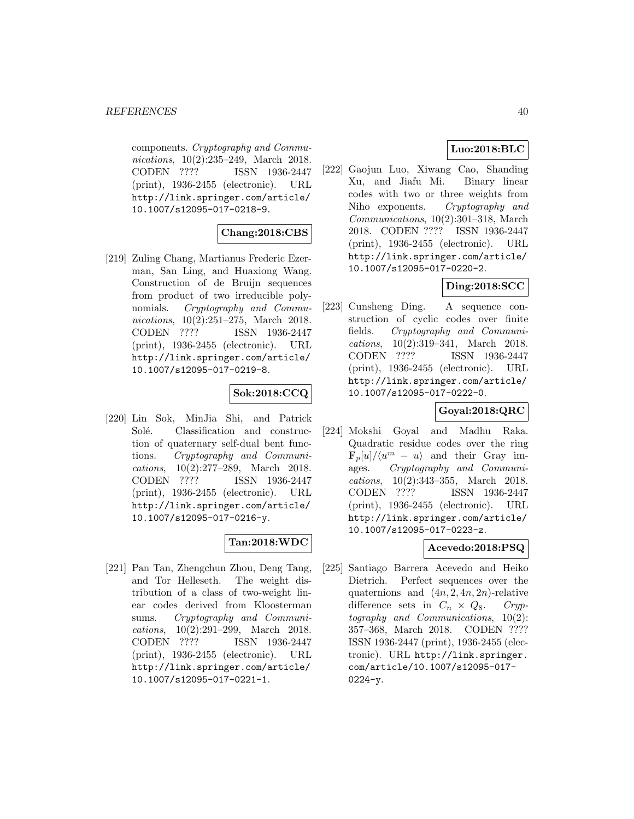components. Cryptography and Communications, 10(2):235–249, March 2018. CODEN ???? ISSN 1936-2447 (print), 1936-2455 (electronic). URL http://link.springer.com/article/ 10.1007/s12095-017-0218-9.

# **Chang:2018:CBS**

[219] Zuling Chang, Martianus Frederic Ezerman, San Ling, and Huaxiong Wang. Construction of de Bruijn sequences from product of two irreducible polynomials. Cryptography and Communications, 10(2):251-275, March 2018. CODEN ???? ISSN 1936-2447 (print), 1936-2455 (electronic). URL http://link.springer.com/article/ 10.1007/s12095-017-0219-8.

# **Sok:2018:CCQ**

[220] Lin Sok, MinJia Shi, and Patrick Solé. Classification and construction of quaternary self-dual bent functions. Cryptography and Communications, 10(2):277–289, March 2018. CODEN ???? ISSN 1936-2447 (print), 1936-2455 (electronic). URL http://link.springer.com/article/ 10.1007/s12095-017-0216-y.

#### **Tan:2018:WDC**

[221] Pan Tan, Zhengchun Zhou, Deng Tang, and Tor Helleseth. The weight distribution of a class of two-weight linear codes derived from Kloosterman sums. Cryptography and Communications, 10(2):291–299, March 2018. CODEN ???? ISSN 1936-2447 (print), 1936-2455 (electronic). URL http://link.springer.com/article/ 10.1007/s12095-017-0221-1.

## **Luo:2018:BLC**

[222] Gaojun Luo, Xiwang Cao, Shanding Xu, and Jiafu Mi. Binary linear codes with two or three weights from Niho exponents. Cryptography and Communications, 10(2):301–318, March 2018. CODEN ???? ISSN 1936-2447 (print), 1936-2455 (electronic). URL http://link.springer.com/article/ 10.1007/s12095-017-0220-2.

# **Ding:2018:SCC**

[223] Cunsheng Ding. A sequence construction of cyclic codes over finite fields. Cryptography and Communications, 10(2):319–341, March 2018. CODEN ???? ISSN 1936-2447 (print), 1936-2455 (electronic). URL http://link.springer.com/article/ 10.1007/s12095-017-0222-0.

# **Goyal:2018:QRC**

[224] Mokshi Goyal and Madhu Raka. Quadratic residue codes over the ring  $\mathbf{F}_p[u]/\langle u^m - u \rangle$  and their Gray im-<br>ages. Cruptography and Communi-Cryptography and Communications, 10(2):343–355, March 2018. CODEN ???? ISSN 1936-2447 (print), 1936-2455 (electronic). URL http://link.springer.com/article/ 10.1007/s12095-017-0223-z.

## **Acevedo:2018:PSQ**

[225] Santiago Barrera Acevedo and Heiko Dietrich. Perfect sequences over the quaternions and  $(4n, 2, 4n, 2n)$ -relative difference sets in  $C_n \times Q_8$ . Cryptography and Communications, 10(2): 357–368, March 2018. CODEN ???? ISSN 1936-2447 (print), 1936-2455 (electronic). URL http://link.springer. com/article/10.1007/s12095-017-  $0224 - y.$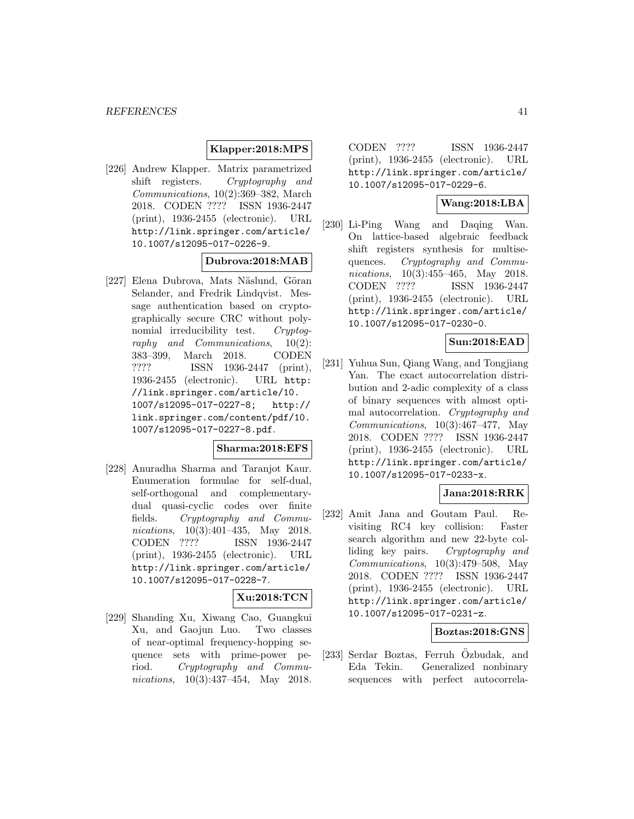### **Klapper:2018:MPS**

[226] Andrew Klapper. Matrix parametrized shift registers. Cryptography and Communications, 10(2):369–382, March 2018. CODEN ???? ISSN 1936-2447 (print), 1936-2455 (electronic). URL http://link.springer.com/article/ 10.1007/s12095-017-0226-9.

#### **Dubrova:2018:MAB**

[227] Elena Dubrova, Mats Näslund, Göran Selander, and Fredrik Lindqvist. Message authentication based on cryptographically secure CRC without polynomial irreducibility test. Cryptography and Communications, 10(2): 383–399, March 2018. CODEN ???? ISSN 1936-2447 (print), 1936-2455 (electronic). URL http: //link.springer.com/article/10. 1007/s12095-017-0227-8; http:// link.springer.com/content/pdf/10. 1007/s12095-017-0227-8.pdf.

#### **Sharma:2018:EFS**

[228] Anuradha Sharma and Taranjot Kaur. Enumeration formulae for self-dual, self-orthogonal and complementarydual quasi-cyclic codes over finite fields. Cryptography and Communications, 10(3):401-435, May 2018. CODEN ???? ISSN 1936-2447 (print), 1936-2455 (electronic). URL http://link.springer.com/article/ 10.1007/s12095-017-0228-7.

# **Xu:2018:TCN**

[229] Shanding Xu, Xiwang Cao, Guangkui Xu, and Gaojun Luo. Two classes of near-optimal frequency-hopping sequence sets with prime-power period. Cryptography and Communications, 10(3):437-454, May 2018.

CODEN ???? ISSN 1936-2447 (print), 1936-2455 (electronic). URL http://link.springer.com/article/ 10.1007/s12095-017-0229-6.

## **Wang:2018:LBA**

[230] Li-Ping Wang and Daqing Wan. On lattice-based algebraic feedback shift registers synthesis for multisequences. Cryptography and Communications, 10(3):455-465, May 2018. CODEN ???? ISSN 1936-2447 (print), 1936-2455 (electronic). URL http://link.springer.com/article/ 10.1007/s12095-017-0230-0.

# **Sun:2018:EAD**

[231] Yuhua Sun, Qiang Wang, and Tongjiang Yan. The exact autocorrelation distribution and 2-adic complexity of a class of binary sequences with almost optimal autocorrelation. Cryptography and  $Communications, 10(3):467-477, \t\t\t May$ 2018. CODEN ???? ISSN 1936-2447 (print), 1936-2455 (electronic). URL http://link.springer.com/article/ 10.1007/s12095-017-0233-x.

## **Jana:2018:RRK**

[232] Amit Jana and Goutam Paul. Revisiting RC4 key collision: Faster search algorithm and new 22-byte colliding key pairs. Cryptography and Communications, 10(3):479–508, May 2018. CODEN ???? ISSN 1936-2447 (print), 1936-2455 (electronic). URL http://link.springer.com/article/ 10.1007/s12095-017-0231-z.

### **Boztas:2018:GNS**

[233] Serdar Boztas, Ferruh Özbudak, and Eda Tekin. Generalized nonbinary sequences with perfect autocorrela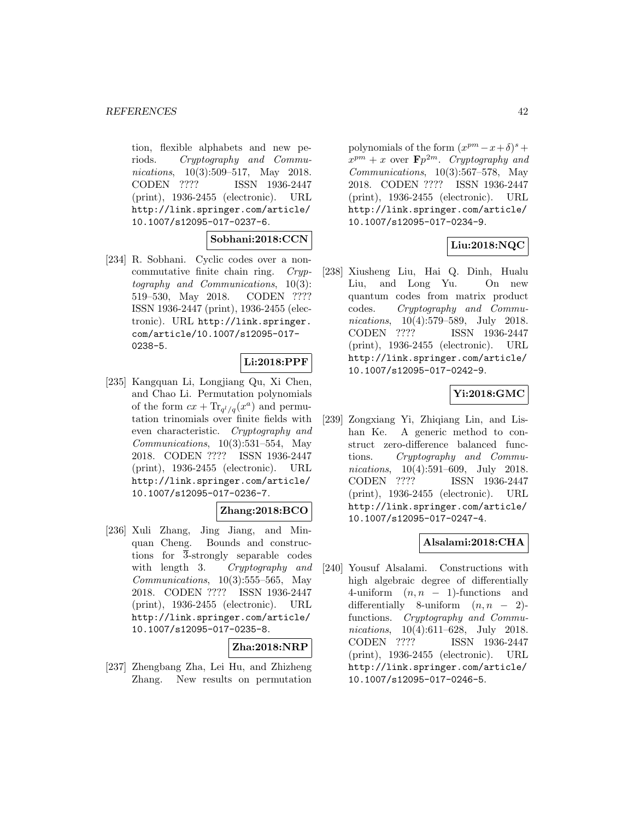tion, flexible alphabets and new periods. Cryptography and Communications, 10(3):509–517, May 2018. CODEN ???? ISSN 1936-2447 (print), 1936-2455 (electronic). URL http://link.springer.com/article/ 10.1007/s12095-017-0237-6.

**Sobhani:2018:CCN**

[234] R. Sobhani. Cyclic codes over a noncommutative finite chain ring. Cryptography and Communications, 10(3): 519–530, May 2018. CODEN ???? ISSN 1936-2447 (print), 1936-2455 (electronic). URL http://link.springer. com/article/10.1007/s12095-017- 0238-5.

## **Li:2018:PPF**

[235] Kangquan Li, Longjiang Qu, Xi Chen, and Chao Li. Permutation polynomials of the form  $cx + \text{Tr}_{q^l/q}(x^a)$  and permutation trinomials over finite fields with even characteristic. Cryptography and Communications, 10(3):531–554, May 2018. CODEN ???? ISSN 1936-2447 (print), 1936-2455 (electronic). URL http://link.springer.com/article/ 10.1007/s12095-017-0236-7.

### **Zhang:2018:BCO**

[236] Xuli Zhang, Jing Jiang, and Minquan Cheng. Bounds and constructions for  $\overline{3}$ -strongly separable codes with length 3. Cryptography and  $Communications, 10(3):555-565, May$ 2018. CODEN ???? ISSN 1936-2447 (print), 1936-2455 (electronic). URL http://link.springer.com/article/ 10.1007/s12095-017-0235-8.

#### **Zha:2018:NRP**

[237] Zhengbang Zha, Lei Hu, and Zhizheng Zhang. New results on permutation

polynomials of the form  $(x^{pm} - x + \delta)^s +$  $x^{pm} + x$  over  $\mathbf{F}p^{2m}$ . Cryptography and  $Communications, 10(3):567-578, \t\t\t May$ 2018. CODEN ???? ISSN 1936-2447 (print), 1936-2455 (electronic). URL http://link.springer.com/article/ 10.1007/s12095-017-0234-9.

### **Liu:2018:NQC**

[238] Xiusheng Liu, Hai Q. Dinh, Hualu Liu, and Long Yu. On new quantum codes from matrix product codes. Cryptography and Communications, 10(4):579–589, July 2018. CODEN ???? ISSN 1936-2447 (print), 1936-2455 (electronic). URL http://link.springer.com/article/ 10.1007/s12095-017-0242-9.

# **Yi:2018:GMC**

[239] Zongxiang Yi, Zhiqiang Lin, and Lishan Ke. A generic method to construct zero-difference balanced functions. Cryptography and Communications, 10(4):591-609, July 2018. CODEN ???? ISSN 1936-2447 (print), 1936-2455 (electronic). URL http://link.springer.com/article/ 10.1007/s12095-017-0247-4.

#### **Alsalami:2018:CHA**

[240] Yousuf Alsalami. Constructions with high algebraic degree of differentially 4-uniform  $(n, n - 1)$ -functions and differentially 8-uniform  $(n, n - 2)$ functions. Cryptography and Communications, 10(4):611–628, July 2018. CODEN ???? ISSN 1936-2447 (print), 1936-2455 (electronic). URL http://link.springer.com/article/ 10.1007/s12095-017-0246-5.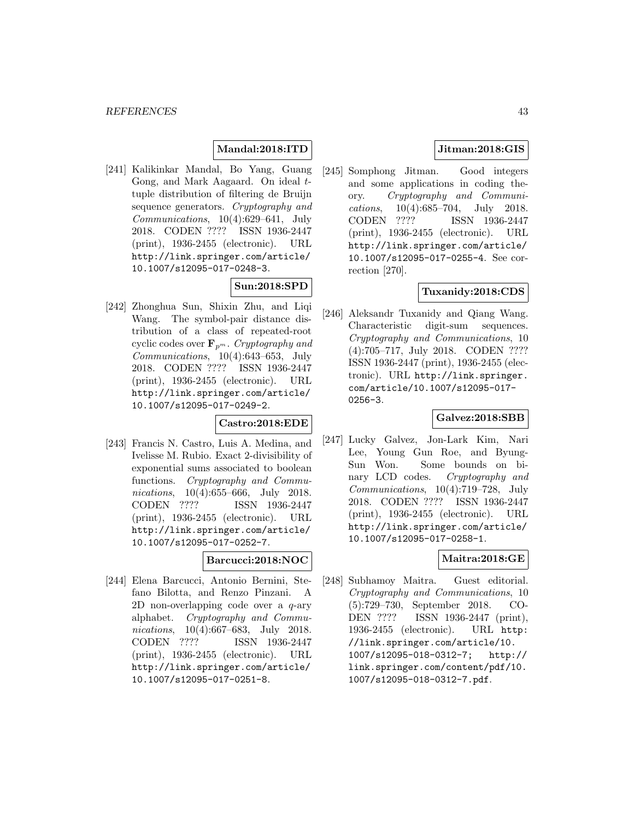# **Mandal:2018:ITD**

[241] Kalikinkar Mandal, Bo Yang, Guang Gong, and Mark Aagaard. On ideal ttuple distribution of filtering de Bruijn sequence generators. Cryptography and Communications, 10(4):629–641, July 2018. CODEN ???? ISSN 1936-2447 (print), 1936-2455 (electronic). URL http://link.springer.com/article/ 10.1007/s12095-017-0248-3.

# **Sun:2018:SPD**

[242] Zhonghua Sun, Shixin Zhu, and Liqi Wang. The symbol-pair distance distribution of a class of repeated-root cyclic codes over  $\mathbf{F}_{p^m}$ . Cryptography and Communications, 10(4):643–653, July 2018. CODEN ???? ISSN 1936-2447 (print), 1936-2455 (electronic). URL http://link.springer.com/article/ 10.1007/s12095-017-0249-2.

### **Castro:2018:EDE**

[243] Francis N. Castro, Luis A. Medina, and Ivelisse M. Rubio. Exact 2-divisibility of exponential sums associated to boolean functions. Cryptography and Communications, 10(4):655–666, July 2018. CODEN ???? ISSN 1936-2447 (print), 1936-2455 (electronic). URL http://link.springer.com/article/ 10.1007/s12095-017-0252-7.

### **Barcucci:2018:NOC**

[244] Elena Barcucci, Antonio Bernini, Stefano Bilotta, and Renzo Pinzani. A 2D non-overlapping code over a q-ary alphabet. Cryptography and Communications, 10(4):667–683, July 2018. CODEN ???? ISSN 1936-2447 (print), 1936-2455 (electronic). URL http://link.springer.com/article/ 10.1007/s12095-017-0251-8.

### **Jitman:2018:GIS**

[245] Somphong Jitman. Good integers and some applications in coding theory. Cryptography and Communications, 10(4):685–704, July 2018. CODEN ???? ISSN 1936-2447 (print), 1936-2455 (electronic). URL http://link.springer.com/article/ 10.1007/s12095-017-0255-4. See correction [270].

### **Tuxanidy:2018:CDS**

[246] Aleksandr Tuxanidy and Qiang Wang. Characteristic digit-sum sequences. Cryptography and Communications, 10 (4):705–717, July 2018. CODEN ???? ISSN 1936-2447 (print), 1936-2455 (electronic). URL http://link.springer. com/article/10.1007/s12095-017- 0256-3.

#### **Galvez:2018:SBB**

[247] Lucky Galvez, Jon-Lark Kim, Nari Lee, Young Gun Roe, and Byung-Sun Won. Some bounds on binary LCD codes. Cryptography and Communications, 10(4):719–728, July 2018. CODEN ???? ISSN 1936-2447 (print), 1936-2455 (electronic). URL http://link.springer.com/article/ 10.1007/s12095-017-0258-1.

#### **Maitra:2018:GE**

[248] Subhamoy Maitra. Guest editorial. Cryptography and Communications, 10 (5):729–730, September 2018. CO-DEN ???? ISSN 1936-2447 (print), 1936-2455 (electronic). URL http: //link.springer.com/article/10. 1007/s12095-018-0312-7; http:// link.springer.com/content/pdf/10. 1007/s12095-018-0312-7.pdf.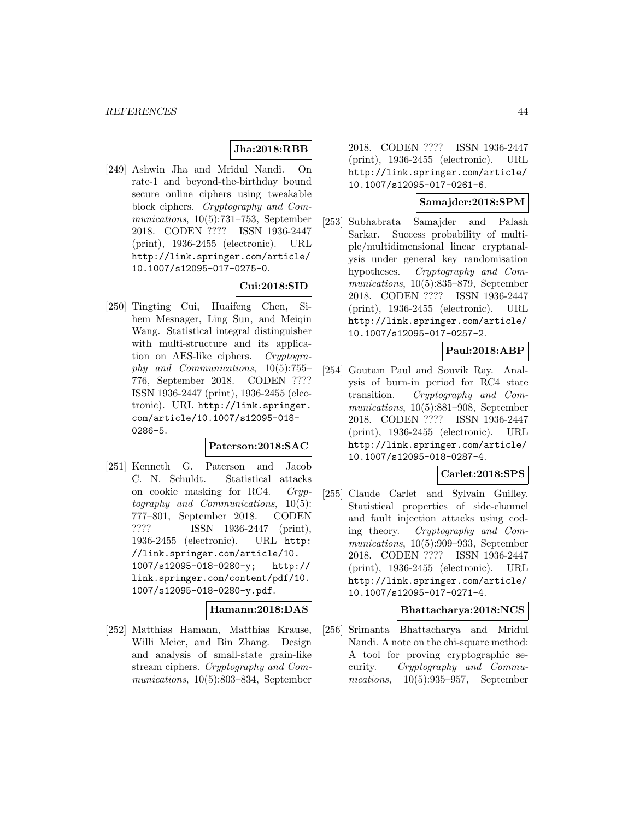### **Jha:2018:RBB**

[249] Ashwin Jha and Mridul Nandi. On rate-1 and beyond-the-birthday bound secure online ciphers using tweakable block ciphers. Cryptography and Communications, 10(5):731–753, September 2018. CODEN ???? ISSN 1936-2447 (print), 1936-2455 (electronic). URL http://link.springer.com/article/ 10.1007/s12095-017-0275-0.

#### **Cui:2018:SID**

[250] Tingting Cui, Huaifeng Chen, Sihem Mesnager, Ling Sun, and Meiqin Wang. Statistical integral distinguisher with multi-structure and its application on AES-like ciphers. Cryptography and Communications, 10(5):755– 776, September 2018. CODEN ???? ISSN 1936-2447 (print), 1936-2455 (electronic). URL http://link.springer. com/article/10.1007/s12095-018- 0286-5.

#### **Paterson:2018:SAC**

[251] Kenneth G. Paterson and Jacob C. N. Schuldt. Statistical attacks on cookie masking for RC4. Cryptography and Communications, 10(5): 777–801, September 2018. CODEN ???? ISSN 1936-2447 (print), 1936-2455 (electronic). URL http: //link.springer.com/article/10. 1007/s12095-018-0280-y; http:// link.springer.com/content/pdf/10. 1007/s12095-018-0280-y.pdf.

#### **Hamann:2018:DAS**

[252] Matthias Hamann, Matthias Krause, Willi Meier, and Bin Zhang. Design and analysis of small-state grain-like stream ciphers. Cryptography and Communications, 10(5):803–834, September

2018. CODEN ???? ISSN 1936-2447 (print), 1936-2455 (electronic). URL http://link.springer.com/article/ 10.1007/s12095-017-0261-6.

### **Samajder:2018:SPM**

[253] Subhabrata Samajder and Palash Sarkar. Success probability of multiple/multidimensional linear cryptanalysis under general key randomisation hypotheses. Cryptography and Communications, 10(5):835–879, September 2018. CODEN ???? ISSN 1936-2447 (print), 1936-2455 (electronic). URL http://link.springer.com/article/ 10.1007/s12095-017-0257-2.

### **Paul:2018:ABP**

[254] Goutam Paul and Souvik Ray. Analysis of burn-in period for RC4 state transition. Cryptography and Communications, 10(5):881–908, September 2018. CODEN ???? ISSN 1936-2447 (print), 1936-2455 (electronic). URL http://link.springer.com/article/ 10.1007/s12095-018-0287-4.

#### **Carlet:2018:SPS**

[255] Claude Carlet and Sylvain Guilley. Statistical properties of side-channel and fault injection attacks using coding theory. Cryptography and Communications, 10(5):909–933, September 2018. CODEN ???? ISSN 1936-2447 (print), 1936-2455 (electronic). URL http://link.springer.com/article/ 10.1007/s12095-017-0271-4.

### **Bhattacharya:2018:NCS**

[256] Srimanta Bhattacharya and Mridul Nandi. A note on the chi-square method: A tool for proving cryptographic security. Cryptography and Communications, 10(5):935–957, September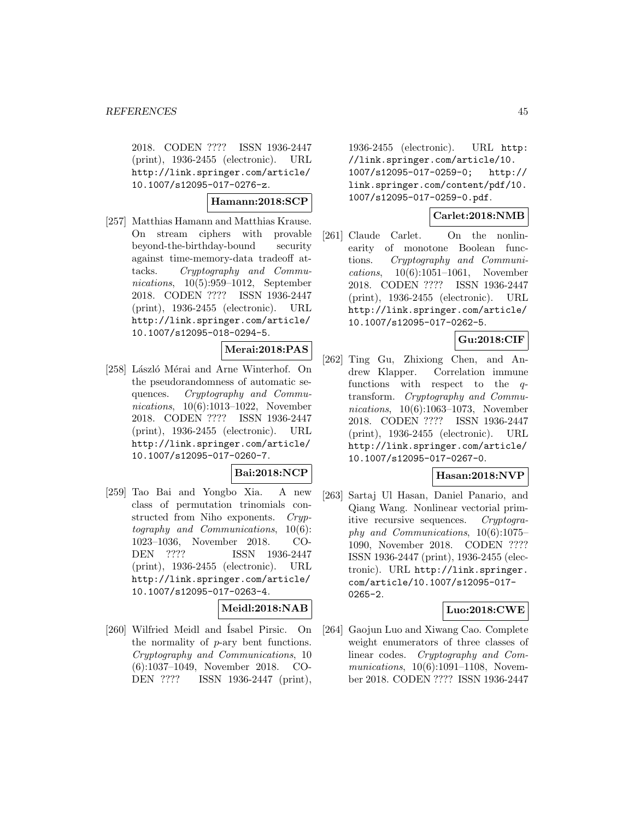2018. CODEN ???? ISSN 1936-2447 (print), 1936-2455 (electronic). URL http://link.springer.com/article/ 10.1007/s12095-017-0276-z.

#### **Hamann:2018:SCP**

[257] Matthias Hamann and Matthias Krause. On stream ciphers with provable beyond-the-birthday-bound security against time-memory-data tradeoff attacks. Cryptography and Communications, 10(5):959–1012, September 2018. CODEN ???? ISSN 1936-2447 (print), 1936-2455 (electronic). URL http://link.springer.com/article/ 10.1007/s12095-018-0294-5.

#### **Merai:2018:PAS**

[258] László Mérai and Arne Winterhof. On the pseudorandomness of automatic sequences. Cryptography and Communications, 10(6):1013–1022, November 2018. CODEN ???? ISSN 1936-2447 (print), 1936-2455 (electronic). URL http://link.springer.com/article/ 10.1007/s12095-017-0260-7.

## **Bai:2018:NCP**

[259] Tao Bai and Yongbo Xia. A new class of permutation trinomials constructed from Niho exponents. Cryptography and Communications, 10(6): 1023–1036, November 2018. CO-DEN ???? ISSN 1936-2447 (print), 1936-2455 (electronic). URL http://link.springer.com/article/ 10.1007/s12095-017-0263-4.

## **Meidl:2018:NAB**

[260] Wilfried Meidl and Isabel Pirsic. On the normality of p-ary bent functions. Cryptography and Communications, 10 (6):1037–1049, November 2018. CO-DEN ???? ISSN 1936-2447 (print),

1936-2455 (electronic). URL http: //link.springer.com/article/10. 1007/s12095-017-0259-0; http:// link.springer.com/content/pdf/10. 1007/s12095-017-0259-0.pdf.

### **Carlet:2018:NMB**

[261] Claude Carlet. On the nonlinearity of monotone Boolean functions. Cryptography and Communications, 10(6):1051–1061, November 2018. CODEN ???? ISSN 1936-2447 (print), 1936-2455 (electronic). URL http://link.springer.com/article/ 10.1007/s12095-017-0262-5.

## **Gu:2018:CIF**

[262] Ting Gu, Zhixiong Chen, and Andrew Klapper. Correlation immune functions with respect to the qtransform. Cryptography and Communications, 10(6):1063–1073, November 2018. CODEN ???? ISSN 1936-2447 (print), 1936-2455 (electronic). URL http://link.springer.com/article/ 10.1007/s12095-017-0267-0.

### **Hasan:2018:NVP**

[263] Sartaj Ul Hasan, Daniel Panario, and Qiang Wang. Nonlinear vectorial primitive recursive sequences. Cryptography and Communications, 10(6):1075– 1090, November 2018. CODEN ???? ISSN 1936-2447 (print), 1936-2455 (electronic). URL http://link.springer. com/article/10.1007/s12095-017- 0265-2.

#### **Luo:2018:CWE**

[264] Gaojun Luo and Xiwang Cao. Complete weight enumerators of three classes of linear codes. Cryptography and Communications, 10(6):1091-1108. November 2018. CODEN ???? ISSN 1936-2447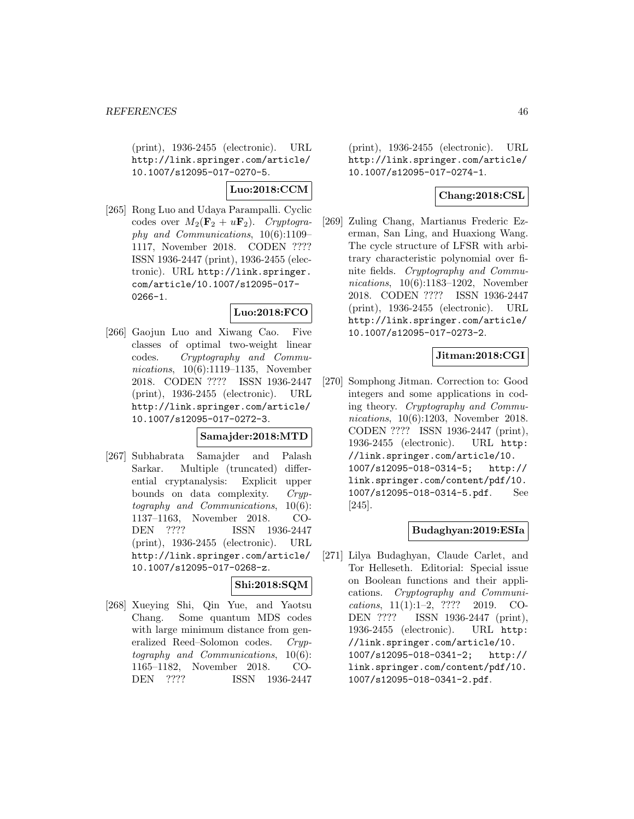(print), 1936-2455 (electronic). URL http://link.springer.com/article/ 10.1007/s12095-017-0270-5.

**Luo:2018:CCM**

[265] Rong Luo and Udaya Parampalli. Cyclic codes over  $M_2(\mathbf{F}_2 + u\mathbf{F}_2)$ . Cryptography and Communications, 10(6):1109– 1117, November 2018. CODEN ???? ISSN 1936-2447 (print), 1936-2455 (electronic). URL http://link.springer. com/article/10.1007/s12095-017- 0266-1.

#### **Luo:2018:FCO**

[266] Gaojun Luo and Xiwang Cao. Five classes of optimal two-weight linear codes. Cryptography and Communications, 10(6):1119–1135, November 2018. CODEN ???? ISSN 1936-2447 (print), 1936-2455 (electronic). URL http://link.springer.com/article/ 10.1007/s12095-017-0272-3.

#### **Samajder:2018:MTD**

[267] Subhabrata Samajder and Palash Sarkar. Multiple (truncated) differential cryptanalysis: Explicit upper bounds on data complexity. Cryptography and Communications, 10(6): 1137–1163, November 2018. CO-DEN ???? ISSN 1936-2447 (print), 1936-2455 (electronic). URL http://link.springer.com/article/ 10.1007/s12095-017-0268-z.

## **Shi:2018:SQM**

[268] Xueying Shi, Qin Yue, and Yaotsu Chang. Some quantum MDS codes with large minimum distance from generalized Reed–Solomon codes. Cryptography and Communications, 10(6): 1165–1182, November 2018. CO-DEN ???? ISSN 1936-2447

(print), 1936-2455 (electronic). URL http://link.springer.com/article/ 10.1007/s12095-017-0274-1.

### **Chang:2018:CSL**

[269] Zuling Chang, Martianus Frederic Ezerman, San Ling, and Huaxiong Wang. The cycle structure of LFSR with arbitrary characteristic polynomial over finite fields. Cryptography and Communications, 10(6):1183–1202, November 2018. CODEN ???? ISSN 1936-2447 (print), 1936-2455 (electronic). URL http://link.springer.com/article/ 10.1007/s12095-017-0273-2.

### **Jitman:2018:CGI**

[270] Somphong Jitman. Correction to: Good integers and some applications in coding theory. Cryptography and Communications, 10(6):1203, November 2018. CODEN ???? ISSN 1936-2447 (print), 1936-2455 (electronic). URL http: //link.springer.com/article/10. 1007/s12095-018-0314-5; http:// link.springer.com/content/pdf/10. 1007/s12095-018-0314-5.pdf. See [245].

#### **Budaghyan:2019:ESIa**

[271] Lilya Budaghyan, Claude Carlet, and Tor Helleseth. Editorial: Special issue on Boolean functions and their applications. Cryptography and Communications, 11(1):1–2, ???? 2019. CO-DEN ???? ISSN 1936-2447 (print), 1936-2455 (electronic). URL http: //link.springer.com/article/10. 1007/s12095-018-0341-2; http:// link.springer.com/content/pdf/10. 1007/s12095-018-0341-2.pdf.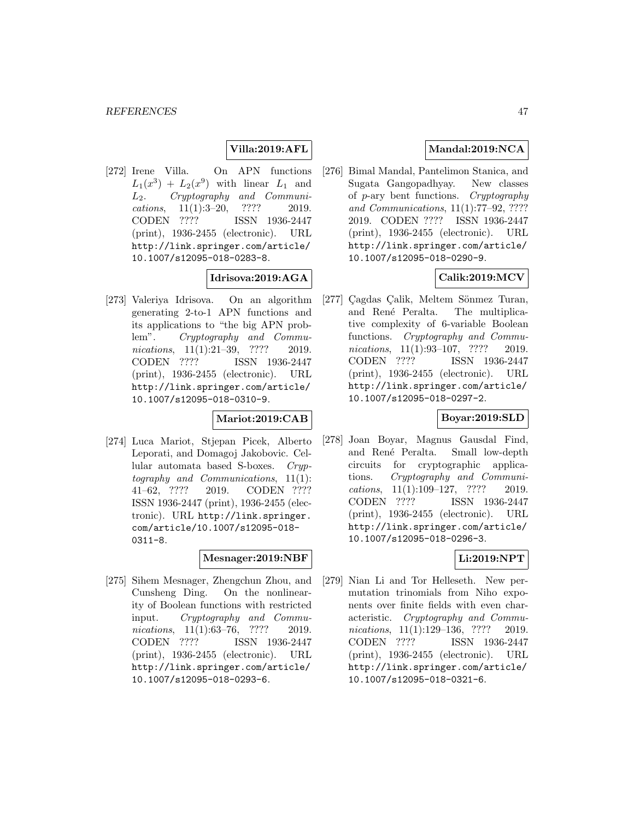### **Villa:2019:AFL**

[272] Irene Villa. On APN functions  $L_1(x^3) + L_2(x^9)$  with linear  $L_1$  and L2. Cryptography and Communi $cations, 11(1):3-20, ???? 2019.$ CODEN ???? ISSN 1936-2447 (print), 1936-2455 (electronic). URL http://link.springer.com/article/ 10.1007/s12095-018-0283-8.

#### **Idrisova:2019:AGA**

[273] Valeriya Idrisova. On an algorithm generating 2-to-1 APN functions and its applications to "the big APN problem". Cryptography and Communications, 11(1):21–39, ???? 2019. CODEN ???? ISSN 1936-2447 (print), 1936-2455 (electronic). URL http://link.springer.com/article/ 10.1007/s12095-018-0310-9.

#### **Mariot:2019:CAB**

[274] Luca Mariot, Stjepan Picek, Alberto Leporati, and Domagoj Jakobovic. Cellular automata based S-boxes. Cryptography and Communications, 11(1): 41–62, ???? 2019. CODEN ???? ISSN 1936-2447 (print), 1936-2455 (electronic). URL http://link.springer. com/article/10.1007/s12095-018- 0311-8.

#### **Mesnager:2019:NBF**

[275] Sihem Mesnager, Zhengchun Zhou, and Cunsheng Ding. On the nonlinearity of Boolean functions with restricted input. Cryptography and Communications, 11(1):63-76, ???? 2019. CODEN ???? ISSN 1936-2447 (print), 1936-2455 (electronic). URL http://link.springer.com/article/ 10.1007/s12095-018-0293-6.

## **Mandal:2019:NCA**

[276] Bimal Mandal, Pantelimon Stanica, and Sugata Gangopadhyay. New classes of p-ary bent functions. Cryptography and Communications, 11(1):77–92, ???? 2019. CODEN ???? ISSN 1936-2447 (print), 1936-2455 (electronic). URL http://link.springer.com/article/ 10.1007/s12095-018-0290-9.

### **Calik:2019:MCV**

[277] Çagdas Çalik, Meltem Sönmez Turan, and René Peralta. The multiplicative complexity of 6-variable Boolean functions. Cryptography and Communications, 11(1):93-107, ???? 2019. CODEN ???? ISSN 1936-2447 (print), 1936-2455 (electronic). URL http://link.springer.com/article/ 10.1007/s12095-018-0297-2.

#### **Boyar:2019:SLD**

[278] Joan Boyar, Magnus Gausdal Find, and Ren´e Peralta. Small low-depth circuits for cryptographic applications. Cryptography and Communications, 11(1):109–127, ???? 2019. CODEN ???? ISSN 1936-2447 (print), 1936-2455 (electronic). URL http://link.springer.com/article/ 10.1007/s12095-018-0296-3.

### **Li:2019:NPT**

[279] Nian Li and Tor Helleseth. New permutation trinomials from Niho exponents over finite fields with even characteristic. Cryptography and Communications, 11(1):129-136, ???? 2019. CODEN ???? ISSN 1936-2447 (print), 1936-2455 (electronic). URL http://link.springer.com/article/ 10.1007/s12095-018-0321-6.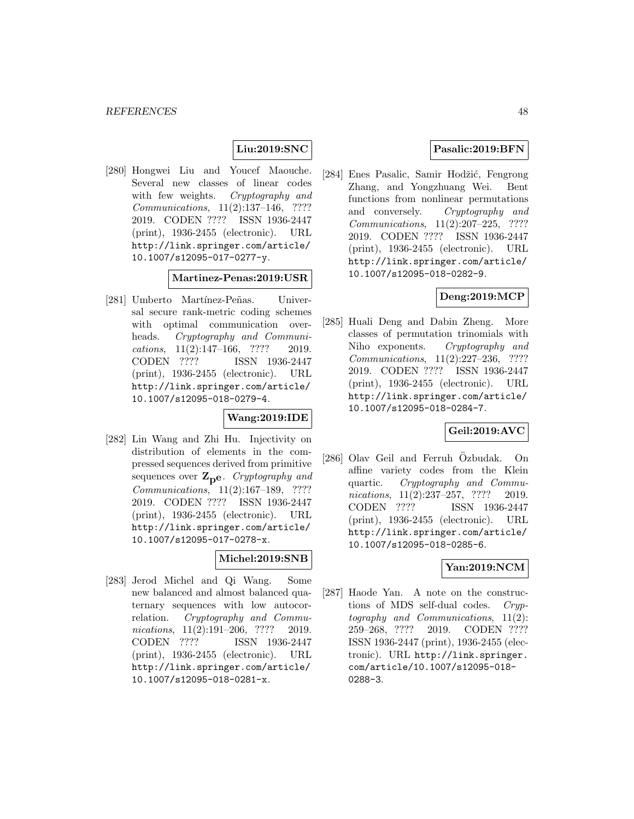## **Liu:2019:SNC**

[280] Hongwei Liu and Youcef Maouche. Several new classes of linear codes with few weights. Cryptography and Communications, 11(2):137–146, ???? 2019. CODEN ???? ISSN 1936-2447 (print), 1936-2455 (electronic). URL http://link.springer.com/article/ 10.1007/s12095-017-0277-y.

#### **Martinez-Penas:2019:USR**

[281] Umberto Martínez-Peñas. Universal secure rank-metric coding schemes with optimal communication overheads. Cryptography and Communications, 11(2):147–166, ???? 2019. CODEN ???? ISSN 1936-2447 (print), 1936-2455 (electronic). URL http://link.springer.com/article/ 10.1007/s12095-018-0279-4.

#### **Wang:2019:IDE**

[282] Lin Wang and Zhi Hu. Injectivity on distribution of elements in the compressed sequences derived from primitive sequences over **Zpe**. Cryptography and Communications, 11(2):167–189, ???? 2019. CODEN ???? ISSN 1936-2447 (print), 1936-2455 (electronic). URL http://link.springer.com/article/ 10.1007/s12095-017-0278-x.

#### **Michel:2019:SNB**

[283] Jerod Michel and Qi Wang. Some new balanced and almost balanced quaternary sequences with low autocorrelation. Cryptography and Communications, 11(2):191-206, ???? 2019. CODEN ???? ISSN 1936-2447 (print), 1936-2455 (electronic). URL http://link.springer.com/article/ 10.1007/s12095-018-0281-x.

### **Pasalic:2019:BFN**

[284] Enes Pasalic, Samir Hodžić, Fengrong Zhang, and Yongzhuang Wei. Bent functions from nonlinear permutations and conversely. Cryptography and Communications, 11(2):207–225, ???? 2019. CODEN ???? ISSN 1936-2447 (print), 1936-2455 (electronic). URL http://link.springer.com/article/ 10.1007/s12095-018-0282-9.

#### **Deng:2019:MCP**

[285] Huali Deng and Dabin Zheng. More classes of permutation trinomials with Niho exponents. Cryptography and Communications, 11(2):227–236, ???? 2019. CODEN ???? ISSN 1936-2447 (print), 1936-2455 (electronic). URL http://link.springer.com/article/ 10.1007/s12095-018-0284-7.

### **Geil:2019:AVC**

[286] Olav Geil and Ferruh Ozbudak. On affine variety codes from the Klein quartic. Cryptography and Communications, 11(2):237-257, ???? 2019. CODEN ???? ISSN 1936-2447 (print), 1936-2455 (electronic). URL http://link.springer.com/article/ 10.1007/s12095-018-0285-6.

#### **Yan:2019:NCM**

[287] Haode Yan. A note on the constructions of MDS self-dual codes. Cryptography and Communications, 11(2): 259–268, ???? 2019. CODEN ???? ISSN 1936-2447 (print), 1936-2455 (electronic). URL http://link.springer. com/article/10.1007/s12095-018- 0288-3.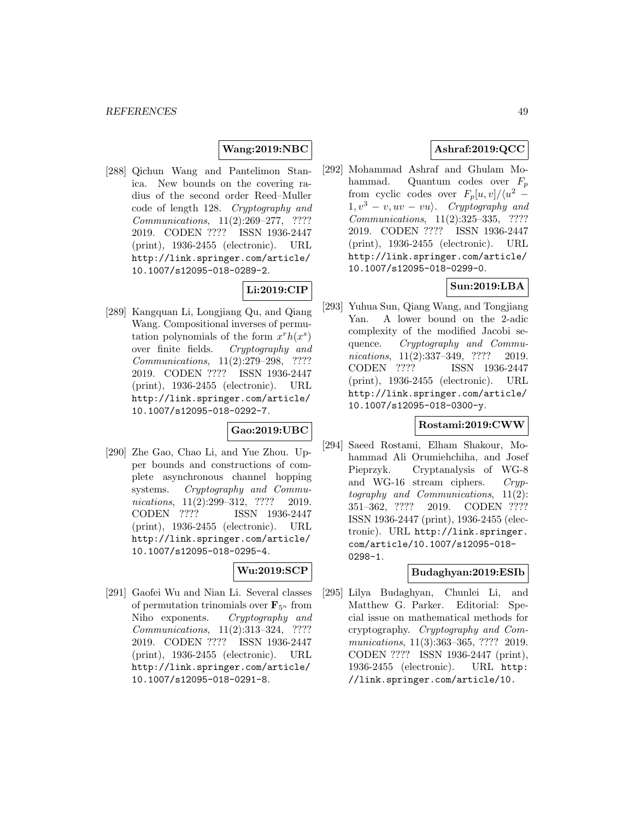### **Wang:2019:NBC**

[288] Qichun Wang and Pantelimon Stanica. New bounds on the covering radius of the second order Reed–Muller code of length 128. Cryptography and Communications, 11(2):269–277, ???? 2019. CODEN ???? ISSN 1936-2447 (print), 1936-2455 (electronic). URL http://link.springer.com/article/ 10.1007/s12095-018-0289-2.

# **Li:2019:CIP**

[289] Kangquan Li, Longjiang Qu, and Qiang Wang. Compositional inverses of permutation polynomials of the form  $x^r h(x^s)$ over finite fields. Cryptography and Communications, 11(2):279–298, ???? 2019. CODEN ???? ISSN 1936-2447 (print), 1936-2455 (electronic). URL http://link.springer.com/article/ 10.1007/s12095-018-0292-7.

### **Gao:2019:UBC**

[290] Zhe Gao, Chao Li, and Yue Zhou. Upper bounds and constructions of complete asynchronous channel hopping systems. Cryptography and Communications, 11(2):299-312, ???? 2019. CODEN ???? ISSN 1936-2447 (print), 1936-2455 (electronic). URL http://link.springer.com/article/ 10.1007/s12095-018-0295-4.

## **Wu:2019:SCP**

[291] Gaofei Wu and Nian Li. Several classes of permutation trinomials over  $\mathbf{F}_{5^n}$  from Niho exponents. Cryptography and Communications, 11(2):313–324, ???? 2019. CODEN ???? ISSN 1936-2447 (print), 1936-2455 (electronic). URL http://link.springer.com/article/ 10.1007/s12095-018-0291-8.

# **Ashraf:2019:QCC**

[292] Mohammad Ashraf and Ghulam Mohammad. Quantum codes over  $F_p$ from cyclic codes over  $F_p[u, v]/\langle u^2 1, v^3 - v, uv - vu$ . Cryptography and Communications, 11(2):325–335, ???? 2019. CODEN ???? ISSN 1936-2447 (print), 1936-2455 (electronic). URL http://link.springer.com/article/ 10.1007/s12095-018-0299-0.

### **Sun:2019:LBA**

[293] Yuhua Sun, Qiang Wang, and Tongjiang Yan. A lower bound on the 2-adic complexity of the modified Jacobi sequence. Cryptography and Communications, 11(2):337-349, ???? 2019. CODEN ???? ISSN 1936-2447 (print), 1936-2455 (electronic). URL http://link.springer.com/article/ 10.1007/s12095-018-0300-y.

#### **Rostami:2019:CWW**

[294] Saeed Rostami, Elham Shakour, Mohammad Ali Orumiehchiha, and Josef Pieprzyk. Cryptanalysis of WG-8 and WG-16 stream ciphers. Cryptography and Communications, 11(2): 351–362, ???? 2019. CODEN ???? ISSN 1936-2447 (print), 1936-2455 (electronic). URL http://link.springer. com/article/10.1007/s12095-018- 0298-1.

#### **Budaghyan:2019:ESIb**

[295] Lilya Budaghyan, Chunlei Li, and Matthew G. Parker. Editorial: Special issue on mathematical methods for cryptography. Cryptography and Communications, 11(3):363-365, ???? 2019. CODEN ???? ISSN 1936-2447 (print), 1936-2455 (electronic). URL http: //link.springer.com/article/10.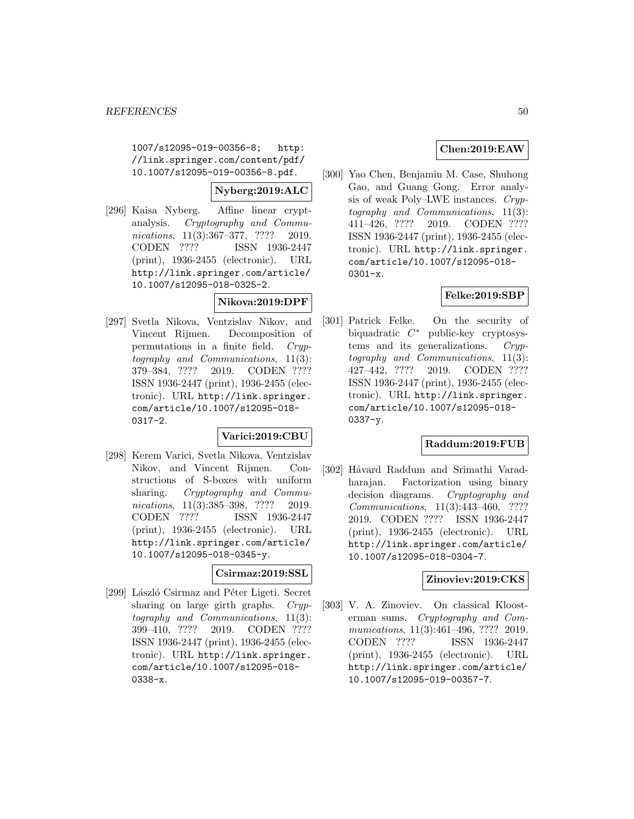1007/s12095-019-00356-8; http: //link.springer.com/content/pdf/ 10.1007/s12095-019-00356-8.pdf.

**Nyberg:2019:ALC**

[296] Kaisa Nyberg. Affine linear cryptanalysis. Cryptography and Communications, 11(3):367-377, ???? 2019. CODEN ???? ISSN 1936-2447 (print), 1936-2455 (electronic). URL http://link.springer.com/article/ 10.1007/s12095-018-0325-2.

# **Nikova:2019:DPF**

[297] Svetla Nikova, Ventzislav Nikov, and Vincent Rijmen. Decomposition of permutations in a finite field. Cryptography and Communications, 11(3): 379–384, ???? 2019. CODEN ???? ISSN 1936-2447 (print), 1936-2455 (electronic). URL http://link.springer. com/article/10.1007/s12095-018- 0317-2.

## **Varici:2019:CBU**

[298] Kerem Varici, Svetla Nikova, Ventzislav Nikov, and Vincent Rijmen. Constructions of S-boxes with uniform sharing. Cryptography and Communications, 11(3):385–398, ???? 2019. CODEN ???? ISSN 1936-2447 (print), 1936-2455 (electronic). URL http://link.springer.com/article/ 10.1007/s12095-018-0345-y.

### **Csirmaz:2019:SSL**

[299] László Csirmaz and Péter Ligeti. Secret sharing on large girth graphs. Cryptography and Communications, 11(3): 399–410, ???? 2019. CODEN ???? ISSN 1936-2447 (print), 1936-2455 (electronic). URL http://link.springer. com/article/10.1007/s12095-018- 0338-x.

### **Chen:2019:EAW**

[300] Yao Chen, Benjamin M. Case, Shuhong Gao, and Guang Gong. Error analysis of weak Poly–LWE instances. Cryptography and Communications, 11(3): 411–426, ???? 2019. CODEN ???? ISSN 1936-2447 (print), 1936-2455 (electronic). URL http://link.springer. com/article/10.1007/s12095-018-  $0301-x.$ 

### **Felke:2019:SBP**

[301] Patrick Felke. On the security of biquadratic C<sup>∗</sup> public-key cryptosystems and its generalizations. Cryptography and Communications, 11(3): 427–442, ???? 2019. CODEN ???? ISSN 1936-2447 (print), 1936-2455 (electronic). URL http://link.springer. com/article/10.1007/s12095-018- 0337-y.

#### **Raddum:2019:FUB**

[302] Håvard Raddum and Srimathi Varadharajan. Factorization using binary decision diagrams. Cryptography and Communications, 11(3):443–460, ???? 2019. CODEN ???? ISSN 1936-2447 (print), 1936-2455 (electronic). URL http://link.springer.com/article/ 10.1007/s12095-018-0304-7.

## **Zinoviev:2019:CKS**

[303] V. A. Zinoviev. On classical Kloosterman sums. Cryptography and Communications, 11(3):461-496, ???? 2019. CODEN ???? ISSN 1936-2447 (print), 1936-2455 (electronic). URL http://link.springer.com/article/ 10.1007/s12095-019-00357-7.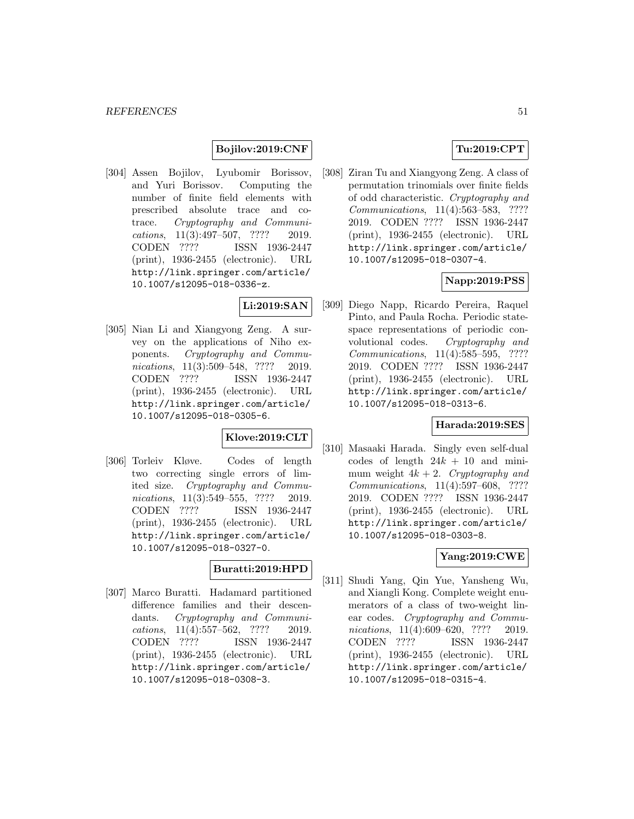### **Bojilov:2019:CNF**

[304] Assen Bojilov, Lyubomir Borissov, and Yuri Borissov. Computing the number of finite field elements with prescribed absolute trace and cotrace. Cryptography and Communications, 11(3):497–507, ???? 2019. CODEN ???? ISSN 1936-2447 (print), 1936-2455 (electronic). URL http://link.springer.com/article/ 10.1007/s12095-018-0336-z.

## **Li:2019:SAN**

[305] Nian Li and Xiangyong Zeng. A survey on the applications of Niho exponents. Cryptography and Communications, 11(3):509-548, ???? 2019. CODEN ???? ISSN 1936-2447 (print), 1936-2455 (electronic). URL http://link.springer.com/article/ 10.1007/s12095-018-0305-6.

# **Klove:2019:CLT**

[306] Torleiv Kløve. Codes of length two correcting single errors of limited size. Cryptography and Communications, 11(3):549–555, ???? 2019. CODEN ???? ISSN 1936-2447 (print), 1936-2455 (electronic). URL http://link.springer.com/article/ 10.1007/s12095-018-0327-0.

## **Buratti:2019:HPD**

[307] Marco Buratti. Hadamard partitioned difference families and their descendants. Cryptography and Communications, 11(4):557-562, ???? 2019. CODEN ???? ISSN 1936-2447 (print), 1936-2455 (electronic). URL http://link.springer.com/article/ 10.1007/s12095-018-0308-3.

## **Tu:2019:CPT**

[308] Ziran Tu and Xiangyong Zeng. A class of permutation trinomials over finite fields of odd characteristic. Cryptography and Communications, 11(4):563–583, ???? 2019. CODEN ???? ISSN 1936-2447 (print), 1936-2455 (electronic). URL http://link.springer.com/article/ 10.1007/s12095-018-0307-4.

#### **Napp:2019:PSS**

[309] Diego Napp, Ricardo Pereira, Raquel Pinto, and Paula Rocha. Periodic statespace representations of periodic convolutional codes. Cryptography and Communications, 11(4):585–595, ???? 2019. CODEN ???? ISSN 1936-2447 (print), 1936-2455 (electronic). URL http://link.springer.com/article/ 10.1007/s12095-018-0313-6.

## **Harada:2019:SES**

[310] Masaaki Harada. Singly even self-dual codes of length  $24k + 10$  and minimum weight  $4k + 2$ . Cryptography and Communications, 11(4):597–608, ???? 2019. CODEN ???? ISSN 1936-2447 (print), 1936-2455 (electronic). URL http://link.springer.com/article/ 10.1007/s12095-018-0303-8.

#### **Yang:2019:CWE**

[311] Shudi Yang, Qin Yue, Yansheng Wu, and Xiangli Kong. Complete weight enumerators of a class of two-weight linear codes. Cryptography and Communications, 11(4):609-620, ???? 2019. CODEN ???? ISSN 1936-2447 (print), 1936-2455 (electronic). URL http://link.springer.com/article/ 10.1007/s12095-018-0315-4.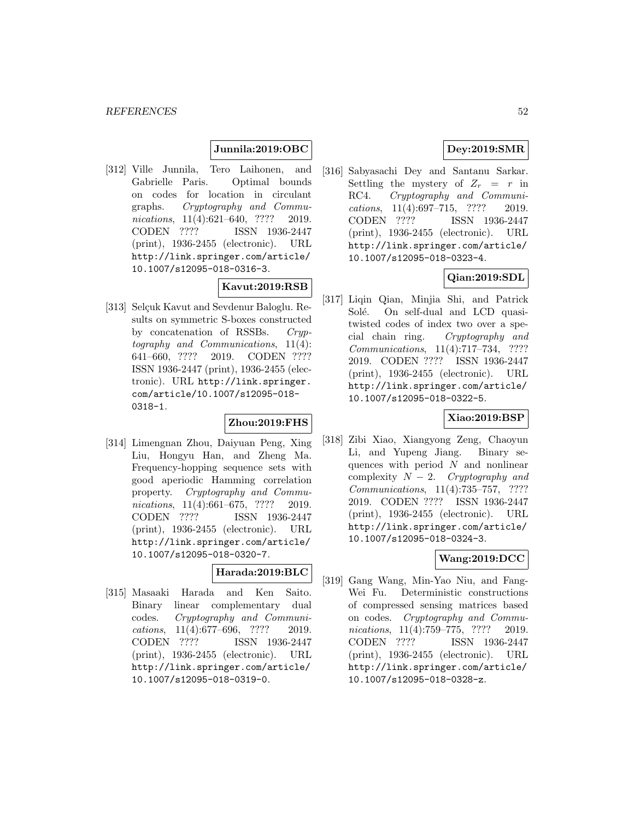#### **Junnila:2019:OBC**

[312] Ville Junnila, Tero Laihonen, and Gabrielle Paris. Optimal bounds on codes for location in circulant graphs. Cryptography and Communications, 11(4):621-640, ???? 2019. CODEN ???? ISSN 1936-2447 (print), 1936-2455 (electronic). URL http://link.springer.com/article/ 10.1007/s12095-018-0316-3.

**Kavut:2019:RSB**

[313] Selçuk Kavut and Sevdenur Baloglu. Results on symmetric S-boxes constructed by concatenation of RSSBs. Cryptography and Communications, 11(4): 641–660, ???? 2019. CODEN ???? ISSN 1936-2447 (print), 1936-2455 (electronic). URL http://link.springer. com/article/10.1007/s12095-018- 0318-1.

#### **Zhou:2019:FHS**

[314] Limengnan Zhou, Daiyuan Peng, Xing Liu, Hongyu Han, and Zheng Ma. Frequency-hopping sequence sets with good aperiodic Hamming correlation property. Cryptography and Communications, 11(4):661–675, ???? 2019. CODEN ???? ISSN 1936-2447 (print), 1936-2455 (electronic). URL http://link.springer.com/article/ 10.1007/s12095-018-0320-7.

## **Harada:2019:BLC**

[315] Masaaki Harada and Ken Saito. Binary linear complementary dual codes. Cryptography and Communications, 11(4):677–696, ???? 2019. CODEN ???? ISSN 1936-2447 (print), 1936-2455 (electronic). URL http://link.springer.com/article/ 10.1007/s12095-018-0319-0.

# **Dey:2019:SMR**

[316] Sabyasachi Dey and Santanu Sarkar. Settling the mystery of  $Z_r = r$  in RC4. Cryptography and Communications, 11(4):697–715, ???? 2019. CODEN ???? ISSN 1936-2447 (print), 1936-2455 (electronic). URL http://link.springer.com/article/ 10.1007/s12095-018-0323-4.

## **Qian:2019:SDL**

[317] Liqin Qian, Minjia Shi, and Patrick Solé. On self-dual and LCD quasitwisted codes of index two over a special chain ring. Cryptography and Communications, 11(4):717–734, ???? 2019. CODEN ???? ISSN 1936-2447 (print), 1936-2455 (electronic). URL http://link.springer.com/article/ 10.1007/s12095-018-0322-5.

#### **Xiao:2019:BSP**

[318] Zibi Xiao, Xiangyong Zeng, Chaoyun Li, and Yupeng Jiang. Binary sequences with period  $N$  and nonlinear complexity  $N-2$ . Cryptography and Communications, 11(4):735–757, ???? 2019. CODEN ???? ISSN 1936-2447 (print), 1936-2455 (electronic). URL http://link.springer.com/article/ 10.1007/s12095-018-0324-3.

#### **Wang:2019:DCC**

[319] Gang Wang, Min-Yao Niu, and Fang-Wei Fu. Deterministic constructions of compressed sensing matrices based on codes. Cryptography and Communications, 11(4):759-775, ???? 2019. CODEN ???? ISSN 1936-2447 (print), 1936-2455 (electronic). URL http://link.springer.com/article/ 10.1007/s12095-018-0328-z.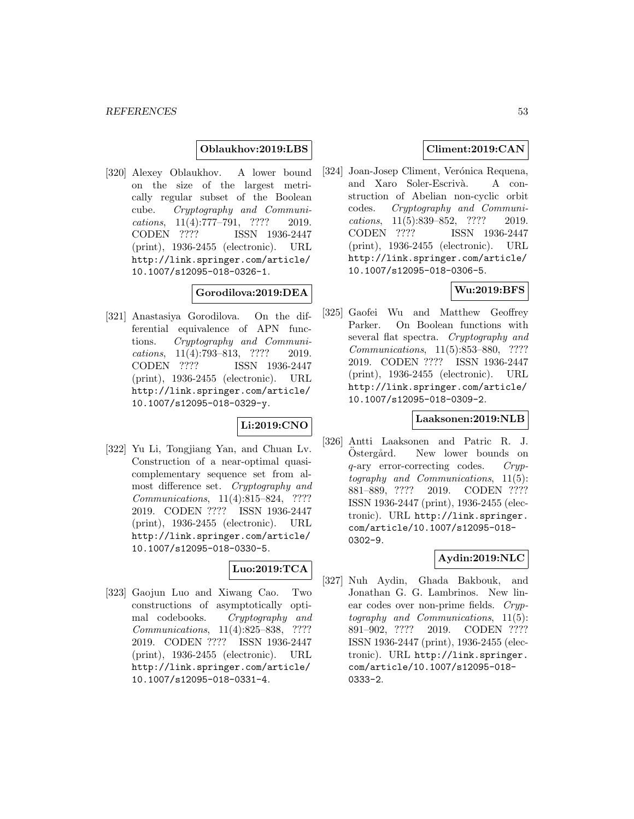#### **Oblaukhov:2019:LBS**

[320] Alexey Oblaukhov. A lower bound on the size of the largest metrically regular subset of the Boolean cube. Cryptography and Communications, 11(4):777–791, ???? 2019. CODEN ???? ISSN 1936-2447 (print), 1936-2455 (electronic). URL http://link.springer.com/article/ 10.1007/s12095-018-0326-1.

### **Gorodilova:2019:DEA**

[321] Anastasiya Gorodilova. On the differential equivalence of APN functions. Cryptography and Communications, 11(4):793–813, ???? 2019. CODEN ???? ISSN 1936-2447 (print), 1936-2455 (electronic). URL http://link.springer.com/article/ 10.1007/s12095-018-0329-y.

### **Li:2019:CNO**

[322] Yu Li, Tongjiang Yan, and Chuan Lv. Construction of a near-optimal quasicomplementary sequence set from almost difference set. Cryptography and Communications, 11(4):815–824, ???? 2019. CODEN ???? ISSN 1936-2447 (print), 1936-2455 (electronic). URL http://link.springer.com/article/ 10.1007/s12095-018-0330-5.

# **Luo:2019:TCA**

[323] Gaojun Luo and Xiwang Cao. Two constructions of asymptotically optimal codebooks. Cryptography and Communications, 11(4):825–838, ???? 2019. CODEN ???? ISSN 1936-2447 (print), 1936-2455 (electronic). URL http://link.springer.com/article/ 10.1007/s12095-018-0331-4.

### **Climent:2019:CAN**

[324] Joan-Josep Climent, Verónica Requena, and Xaro Soler-Escrivà. A construction of Abelian non-cyclic orbit codes. Cryptography and Communications, 11(5):839–852, ???? 2019. CODEN ???? ISSN 1936-2447 (print), 1936-2455 (electronic). URL http://link.springer.com/article/ 10.1007/s12095-018-0306-5.

# **Wu:2019:BFS**

[325] Gaofei Wu and Matthew Geoffrey Parker. On Boolean functions with several flat spectra. Cryptography and Communications, 11(5):853–880, ???? 2019. CODEN ???? ISSN 1936-2447 (print), 1936-2455 (electronic). URL http://link.springer.com/article/ 10.1007/s12095-018-0309-2.

#### **Laaksonen:2019:NLB**

[326] Antti Laaksonen and Patric R. J. Östergård. New lower bounds on  $q$ -ary error-correcting codes.  $Cryp$ tography and Communications, 11(5): 881–889, ???? 2019. CODEN ???? ISSN 1936-2447 (print), 1936-2455 (electronic). URL http://link.springer. com/article/10.1007/s12095-018- 0302-9.

#### **Aydin:2019:NLC**

[327] Nuh Aydin, Ghada Bakbouk, and Jonathan G. G. Lambrinos. New linear codes over non-prime fields. Cryptography and Communications, 11(5): 891–902, ???? 2019. CODEN ???? ISSN 1936-2447 (print), 1936-2455 (electronic). URL http://link.springer. com/article/10.1007/s12095-018- 0333-2.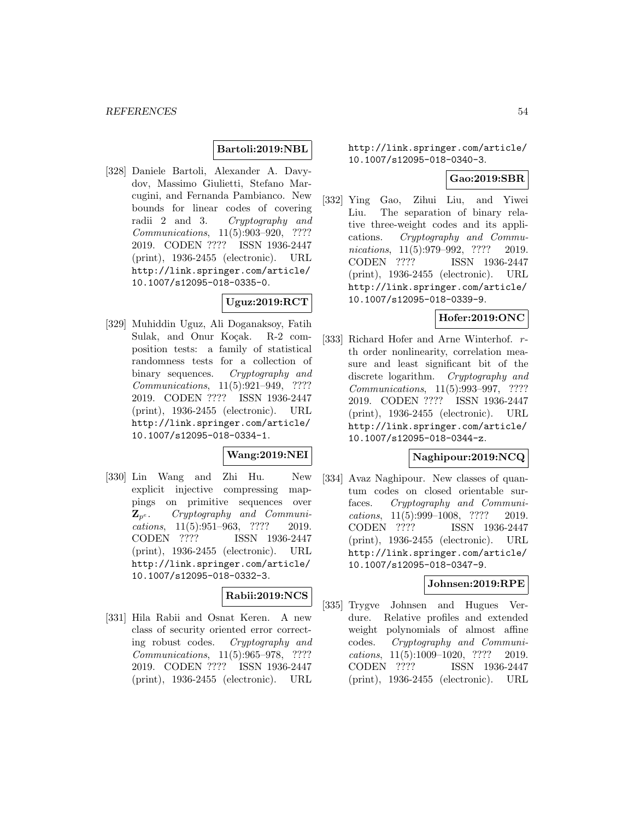## **Bartoli:2019:NBL**

[328] Daniele Bartoli, Alexander A. Davydov, Massimo Giulietti, Stefano Marcugini, and Fernanda Pambianco. New bounds for linear codes of covering radii 2 and 3. Cryptography and Communications, 11(5):903–920, ???? 2019. CODEN ???? ISSN 1936-2447 (print), 1936-2455 (electronic). URL http://link.springer.com/article/ 10.1007/s12095-018-0335-0.

### **Uguz:2019:RCT**

[329] Muhiddin Uguz, Ali Doganaksoy, Fatih Sulak, and Onur Koçak. R-2 composition tests: a family of statistical randomness tests for a collection of binary sequences. Cryptography and Communications, 11(5):921–949, ???? 2019. CODEN ???? ISSN 1936-2447 (print), 1936-2455 (electronic). URL http://link.springer.com/article/ 10.1007/s12095-018-0334-1.

#### **Wang:2019:NEI**

[330] Lin Wang and Zhi Hu. New explicit injective compressing mappings on primitive sequences over  $\mathbf{Z}_{p^e}$ . Cryptography and Communications, 11(5):951–963, ???? 2019. CODEN ???? ISSN 1936-2447 (print), 1936-2455 (electronic). URL http://link.springer.com/article/ 10.1007/s12095-018-0332-3.

### **Rabii:2019:NCS**

[331] Hila Rabii and Osnat Keren. A new class of security oriented error correcting robust codes. Cryptography and Communications, 11(5):965–978, ???? 2019. CODEN ???? ISSN 1936-2447 (print), 1936-2455 (electronic). URL

http://link.springer.com/article/ 10.1007/s12095-018-0340-3.

#### **Gao:2019:SBR**

[332] Ying Gao, Zihui Liu, and Yiwei Liu. The separation of binary relative three-weight codes and its applications. Cryptography and Communications, 11(5):979-992, ???? 2019. CODEN ???? ISSN 1936-2447 (print), 1936-2455 (electronic). URL http://link.springer.com/article/ 10.1007/s12095-018-0339-9.

## **Hofer:2019:ONC**

[333] Richard Hofer and Arne Winterhof. rth order nonlinearity, correlation measure and least significant bit of the discrete logarithm. Cryptography and Communications, 11(5):993–997, ???? 2019. CODEN ???? ISSN 1936-2447 (print), 1936-2455 (electronic). URL http://link.springer.com/article/ 10.1007/s12095-018-0344-z.

### **Naghipour:2019:NCQ**

[334] Avaz Naghipour. New classes of quantum codes on closed orientable surfaces. Cryptography and Communications, 11(5):999–1008, ???? 2019. CODEN ???? ISSN 1936-2447 (print), 1936-2455 (electronic). URL http://link.springer.com/article/ 10.1007/s12095-018-0347-9.

#### **Johnsen:2019:RPE**

[335] Trygve Johnsen and Hugues Verdure. Relative profiles and extended weight polynomials of almost affine codes. Cryptography and Communications, 11(5):1009–1020, ???? 2019. CODEN ???? ISSN 1936-2447 (print), 1936-2455 (electronic). URL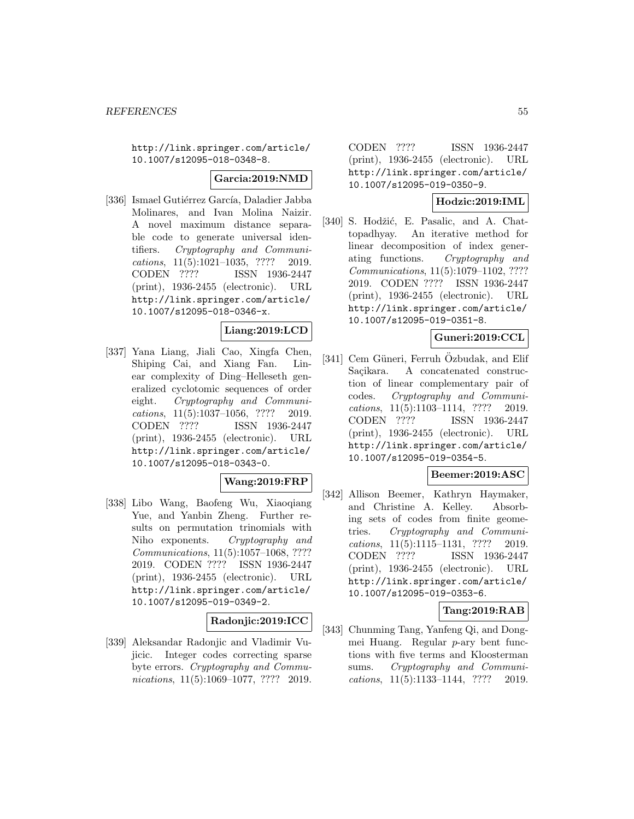http://link.springer.com/article/ 10.1007/s12095-018-0348-8.

#### **Garcia:2019:NMD**

[336] Ismael Gutiérrez García, Daladier Jabba Molinares, and Ivan Molina Naizir. A novel maximum distance separable code to generate universal identifiers. Cryptography and Communications, 11(5):1021–1035, ???? 2019. CODEN ???? ISSN 1936-2447 (print), 1936-2455 (electronic). URL http://link.springer.com/article/ 10.1007/s12095-018-0346-x.

### **Liang:2019:LCD**

[337] Yana Liang, Jiali Cao, Xingfa Chen, Shiping Cai, and Xiang Fan. Linear complexity of Ding–Helleseth generalized cyclotomic sequences of order eight. Cryptography and Communications, 11(5):1037–1056, ???? 2019. CODEN ???? ISSN 1936-2447 (print), 1936-2455 (electronic). URL http://link.springer.com/article/ 10.1007/s12095-018-0343-0.

### **Wang:2019:FRP**

[338] Libo Wang, Baofeng Wu, Xiaoqiang Yue, and Yanbin Zheng. Further results on permutation trinomials with Niho exponents. Cryptography and Communications, 11(5):1057–1068, ???? 2019. CODEN ???? ISSN 1936-2447 (print), 1936-2455 (electronic). URL http://link.springer.com/article/ 10.1007/s12095-019-0349-2.

#### **Radonjic:2019:ICC**

[339] Aleksandar Radonjic and Vladimir Vujicic. Integer codes correcting sparse byte errors. Cryptography and Communications, 11(5):1069-1077, ???? 2019.

CODEN ???? ISSN 1936-2447 (print), 1936-2455 (electronic). URL http://link.springer.com/article/ 10.1007/s12095-019-0350-9.

#### **Hodzic:2019:IML**

[340] S. Hodžić, E. Pasalic, and A. Chattopadhyay. An iterative method for linear decomposition of index generating functions. Cryptography and Communications, 11(5):1079–1102, ???? 2019. CODEN ???? ISSN 1936-2447 (print), 1936-2455 (electronic). URL http://link.springer.com/article/ 10.1007/s12095-019-0351-8.

### **Guneri:2019:CCL**

[341] Cem Güneri, Ferruh Özbudak, and Elif Saçikara. A concatenated construction of linear complementary pair of codes. Cryptography and Communications, 11(5):1103–1114, ???? 2019. CODEN ???? ISSN 1936-2447 (print), 1936-2455 (electronic). URL http://link.springer.com/article/ 10.1007/s12095-019-0354-5.

#### **Beemer:2019:ASC**

[342] Allison Beemer, Kathryn Haymaker, and Christine A. Kelley. Absorbing sets of codes from finite geometries. Cryptography and Communications, 11(5):1115–1131, ???? 2019. CODEN ???? ISSN 1936-2447 (print), 1936-2455 (electronic). URL http://link.springer.com/article/ 10.1007/s12095-019-0353-6.

#### **Tang:2019:RAB**

[343] Chunming Tang, Yanfeng Qi, and Dongmei Huang. Regular p-ary bent functions with five terms and Kloosterman sums. Cryptography and Communications, 11(5):1133–1144, ???? 2019.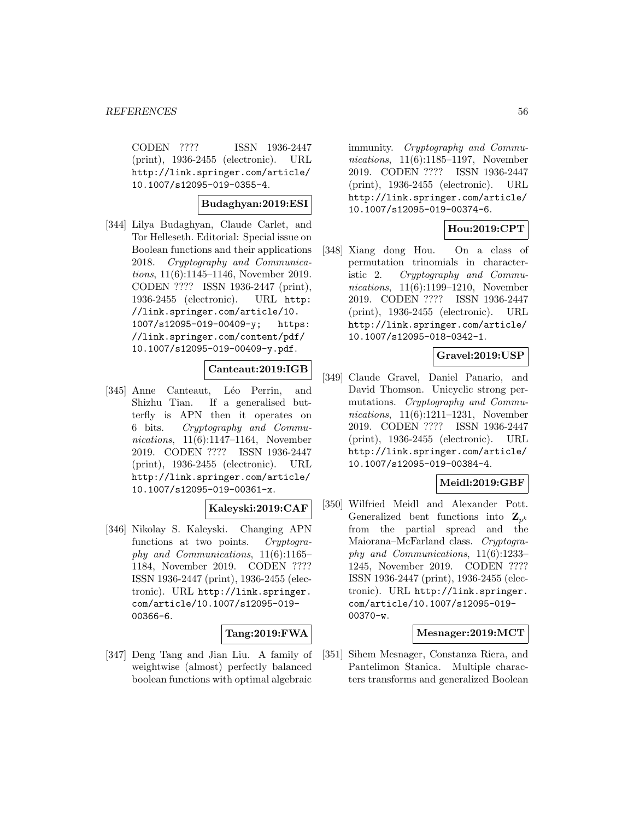CODEN ???? ISSN 1936-2447 (print), 1936-2455 (electronic). URL http://link.springer.com/article/ 10.1007/s12095-019-0355-4.

### **Budaghyan:2019:ESI**

[344] Lilya Budaghyan, Claude Carlet, and Tor Helleseth. Editorial: Special issue on Boolean functions and their applications 2018. Cryptography and Communications, 11(6):1145–1146, November 2019. CODEN ???? ISSN 1936-2447 (print), 1936-2455 (electronic). URL http: //link.springer.com/article/10. 1007/s12095-019-00409-y; https: //link.springer.com/content/pdf/ 10.1007/s12095-019-00409-y.pdf.

# **Canteaut:2019:IGB**

[345] Anne Canteaut, Léo Perrin, and Shizhu Tian. If a generalised butterfly is APN then it operates on 6 bits. Cryptography and Communications, 11(6):1147–1164, November 2019. CODEN ???? ISSN 1936-2447 (print), 1936-2455 (electronic). URL http://link.springer.com/article/ 10.1007/s12095-019-00361-x.

#### **Kaleyski:2019:CAF**

[346] Nikolay S. Kaleyski. Changing APN functions at two points. Cryptography and Communications, 11(6):1165– 1184, November 2019. CODEN ???? ISSN 1936-2447 (print), 1936-2455 (electronic). URL http://link.springer. com/article/10.1007/s12095-019- 00366-6.

#### **Tang:2019:FWA**

[347] Deng Tang and Jian Liu. A family of weightwise (almost) perfectly balanced boolean functions with optimal algebraic

immunity. Cryptography and Communications, 11(6):1185–1197, November 2019. CODEN ???? ISSN 1936-2447 (print), 1936-2455 (electronic). URL http://link.springer.com/article/ 10.1007/s12095-019-00374-6.

## **Hou:2019:CPT**

[348] Xiang dong Hou. On a class of permutation trinomials in characteristic 2. Cryptography and Communications, 11(6):1199–1210, November 2019. CODEN ???? ISSN 1936-2447 (print), 1936-2455 (electronic). URL http://link.springer.com/article/ 10.1007/s12095-018-0342-1.

### **Gravel:2019:USP**

[349] Claude Gravel, Daniel Panario, and David Thomson. Unicyclic strong permutations. Cryptography and Communications, 11(6):1211–1231, November 2019. CODEN ???? ISSN 1936-2447 (print), 1936-2455 (electronic). URL http://link.springer.com/article/ 10.1007/s12095-019-00384-4.

## **Meidl:2019:GBF**

[350] Wilfried Meidl and Alexander Pott. Generalized bent functions into  $\mathbf{Z}_{p^k}$ from the partial spread and the Maiorana–McFarland class. Cryptography and Communications, 11(6):1233– 1245, November 2019. CODEN ???? ISSN 1936-2447 (print), 1936-2455 (electronic). URL http://link.springer. com/article/10.1007/s12095-019- 00370-w.

#### **Mesnager:2019:MCT**

[351] Sihem Mesnager, Constanza Riera, and Pantelimon Stanica. Multiple characters transforms and generalized Boolean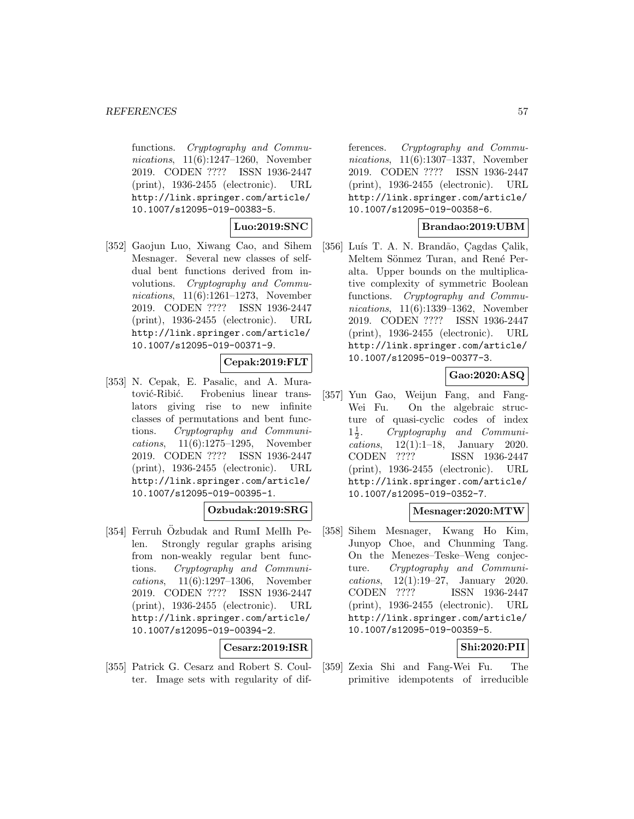functions. Cryptography and Communications, 11(6):1247–1260, November 2019. CODEN ???? ISSN 1936-2447 (print), 1936-2455 (electronic). URL http://link.springer.com/article/ 10.1007/s12095-019-00383-5.

**Luo:2019:SNC**

[352] Gaojun Luo, Xiwang Cao, and Sihem Mesnager. Several new classes of selfdual bent functions derived from involutions. Cryptography and Communications, 11(6):1261–1273, November 2019. CODEN ???? ISSN 1936-2447 (print), 1936-2455 (electronic). URL http://link.springer.com/article/ 10.1007/s12095-019-00371-9.

### **Cepak:2019:FLT**

[353] N. Cepak, E. Pasalic, and A. Muratović-Ribić. Frobenius linear translators giving rise to new infinite classes of permutations and bent functions. Cryptography and Communications, 11(6):1275–1295, November 2019. CODEN ???? ISSN 1936-2447 (print), 1936-2455 (electronic). URL http://link.springer.com/article/ 10.1007/s12095-019-00395-1.

#### **Ozbudak:2019:SRG**

[354] Ferruh Özbudak and RumI MelIh Pelen. Strongly regular graphs arising from non-weakly regular bent functions. Cryptography and Communications, 11(6):1297–1306, November 2019. CODEN ???? ISSN 1936-2447 (print), 1936-2455 (electronic). URL http://link.springer.com/article/ 10.1007/s12095-019-00394-2.

### **Cesarz:2019:ISR**

[355] Patrick G. Cesarz and Robert S. Coulter. Image sets with regularity of dif-

ferences. Cryptography and Communications, 11(6):1307–1337, November 2019. CODEN ???? ISSN 1936-2447 (print), 1936-2455 (electronic). URL http://link.springer.com/article/ 10.1007/s12095-019-00358-6.

### **Brandao:2019:UBM**

[356] Luís T. A. N. Brandão, Çagdas Çalik, Meltem Sönmez Turan, and René Peralta. Upper bounds on the multiplicative complexity of symmetric Boolean functions. Cryptography and Communications, 11(6):1339–1362, November 2019. CODEN ???? ISSN 1936-2447 (print), 1936-2455 (electronic). URL http://link.springer.com/article/ 10.1007/s12095-019-00377-3.

# **Gao:2020:ASQ**

[357] Yun Gao, Weijun Fang, and Fang-Wei Fu. On the algebraic structure of quasi-cyclic codes of index  $1\frac{1}{2}$ .  $1\frac{1}{2}$ . Cryptography and Communi-<br>cations, 12(1):1–18, January 2020. January 2020. CODEN ???? ISSN 1936-2447 (print), 1936-2455 (electronic). URL http://link.springer.com/article/ 10.1007/s12095-019-0352-7.

### **Mesnager:2020:MTW**

[358] Sihem Mesnager, Kwang Ho Kim, Junyop Choe, and Chunming Tang. On the Menezes–Teske–Weng conjecture. Cryptography and Communications, 12(1):19–27, January 2020. CODEN ???? ISSN 1936-2447 (print), 1936-2455 (electronic). URL http://link.springer.com/article/ 10.1007/s12095-019-00359-5.

## **Shi:2020:PII**

[359] Zexia Shi and Fang-Wei Fu. The primitive idempotents of irreducible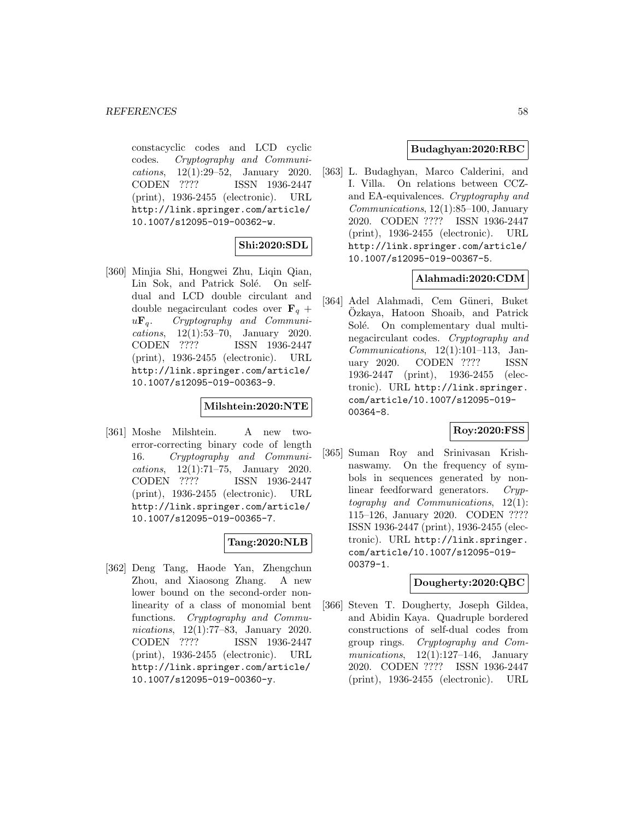constacyclic codes and LCD cyclic codes. Cryptography and Communications, 12(1):29–52, January 2020. CODEN ???? ISSN 1936-2447 (print), 1936-2455 (electronic). URL http://link.springer.com/article/ 10.1007/s12095-019-00362-w.

### **Shi:2020:SDL**

[360] Minjia Shi, Hongwei Zhu, Liqin Qian, Lin Sok, and Patrick Solé. On selfdual and LCD double circulant and double negacirculant codes over  $\mathbf{F}_q$  + u**F**q. Cryptography and Communications, 12(1):53–70, January 2020. CODEN ???? ISSN 1936-2447 (print), 1936-2455 (electronic). URL http://link.springer.com/article/ 10.1007/s12095-019-00363-9.

#### **Milshtein:2020:NTE**

[361] Moshe Milshtein. A new twoerror-correcting binary code of length 16. Cryptography and Communications, 12(1):71–75, January 2020. CODEN ???? ISSN 1936-2447 (print), 1936-2455 (electronic). URL http://link.springer.com/article/ 10.1007/s12095-019-00365-7.

#### **Tang:2020:NLB**

[362] Deng Tang, Haode Yan, Zhengchun Zhou, and Xiaosong Zhang. A new lower bound on the second-order nonlinearity of a class of monomial bent functions. Cryptography and Communications, 12(1):77–83, January 2020. CODEN ???? ISSN 1936-2447 (print), 1936-2455 (electronic). URL http://link.springer.com/article/ 10.1007/s12095-019-00360-y.

#### **Budaghyan:2020:RBC**

[363] L. Budaghyan, Marco Calderini, and I. Villa. On relations between CCZand EA-equivalences. Cryptography and Communications, 12(1):85–100, January 2020. CODEN ???? ISSN 1936-2447 (print), 1936-2455 (electronic). URL http://link.springer.com/article/ 10.1007/s12095-019-00367-5.

#### **Alahmadi:2020:CDM**

[364] Adel Alahmadi, Cem Güneri, Buket Ozkaya, Hatoon Shoaib, and Patrick ¨ Solé. On complementary dual multinegacirculant codes. Cryptography and Communications, 12(1):101–113, January 2020. CODEN ???? ISSN 1936-2447 (print), 1936-2455 (electronic). URL http://link.springer. com/article/10.1007/s12095-019- 00364-8.

#### **Roy:2020:FSS**

[365] Suman Roy and Srinivasan Krishnaswamy. On the frequency of symbols in sequences generated by nonlinear feedforward generators. Cryptography and Communications, 12(1): 115–126, January 2020. CODEN ???? ISSN 1936-2447 (print), 1936-2455 (electronic). URL http://link.springer. com/article/10.1007/s12095-019- 00379-1.

#### **Dougherty:2020:QBC**

[366] Steven T. Dougherty, Joseph Gildea, and Abidin Kaya. Quadruple bordered constructions of self-dual codes from group rings. Cryptography and Communications,  $12(1):127-146$ , January 2020. CODEN ???? ISSN 1936-2447 (print), 1936-2455 (electronic). URL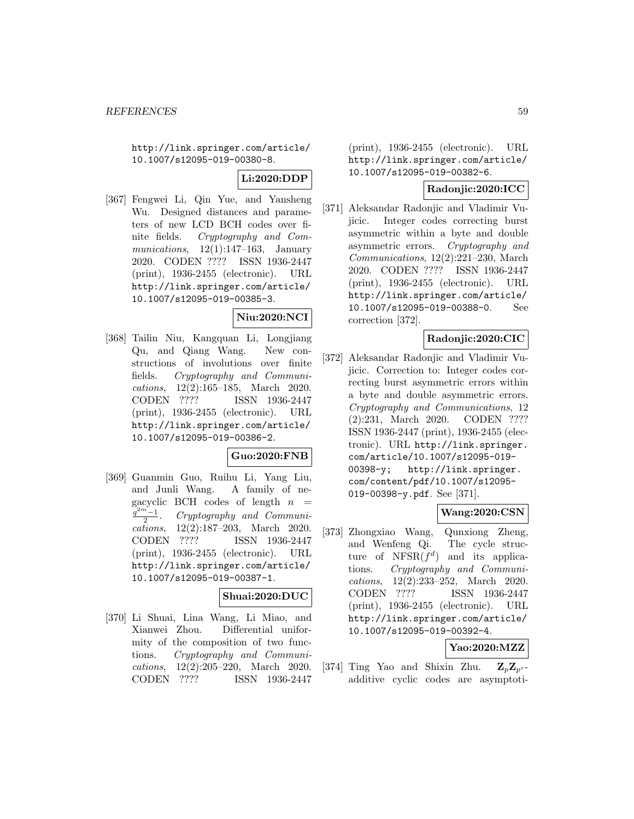http://link.springer.com/article/ 10.1007/s12095-019-00380-8.

# **Li:2020:DDP**

[367] Fengwei Li, Qin Yue, and Yansheng Wu. Designed distances and parameters of new LCD BCH codes over finite fields. Cryptography and Communications,  $12(1):147-163$ , January 2020. CODEN ???? ISSN 1936-2447 (print), 1936-2455 (electronic). URL http://link.springer.com/article/ 10.1007/s12095-019-00385-3.

## **Niu:2020:NCI**

[368] Tailin Niu, Kangquan Li, Longjiang Qu, and Qiang Wang. New constructions of involutions over finite fields. Cryptography and Communications, 12(2):165–185, March 2020. CODEN ???? ISSN 1936-2447 (print), 1936-2455 (electronic). URL http://link.springer.com/article/ 10.1007/s12095-019-00386-2.

#### **Guo:2020:FNB**

[369] Guanmin Guo, Ruihu Li, Yang Liu, and Junli Wang. A family of negacyclic BCH codes of length  $n =$  $\frac{q^{2m}-1}{2}.$ <sup>2</sup> . Cryptography and Communications, 12(2):187–203, March 2020. CODEN ???? ISSN 1936-2447 (print), 1936-2455 (electronic). URL http://link.springer.com/article/ 10.1007/s12095-019-00387-1.

## **Shuai:2020:DUC**

[370] Li Shuai, Lina Wang, Li Miao, and Xianwei Zhou. Differential uniformity of the composition of two functions. Cryptography and Communications, 12(2):205–220, March 2020. CODEN ???? ISSN 1936-2447

(print), 1936-2455 (electronic). URL http://link.springer.com/article/ 10.1007/s12095-019-00382-6.

## **Radonjic:2020:ICC**

[371] Aleksandar Radonjic and Vladimir Vujicic. Integer codes correcting burst asymmetric within a byte and double asymmetric errors. Cryptography and Communications, 12(2):221–230, March 2020. CODEN ???? ISSN 1936-2447 (print), 1936-2455 (electronic). URL http://link.springer.com/article/ 10.1007/s12095-019-00388-0. See correction [372].

## **Radonjic:2020:CIC**

[372] Aleksandar Radonjic and Vladimir Vujicic. Correction to: Integer codes correcting burst asymmetric errors within a byte and double asymmetric errors. Cryptography and Communications, 12 (2):231, March 2020. CODEN ???? ISSN 1936-2447 (print), 1936-2455 (electronic). URL http://link.springer. com/article/10.1007/s12095-019- 00398-y; http://link.springer. com/content/pdf/10.1007/s12095- 019-00398-y.pdf. See [371].

## **Wang:2020:CSN**

[373] Zhongxiao Wang, Qunxiong Zheng, and Wenfeng Qi. The cycle structure of NFSR $(f^d)$  and its applications. Cryptography and Communications, 12(2):233–252, March 2020. CODEN ???? ISSN 1936-2447 (print), 1936-2455 (electronic). URL http://link.springer.com/article/ 10.1007/s12095-019-00392-4.

## **Yao:2020:MZZ**

[374] Ting Yao and Shixin Zhu.  $\mathbf{Z}_n \mathbf{Z}_{n^s}$ additive cyclic codes are asymptoti-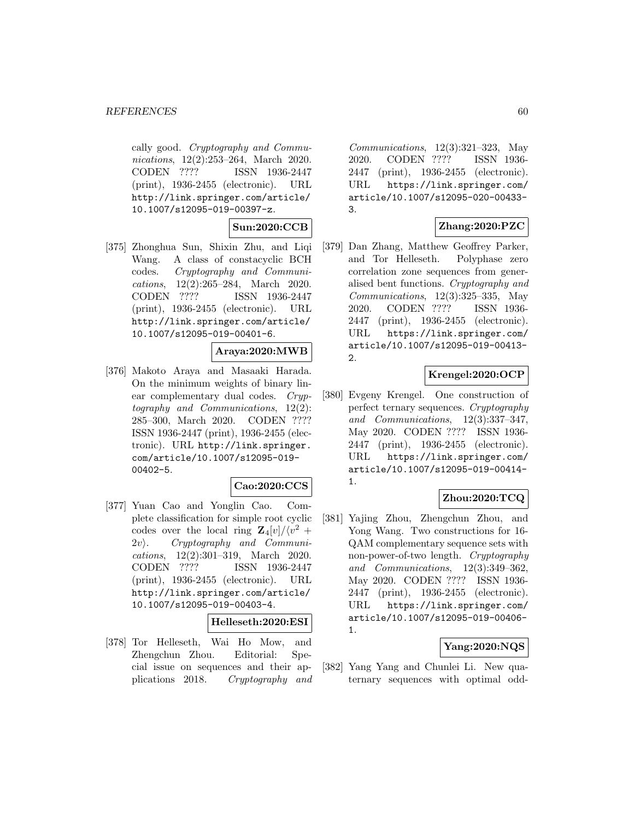#### *REFERENCES* 60

cally good. Cryptography and Communications, 12(2):253–264, March 2020. CODEN ???? ISSN 1936-2447 (print), 1936-2455 (electronic). URL http://link.springer.com/article/ 10.1007/s12095-019-00397-z.

**Sun:2020:CCB**

[375] Zhonghua Sun, Shixin Zhu, and Liqi Wang. A class of constacyclic BCH codes. Cryptography and Communications, 12(2):265–284, March 2020. CODEN ???? ISSN 1936-2447 (print), 1936-2455 (electronic). URL http://link.springer.com/article/ 10.1007/s12095-019-00401-6.

#### **Araya:2020:MWB**

[376] Makoto Araya and Masaaki Harada. On the minimum weights of binary linear complementary dual codes. Cryptography and Communications, 12(2): 285–300, March 2020. CODEN ???? ISSN 1936-2447 (print), 1936-2455 (electronic). URL http://link.springer. com/article/10.1007/s12095-019- 00402-5.

#### **Cao:2020:CCS**

[377] Yuan Cao and Yonglin Cao. Complete classification for simple root cyclic codes over the local ring  $\mathbf{Z}_4[v]/\langle v^2 + 2v \rangle$ . Cryptography and Communi-Cryptography and Communications, 12(2):301–319, March 2020. CODEN ???? ISSN 1936-2447 (print), 1936-2455 (electronic). URL http://link.springer.com/article/ 10.1007/s12095-019-00403-4.

#### **Helleseth:2020:ESI**

[378] Tor Helleseth, Wai Ho Mow, and Zhengchun Zhou. Editorial: Special issue on sequences and their applications 2018. Cryptography and Communications, 12(3):321–323, May 2020. CODEN ???? ISSN 1936- 2447 (print), 1936-2455 (electronic). URL https://link.springer.com/ article/10.1007/s12095-020-00433- 3.

#### **Zhang:2020:PZC**

[379] Dan Zhang, Matthew Geoffrey Parker, and Tor Helleseth. Polyphase zero correlation zone sequences from generalised bent functions. Cryptography and Communications, 12(3):325–335, May 2020. CODEN ???? ISSN 1936- 2447 (print), 1936-2455 (electronic). URL https://link.springer.com/ article/10.1007/s12095-019-00413- 2.

# **Krengel:2020:OCP**

[380] Evgeny Krengel. One construction of perfect ternary sequences. Cryptography and Communications, 12(3):337–347, May 2020. CODEN ???? ISSN 1936- 2447 (print), 1936-2455 (electronic). URL https://link.springer.com/ article/10.1007/s12095-019-00414- 1.

## **Zhou:2020:TCQ**

[381] Yajing Zhou, Zhengchun Zhou, and Yong Wang. Two constructions for 16- QAM complementary sequence sets with non-power-of-two length. Cryptography and Communications, 12(3):349–362, May 2020. CODEN ???? ISSN 1936- 2447 (print), 1936-2455 (electronic). URL https://link.springer.com/ article/10.1007/s12095-019-00406- 1.

#### **Yang:2020:NQS**

[382] Yang Yang and Chunlei Li. New quaternary sequences with optimal odd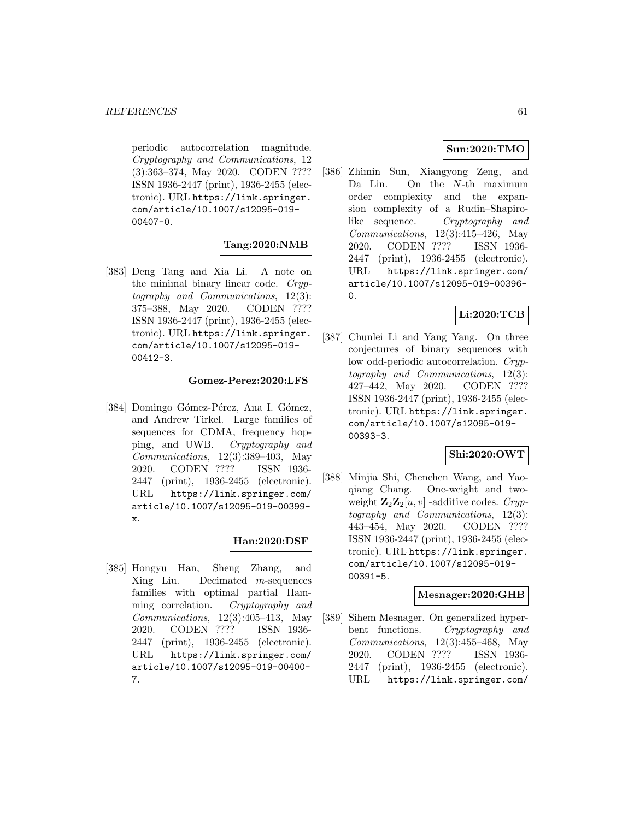periodic autocorrelation magnitude. Cryptography and Communications, 12 (3):363–374, May 2020. CODEN ???? ISSN 1936-2447 (print), 1936-2455 (electronic). URL https://link.springer. com/article/10.1007/s12095-019- 00407-0.

### **Tang:2020:NMB**

[383] Deng Tang and Xia Li. A note on the minimal binary linear code. Cryptography and Communications, 12(3): 375–388, May 2020. CODEN ???? ISSN 1936-2447 (print), 1936-2455 (electronic). URL https://link.springer. com/article/10.1007/s12095-019- 00412-3.

### **Gomez-Perez:2020:LFS**

[384] Domingo Gómez-Pérez, Ana I. Gómez, and Andrew Tirkel. Large families of sequences for CDMA, frequency hopping, and UWB. Cryptography and Communications, 12(3):389–403, May 2020. CODEN ???? ISSN 1936- 2447 (print), 1936-2455 (electronic). URL https://link.springer.com/ article/10.1007/s12095-019-00399 x.

#### **Han:2020:DSF**

[385] Hongyu Han, Sheng Zhang, and Xing Liu. Decimated m-sequences families with optimal partial Hamming correlation. Cryptography and  $Communications, 12(3):405-413, May$ 2020. CODEN ???? ISSN 1936- 2447 (print), 1936-2455 (electronic). URL https://link.springer.com/ article/10.1007/s12095-019-00400- 7.

## **Sun:2020:TMO**

[386] Zhimin Sun, Xiangyong Zeng, and Da Lin. On the N-th maximum order complexity and the expansion complexity of a Rudin–Shapirolike sequence. Cryptography and  $Communications, 12(3):415-426, May$ 2020. CODEN ???? ISSN 1936- 2447 (print), 1936-2455 (electronic). URL https://link.springer.com/ article/10.1007/s12095-019-00396- 0.

#### **Li:2020:TCB**

[387] Chunlei Li and Yang Yang. On three conjectures of binary sequences with low odd-periodic autocorrelation. Cryptography and Communications, 12(3): 427–442, May 2020. CODEN ???? ISSN 1936-2447 (print), 1936-2455 (electronic). URL https://link.springer. com/article/10.1007/s12095-019- 00393-3.

### **Shi:2020:OWT**

[388] Minjia Shi, Chenchen Wang, and Yaoqiang Chang. One-weight and twoweight  $\mathbf{Z}_2 \mathbf{Z}_2[u, v]$  -additive codes. Cryptography and Communications, 12(3): 443–454, May 2020. CODEN ???? ISSN 1936-2447 (print), 1936-2455 (electronic). URL https://link.springer. com/article/10.1007/s12095-019- 00391-5.

#### **Mesnager:2020:GHB**

[389] Sihem Mesnager. On generalized hyperbent functions. Cryptography and Communications, 12(3):455–468, May 2020. CODEN ???? ISSN 1936- 2447 (print), 1936-2455 (electronic). URL https://link.springer.com/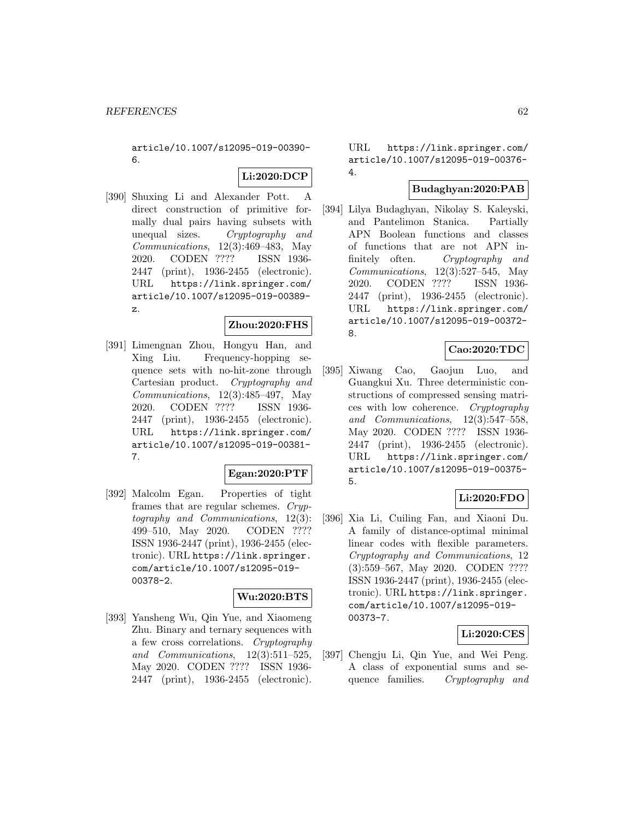article/10.1007/s12095-019-00390- 6.

# **Li:2020:DCP**

[390] Shuxing Li and Alexander Pott. A direct construction of primitive formally dual pairs having subsets with unequal sizes. Cryptography and Communications, 12(3):469–483, May 2020. CODEN ???? ISSN 1936- 2447 (print), 1936-2455 (electronic). URL https://link.springer.com/ article/10.1007/s12095-019-00389 z.

### **Zhou:2020:FHS**

[391] Limengnan Zhou, Hongyu Han, and Xing Liu. Frequency-hopping sequence sets with no-hit-zone through Cartesian product. Cryptography and  $Communications, 12(3):485-497, May$ 2020. CODEN ???? ISSN 1936- 2447 (print), 1936-2455 (electronic). URL https://link.springer.com/ article/10.1007/s12095-019-00381- 7.

#### **Egan:2020:PTF**

[392] Malcolm Egan. Properties of tight frames that are regular schemes. Cryptography and Communications, 12(3): 499–510, May 2020. CODEN ???? ISSN 1936-2447 (print), 1936-2455 (electronic). URL https://link.springer. com/article/10.1007/s12095-019- 00378-2.

## **Wu:2020:BTS**

[393] Yansheng Wu, Qin Yue, and Xiaomeng Zhu. Binary and ternary sequences with a few cross correlations. Cryptography and Communications, 12(3):511–525, May 2020. CODEN ???? ISSN 1936- 2447 (print), 1936-2455 (electronic).

URL https://link.springer.com/ article/10.1007/s12095-019-00376- 4.

### **Budaghyan:2020:PAB**

[394] Lilya Budaghyan, Nikolay S. Kaleyski, and Pantelimon Stanica. Partially APN Boolean functions and classes of functions that are not APN infinitely often. Cryptography and Communications, 12(3):527–545, May 2020. CODEN ???? ISSN 1936- 2447 (print), 1936-2455 (electronic). URL https://link.springer.com/ article/10.1007/s12095-019-00372- 8.

#### **Cao:2020:TDC**

[395] Xiwang Cao, Gaojun Luo, and Guangkui Xu. Three deterministic constructions of compressed sensing matrices with low coherence. Cryptography and Communications, 12(3):547–558, May 2020. CODEN ???? ISSN 1936- 2447 (print), 1936-2455 (electronic). URL https://link.springer.com/ article/10.1007/s12095-019-00375- 5.

## **Li:2020:FDO**

[396] Xia Li, Cuiling Fan, and Xiaoni Du. A family of distance-optimal minimal linear codes with flexible parameters. Cryptography and Communications, 12 (3):559–567, May 2020. CODEN ???? ISSN 1936-2447 (print), 1936-2455 (electronic). URL https://link.springer. com/article/10.1007/s12095-019- 00373-7.

#### **Li:2020:CES**

[397] Chengju Li, Qin Yue, and Wei Peng. A class of exponential sums and sequence families. Cryptography and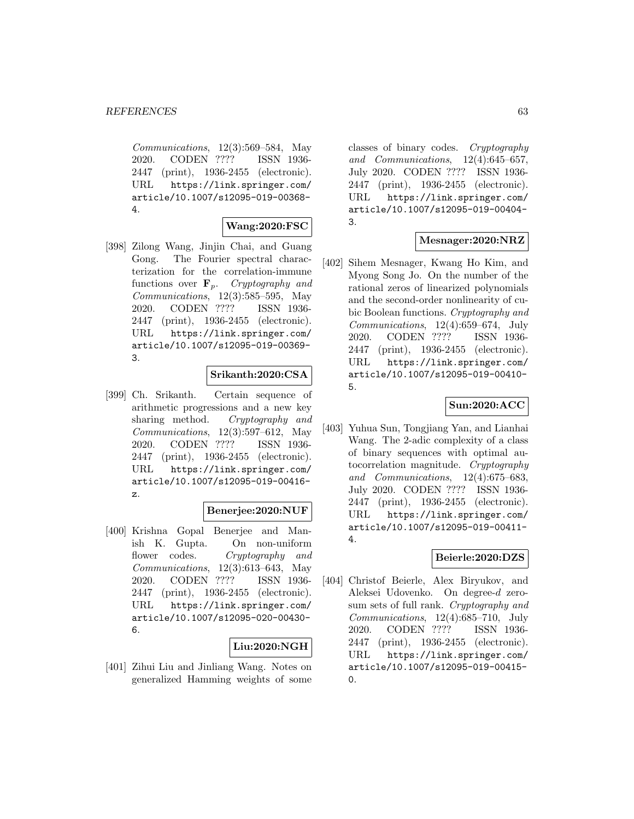Communications, 12(3):569–584, May 2020. CODEN ???? ISSN 1936- 2447 (print), 1936-2455 (electronic). URL https://link.springer.com/ article/10.1007/s12095-019-00368- 4.

#### **Wang:2020:FSC**

[398] Zilong Wang, Jinjin Chai, and Guang Gong. The Fourier spectral characterization for the correlation-immune functions over  $\mathbf{F}_p$ . Cryptography and Communications, 12(3):585–595, May 2020. CODEN ???? ISSN 1936- 2447 (print), 1936-2455 (electronic). URL https://link.springer.com/ article/10.1007/s12095-019-00369- 3.

### **Srikanth:2020:CSA**

[399] Ch. Srikanth. Certain sequence of arithmetic progressions and a new key sharing method. Cryptography and Communications, 12(3):597–612, May 2020. CODEN ???? ISSN 1936- 2447 (print), 1936-2455 (electronic). URL https://link.springer.com/ article/10.1007/s12095-019-00416 z.

### **Benerjee:2020:NUF**

[400] Krishna Gopal Benerjee and Manish K. Gupta. On non-uniform flower codes. Cryptography and Communications, 12(3):613–643, May 2020. CODEN ???? ISSN 1936- 2447 (print), 1936-2455 (electronic). URL https://link.springer.com/ article/10.1007/s12095-020-00430- 6.

#### **Liu:2020:NGH**

[401] Zihui Liu and Jinliang Wang. Notes on generalized Hamming weights of some classes of binary codes. Cryptography and Communications, 12(4):645–657, July 2020. CODEN ???? ISSN 1936- 2447 (print), 1936-2455 (electronic). URL https://link.springer.com/ article/10.1007/s12095-019-00404- 3.

### **Mesnager:2020:NRZ**

[402] Sihem Mesnager, Kwang Ho Kim, and Myong Song Jo. On the number of the rational zeros of linearized polynomials and the second-order nonlinearity of cubic Boolean functions. Cryptography and Communications, 12(4):659–674, July 2020. CODEN ???? ISSN 1936- 2447 (print), 1936-2455 (electronic). URL https://link.springer.com/ article/10.1007/s12095-019-00410- 5.

### **Sun:2020:ACC**

[403] Yuhua Sun, Tongjiang Yan, and Lianhai Wang. The 2-adic complexity of a class of binary sequences with optimal autocorrelation magnitude. Cryptography and Communications, 12(4):675–683, July 2020. CODEN ???? ISSN 1936- 2447 (print), 1936-2455 (electronic). URL https://link.springer.com/ article/10.1007/s12095-019-00411- 4.

#### **Beierle:2020:DZS**

[404] Christof Beierle, Alex Biryukov, and Aleksei Udovenko. On degree-d zerosum sets of full rank. Cryptography and Communications, 12(4):685–710, July 2020. CODEN ???? ISSN 1936- 2447 (print), 1936-2455 (electronic). URL https://link.springer.com/ article/10.1007/s12095-019-00415- 0.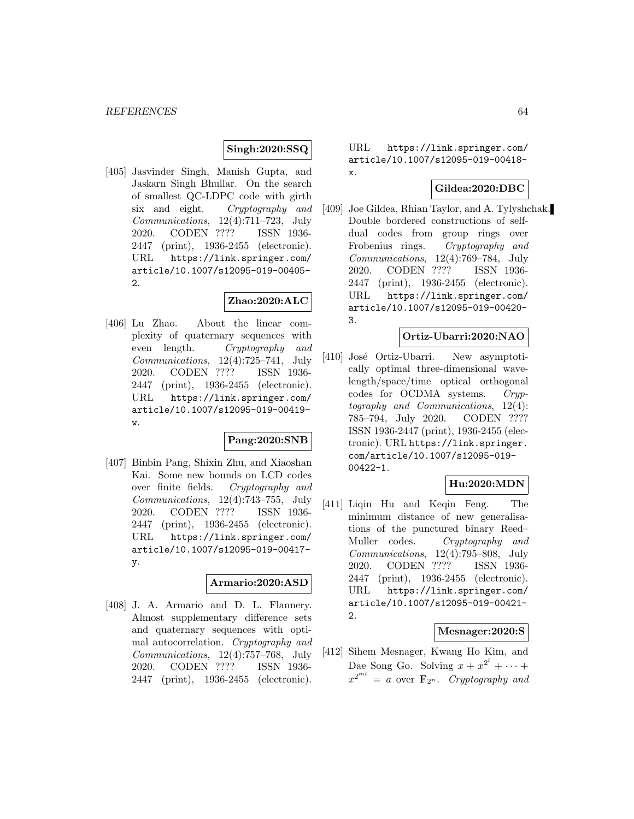### **Singh:2020:SSQ**

[405] Jasvinder Singh, Manish Gupta, and Jaskarn Singh Bhullar. On the search of smallest QC-LDPC code with girth six and eight. Cryptography and Communications, 12(4):711–723, July 2020. CODEN ???? ISSN 1936- 2447 (print), 1936-2455 (electronic). URL https://link.springer.com/ article/10.1007/s12095-019-00405- 2.

### **Zhao:2020:ALC**

[406] Lu Zhao. About the linear complexity of quaternary sequences with even length. Cryptography and Communications, 12(4):725–741, July 2020. CODEN ???? ISSN 1936- 2447 (print), 1936-2455 (electronic). URL https://link.springer.com/ article/10.1007/s12095-019-00419 w.

#### **Pang:2020:SNB**

[407] Binbin Pang, Shixin Zhu, and Xiaoshan Kai. Some new bounds on LCD codes over finite fields. Cryptography and Communications, 12(4):743–755, July 2020. CODEN ???? ISSN 1936- 2447 (print), 1936-2455 (electronic). URL https://link.springer.com/ article/10.1007/s12095-019-00417 y.

#### **Armario:2020:ASD**

[408] J. A. Armario and D. L. Flannery. Almost supplementary difference sets and quaternary sequences with optimal autocorrelation. Cryptography and Communications, 12(4):757–768, July 2020. CODEN ???? ISSN 1936- 2447 (print), 1936-2455 (electronic).

URL https://link.springer.com/ article/10.1007/s12095-019-00418 x.

# **Gildea:2020:DBC**

[409] Joe Gildea, Rhian Taylor, and A. Tylyshchak. Double bordered constructions of selfdual codes from group rings over Frobenius rings. Cryptography and Communications, 12(4):769–784, July 2020. CODEN ???? ISSN 1936- 2447 (print), 1936-2455 (electronic). URL https://link.springer.com/ article/10.1007/s12095-019-00420- 3.

### **Ortiz-Ubarri:2020:NAO**

[410] José Ortiz-Ubarri. New asymptotically optimal three-dimensional wavelength/space/time optical orthogonal codes for OCDMA systems. Cryptography and Communications, 12(4): 785–794, July 2020. CODEN ???? ISSN 1936-2447 (print), 1936-2455 (electronic). URL https://link.springer. com/article/10.1007/s12095-019- 00422-1.

## **Hu:2020:MDN**

[411] Liqin Hu and Keqin Feng. The minimum distance of new generalisations of the punctured binary Reed– Muller codes. Cryptography and Communications, 12(4):795–808, July 2020. CODEN ???? ISSN 1936- 2447 (print), 1936-2455 (electronic). URL https://link.springer.com/ article/10.1007/s12095-019-00421- 2.

#### **Mesnager:2020:S**

[412] Sihem Mesnager, Kwang Ho Kim, and Dae Song Go. Solving  $x + x^{2^l} + \cdots$  $x^{2^{ml}} = a$  over  $\mathbf{F}_{2^n}$ . Cryptography and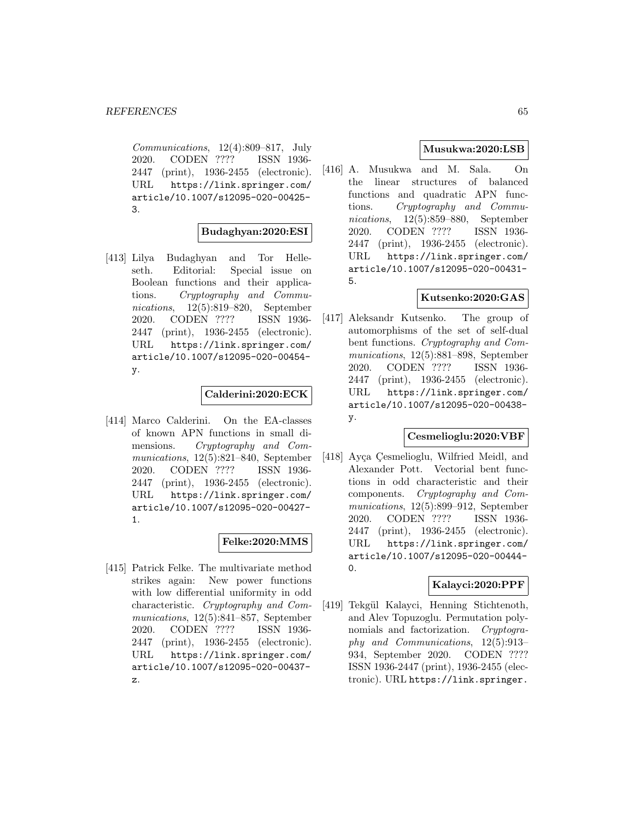Communications, 12(4):809–817, July 2020. CODEN ???? ISSN 1936- 2447 (print), 1936-2455 (electronic). URL https://link.springer.com/ article/10.1007/s12095-020-00425- 3.

**Budaghyan:2020:ESI**

[413] Lilya Budaghyan and Tor Helleseth. Editorial: Special issue on Boolean functions and their applications. Cryptography and Communications, 12(5):819–820, September 2020. CODEN ???? ISSN 1936- 2447 (print), 1936-2455 (electronic). URL https://link.springer.com/ article/10.1007/s12095-020-00454 y.

## **Calderini:2020:ECK**

[414] Marco Calderini. On the EA-classes of known APN functions in small dimensions. Cryptography and Communications, 12(5):821–840, September 2020. CODEN ???? ISSN 1936- 2447 (print), 1936-2455 (electronic). URL https://link.springer.com/ article/10.1007/s12095-020-00427- 1.

## **Felke:2020:MMS**

[415] Patrick Felke. The multivariate method strikes again: New power functions with low differential uniformity in odd characteristic. Cryptography and Communications, 12(5):841–857, September 2020. CODEN ???? ISSN 1936- 2447 (print), 1936-2455 (electronic). URL https://link.springer.com/ article/10.1007/s12095-020-00437 z.

### **Musukwa:2020:LSB**

[416] A. Musukwa and M. Sala. On the linear structures of balanced functions and quadratic APN functions. Cryptography and Communications, 12(5):859–880, September 2020. CODEN ???? ISSN 1936- 2447 (print), 1936-2455 (electronic). URL https://link.springer.com/ article/10.1007/s12095-020-00431- 5.

## **Kutsenko:2020:GAS**

[417] Aleksandr Kutsenko. The group of automorphisms of the set of self-dual bent functions. Cryptography and Communications, 12(5):881–898, September 2020. CODEN ???? ISSN 1936- 2447 (print), 1936-2455 (electronic). URL https://link.springer.com/ article/10.1007/s12095-020-00438 y.

#### **Cesmelioglu:2020:VBF**

[418] Ayça Çesmelioglu, Wilfried Meidl, and Alexander Pott. Vectorial bent functions in odd characteristic and their components. Cryptography and Communications, 12(5):899–912, September 2020. CODEN ???? ISSN 1936- 2447 (print), 1936-2455 (electronic). URL https://link.springer.com/ article/10.1007/s12095-020-00444- 0.

## **Kalayci:2020:PPF**

[419] Tekgül Kalayci, Henning Stichtenoth, and Alev Topuzoglu. Permutation polynomials and factorization. Cryptography and Communications, 12(5):913– 934, September 2020. CODEN ???? ISSN 1936-2447 (print), 1936-2455 (electronic). URL https://link.springer.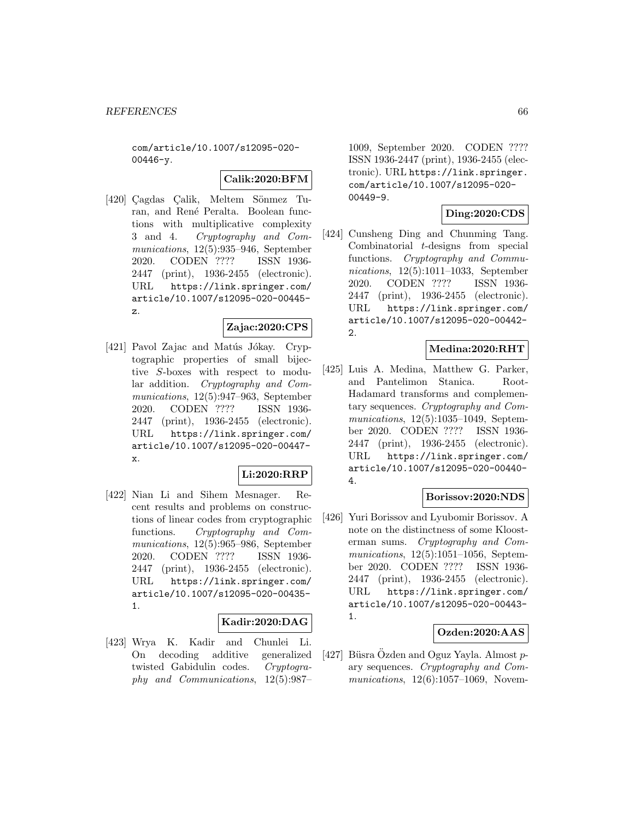com/article/10.1007/s12095-020- 00446-y.

#### **Calik:2020:BFM**

[420] Cagdas Calik, Meltem Sönmez Turan, and René Peralta. Boolean functions with multiplicative complexity 3 and 4. Cryptography and Communications, 12(5):935–946, September 2020. CODEN ???? ISSN 1936- 2447 (print), 1936-2455 (electronic). URL https://link.springer.com/ article/10.1007/s12095-020-00445 z.

### **Zajac:2020:CPS**

[421] Pavol Zajac and Matús Jókay. Cryptographic properties of small bijective S-boxes with respect to modular addition. Cryptography and Communications, 12(5):947–963, September 2020. CODEN ???? ISSN 1936- 2447 (print), 1936-2455 (electronic). URL https://link.springer.com/ article/10.1007/s12095-020-00447 x.

#### **Li:2020:RRP**

[422] Nian Li and Sihem Mesnager. Recent results and problems on constructions of linear codes from cryptographic functions. Cryptography and Communications, 12(5):965–986, September 2020. CODEN ???? ISSN 1936- 2447 (print), 1936-2455 (electronic). URL https://link.springer.com/ article/10.1007/s12095-020-00435- 1.

#### **Kadir:2020:DAG**

[423] Wrya K. Kadir and Chunlei Li. On decoding additive generalized twisted Gabidulin codes. Cryptography and Communications, 12(5):987–

1009, September 2020. CODEN ???? ISSN 1936-2447 (print), 1936-2455 (electronic). URL https://link.springer. com/article/10.1007/s12095-020- 00449-9.

### **Ding:2020:CDS**

[424] Cunsheng Ding and Chunming Tang. Combinatorial t-designs from special functions. Cryptography and Communications, 12(5):1011–1033, September 2020. CODEN ???? ISSN 1936- 2447 (print), 1936-2455 (electronic). URL https://link.springer.com/ article/10.1007/s12095-020-00442-  $\mathcal{L}$ 

#### **Medina:2020:RHT**

[425] Luis A. Medina, Matthew G. Parker, and Pantelimon Stanica. Root-Hadamard transforms and complementary sequences. Cryptography and Communications, 12(5):1035–1049, September 2020. CODEN ???? ISSN 1936- 2447 (print), 1936-2455 (electronic). URL https://link.springer.com/ article/10.1007/s12095-020-00440- 4.

### **Borissov:2020:NDS**

[426] Yuri Borissov and Lyubomir Borissov. A note on the distinctness of some Kloosterman sums. Cryptography and Communications, 12(5):1051-1056, September 2020. CODEN ???? ISSN 1936- 2447 (print), 1936-2455 (electronic). URL https://link.springer.com/ article/10.1007/s12095-020-00443- 1.

## **Ozden:2020:AAS**

[427] Büsra Özden and Oguz Yayla. Almost  $p$ ary sequences. Cryptography and Communications, 12(6):1057-1069, Novem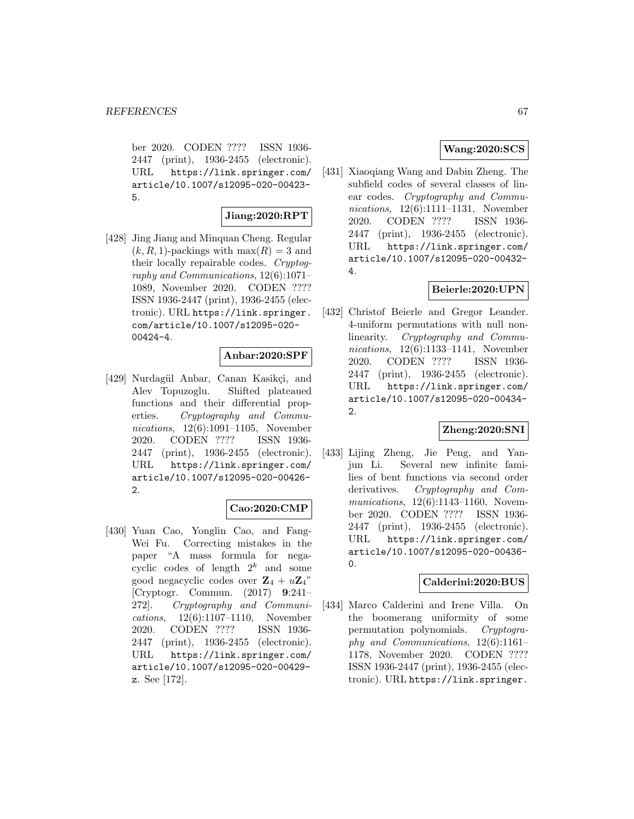ber 2020. CODEN ???? ISSN 1936- 2447 (print), 1936-2455 (electronic). URL https://link.springer.com/ article/10.1007/s12095-020-00423- 5.

#### **Jiang:2020:RPT**

[428] Jing Jiang and Minquan Cheng. Regular  $(k, R, 1)$ -packings with max $(R) = 3$  and their locally repairable codes. Cryptography and Communications, 12(6):1071– 1089, November 2020. CODEN ???? ISSN 1936-2447 (print), 1936-2455 (electronic). URL https://link.springer. com/article/10.1007/s12095-020- 00424-4.

#### **Anbar:2020:SPF**

[429] Nurdagül Anbar, Canan Kasikci, and Alev Topuzoglu. Shifted plateaued functions and their differential properties. Cryptography and Communications, 12(6):1091–1105, November 2020. CODEN ???? ISSN 1936- 2447 (print), 1936-2455 (electronic). URL https://link.springer.com/ article/10.1007/s12095-020-00426- 2.

#### **Cao:2020:CMP**

[430] Yuan Cao, Yonglin Cao, and Fang-Wei Fu. Correcting mistakes in the paper "A mass formula for negacyclic codes of length  $2^k$  and some good negacyclic codes over  $\mathbf{Z}_4 + u\mathbf{Z}_4$ " [Cryptogr. Commun. (2017) **9**:241– 272]. Cryptography and Communications, 12(6):1107–1110, November 2020. CODEN ???? ISSN 1936- 2447 (print), 1936-2455 (electronic). URL https://link.springer.com/ article/10.1007/s12095-020-00429 z. See [172].

### **Wang:2020:SCS**

[431] Xiaoqiang Wang and Dabin Zheng. The subfield codes of several classes of linear codes. Cryptography and Communications, 12(6):1111–1131, November 2020. CODEN ???? ISSN 1936- 2447 (print), 1936-2455 (electronic). URL https://link.springer.com/ article/10.1007/s12095-020-00432- 4.

## **Beierle:2020:UPN**

[432] Christof Beierle and Gregor Leander. 4-uniform permutations with null nonlinearity. Cryptography and Communications, 12(6):1133–1141, November 2020. CODEN ???? ISSN 1936- 2447 (print), 1936-2455 (electronic). URL https://link.springer.com/ article/10.1007/s12095-020-00434- 2.

#### **Zheng:2020:SNI**

[433] Lijing Zheng, Jie Peng, and Yanjun Li. Several new infinite families of bent functions via second order derivatives. Cryptography and Communications, 12(6):1143-1160, November 2020. CODEN ???? ISSN 1936- 2447 (print), 1936-2455 (electronic). URL https://link.springer.com/ article/10.1007/s12095-020-00436-  $\Omega$ .

#### **Calderini:2020:BUS**

[434] Marco Calderini and Irene Villa. On the boomerang uniformity of some permutation polynomials. Cryptography and Communications, 12(6):1161– 1178, November 2020. CODEN ???? ISSN 1936-2447 (print), 1936-2455 (electronic). URL https://link.springer.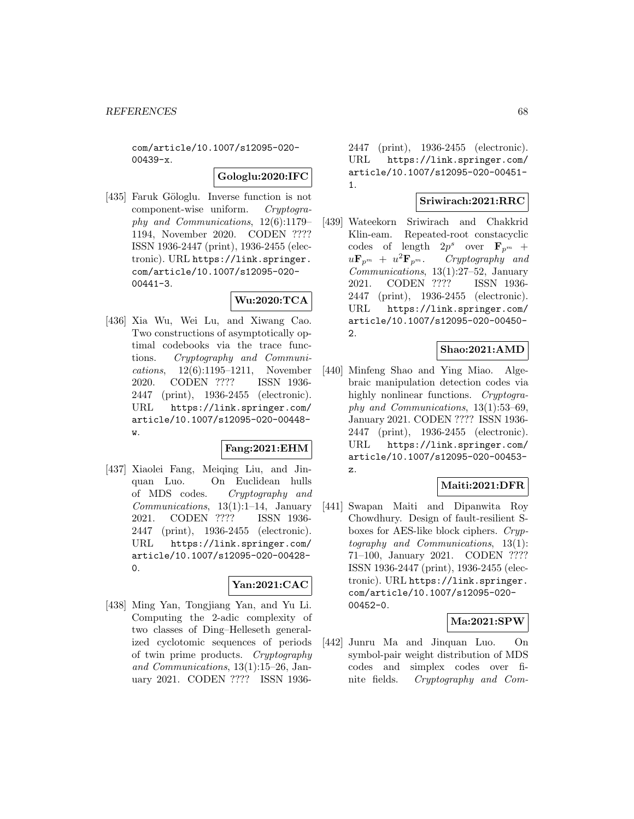com/article/10.1007/s12095-020- 00439-x.

#### **Gologlu:2020:IFC**

[435] Faruk Göloglu. Inverse function is not component-wise uniform. Cryptography and Communications, 12(6):1179– 1194, November 2020. CODEN ???? ISSN 1936-2447 (print), 1936-2455 (electronic). URL https://link.springer. com/article/10.1007/s12095-020- 00441-3.

### **Wu:2020:TCA**

[436] Xia Wu, Wei Lu, and Xiwang Cao. Two constructions of asymptotically optimal codebooks via the trace functions. Cryptography and Communications, 12(6):1195–1211, November 2020. CODEN ???? ISSN 1936- 2447 (print), 1936-2455 (electronic). URL https://link.springer.com/ article/10.1007/s12095-020-00448-  $\overline{M}$ 

#### **Fang:2021:EHM**

[437] Xiaolei Fang, Meiqing Liu, and Jinquan Luo. On Euclidean hulls of MDS codes. Cryptography and Communications, 13(1):1–14, January 2021. CODEN ???? ISSN 1936- 2447 (print), 1936-2455 (electronic). URL https://link.springer.com/ article/10.1007/s12095-020-00428- 0.

#### **Yan:2021:CAC**

[438] Ming Yan, Tongjiang Yan, and Yu Li. Computing the 2-adic complexity of two classes of Ding–Helleseth generalized cyclotomic sequences of periods of twin prime products. Cryptography and Communications, 13(1):15–26, January 2021. CODEN ???? ISSN 19362447 (print), 1936-2455 (electronic). URL https://link.springer.com/ article/10.1007/s12095-020-00451- 1.

#### **Sriwirach:2021:RRC**

[439] Wateekorn Sriwirach and Chakkrid Klin-eam. Repeated-root constacyclic codes of length  $2p^s$  over  $\mathbf{F}_{p^m}$  +  $u\mathbf{F}_{p^m} + u^2\mathbf{F}_{p^m}$ . Cryptography and Communications, 13(1):27–52, January 2021. CODEN ???? ISSN 1936- 2447 (print), 1936-2455 (electronic). URL https://link.springer.com/ article/10.1007/s12095-020-00450-  $\mathcal{L}$ 

#### **Shao:2021:AMD**

[440] Minfeng Shao and Ying Miao. Algebraic manipulation detection codes via highly nonlinear functions. Cryptography and Communications, 13(1):53–69, January 2021. CODEN ???? ISSN 1936- 2447 (print), 1936-2455 (electronic). URL https://link.springer.com/ article/10.1007/s12095-020-00453 z.

#### **Maiti:2021:DFR**

[441] Swapan Maiti and Dipanwita Roy Chowdhury. Design of fault-resilient Sboxes for AES-like block ciphers. Cryptography and Communications, 13(1): 71–100, January 2021. CODEN ???? ISSN 1936-2447 (print), 1936-2455 (electronic). URL https://link.springer. com/article/10.1007/s12095-020- 00452-0.

#### **Ma:2021:SPW**

[442] Junru Ma and Jinquan Luo. On symbol-pair weight distribution of MDS codes and simplex codes over finite fields. Cryptography and Com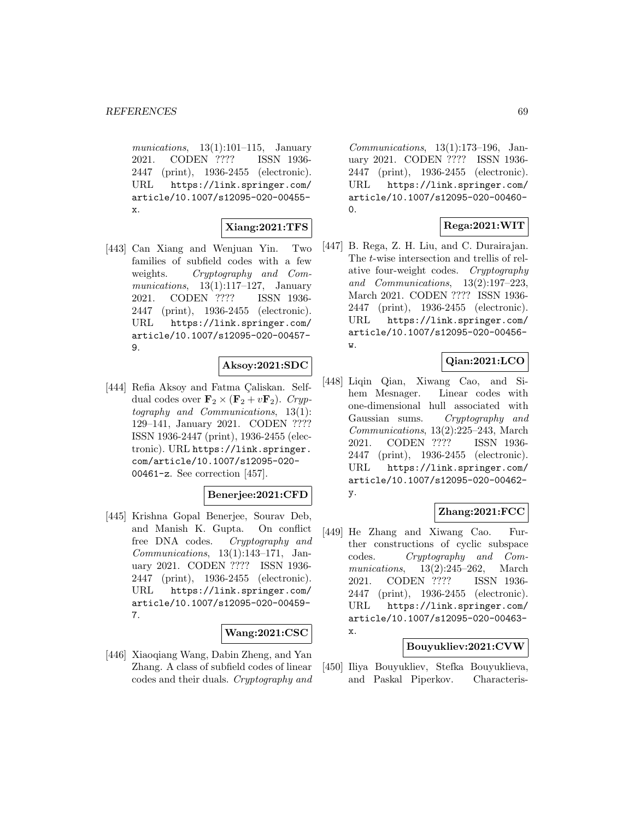munications,  $13(1):101-115$ , January 2021. CODEN ???? ISSN 1936- 2447 (print), 1936-2455 (electronic). URL https://link.springer.com/ article/10.1007/s12095-020-00455 x.

**Xiang:2021:TFS**

[443] Can Xiang and Wenjuan Yin. Two families of subfield codes with a few weights. Cryptography and Communications,  $13(1):117-127$ , January 2021. CODEN ???? ISSN 1936- 2447 (print), 1936-2455 (electronic). URL https://link.springer.com/ article/10.1007/s12095-020-00457- 9.

#### **Aksoy:2021:SDC**

[444] Refia Aksoy and Fatma Çaliskan. Selfdual codes over  $\mathbf{F}_2 \times (\mathbf{F}_2 + v \mathbf{F}_2)$ . Cryptography and Communications, 13(1): 129–141, January 2021. CODEN ???? ISSN 1936-2447 (print), 1936-2455 (electronic). URL https://link.springer. com/article/10.1007/s12095-020- 00461-z. See correction [457].

### **Benerjee:2021:CFD**

[445] Krishna Gopal Benerjee, Sourav Deb, and Manish K. Gupta. On conflict free DNA codes. Cryptography and  $Communications, 13(1):143-171, Jan$ uary 2021. CODEN ???? ISSN 1936- 2447 (print), 1936-2455 (electronic). URL https://link.springer.com/ article/10.1007/s12095-020-00459- 7.

#### **Wang:2021:CSC**

[446] Xiaoqiang Wang, Dabin Zheng, and Yan Zhang. A class of subfield codes of linear codes and their duals. Cryptography and Communications, 13(1):173–196, January 2021. CODEN ???? ISSN 1936- 2447 (print), 1936-2455 (electronic). URL https://link.springer.com/ article/10.1007/s12095-020-00460-  $\Omega$ 

## **Rega:2021:WIT**

[447] B. Rega, Z. H. Liu, and C. Durairajan. The t-wise intersection and trellis of relative four-weight codes. Cryptography and Communications, 13(2):197–223, March 2021. CODEN ???? ISSN 1936- 2447 (print), 1936-2455 (electronic). URL https://link.springer.com/ article/10.1007/s12095-020-00456 w.

# **Qian:2021:LCO**

[448] Liqin Qian, Xiwang Cao, and Sihem Mesnager. Linear codes with one-dimensional hull associated with Gaussian sums. Cryptography and Communications, 13(2):225–243, March 2021. CODEN ???? ISSN 1936- 2447 (print), 1936-2455 (electronic). URL https://link.springer.com/ article/10.1007/s12095-020-00462 y.

### **Zhang:2021:FCC**

[449] He Zhang and Xiwang Cao. Further constructions of cyclic subspace codes. Cryptography and Communications, 13(2):245–262, March 2021. CODEN ???? ISSN 1936- 2447 (print), 1936-2455 (electronic). URL https://link.springer.com/ article/10.1007/s12095-020-00463 x.

## **Bouyukliev:2021:CVW**

[450] Iliya Bouyukliev, Stefka Bouyuklieva, and Paskal Piperkov. Characteris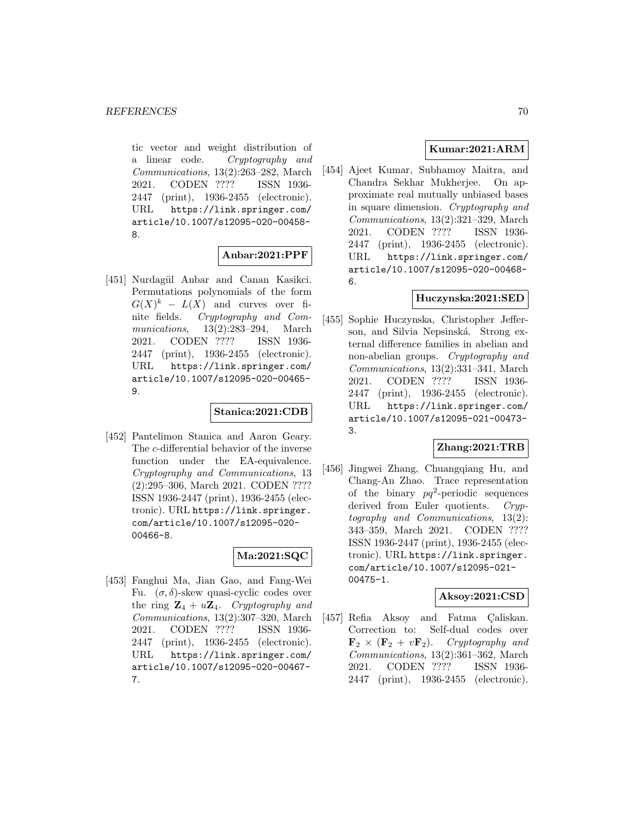tic vector and weight distribution of a linear code. Cryptography and Communications, 13(2):263–282, March 2021. CODEN ???? ISSN 1936- 2447 (print), 1936-2455 (electronic). URL https://link.springer.com/ article/10.1007/s12095-020-00458- 8.

## **Anbar:2021:PPF**

[451] Nurdagül Anbar and Canan Kasikci. Permutations polynomials of the form  $G(X)^k - L(X)$  and curves over fi-<br>nite fields. Cryptography and Com-Cryptography and Communications, 13(2):283–294, March 2021. CODEN ???? ISSN 1936- 2447 (print), 1936-2455 (electronic). URL https://link.springer.com/ article/10.1007/s12095-020-00465- 9.

#### **Stanica:2021:CDB**

[452] Pantelimon Stanica and Aaron Geary. The c-differential behavior of the inverse function under the EA-equivalence. Cryptography and Communications, 13 (2):295–306, March 2021. CODEN ???? ISSN 1936-2447 (print), 1936-2455 (electronic). URL https://link.springer. com/article/10.1007/s12095-020- 00466-8.

#### **Ma:2021:SQC**

[453] Fanghui Ma, Jian Gao, and Fang-Wei Fu.  $(\sigma, \delta)$ -skew quasi-cyclic codes over the ring  $\mathbf{Z}_4 + u\mathbf{Z}_4$ . Cryptography and Communications, 13(2):307–320, March 2021. CODEN ???? ISSN 1936- 2447 (print), 1936-2455 (electronic). URL https://link.springer.com/ article/10.1007/s12095-020-00467- 7.

# **Kumar:2021:ARM**

[454] Ajeet Kumar, Subhamoy Maitra, and Chandra Sekhar Mukherjee. On approximate real mutually unbiased bases in square dimension. Cryptography and Communications, 13(2):321–329, March 2021. CODEN ???? ISSN 1936- 2447 (print), 1936-2455 (electronic). URL https://link.springer.com/ article/10.1007/s12095-020-00468- 6.

#### **Huczynska:2021:SED**

[455] Sophie Huczynska, Christopher Jefferson, and Silvia Nepsinská. Strong external difference families in abelian and non-abelian groups. Cryptography and Communications, 13(2):331–341, March 2021. CODEN ???? ISSN 1936- 2447 (print), 1936-2455 (electronic). URL https://link.springer.com/ article/10.1007/s12095-021-00473- 3.

#### **Zhang:2021:TRB**

[456] Jingwei Zhang, Chuangqiang Hu, and Chang-An Zhao. Trace representation of the binary  $pq^2$ -periodic sequences derived from Euler quotients. Cryptography and Communications, 13(2): 343–359, March 2021. CODEN ???? ISSN 1936-2447 (print), 1936-2455 (electronic). URL https://link.springer. com/article/10.1007/s12095-021- 00475-1.

#### **Aksoy:2021:CSD**

[457] Refia Aksoy and Fatma Caliskan. Correction to: Self-dual codes over  $\mathbf{F}_2 \times (\mathbf{F}_2 + v \mathbf{F}_2)$ . Cryptography and Communications, 13(2):361–362, March 2021. CODEN ???? ISSN 1936- 2447 (print), 1936-2455 (electronic).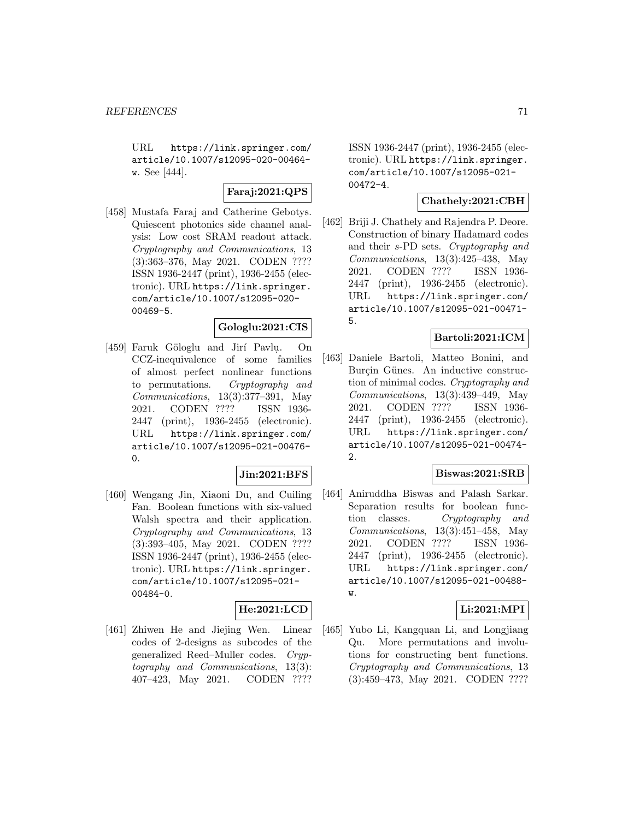URL https://link.springer.com/ article/10.1007/s12095-020-00464 w. See [444].

### **Faraj:2021:QPS**

[458] Mustafa Faraj and Catherine Gebotys. Quiescent photonics side channel analysis: Low cost SRAM readout attack. Cryptography and Communications, 13 (3):363–376, May 2021. CODEN ???? ISSN 1936-2447 (print), 1936-2455 (electronic). URL https://link.springer. com/article/10.1007/s12095-020- 00469-5.

### **Gologlu:2021:CIS**

[459] Faruk Göloglu and Jirí Pavlu. On CCZ-inequivalence of some families of almost perfect nonlinear functions to permutations. Cryptography and Communications, 13(3):377–391, May 2021. CODEN ???? ISSN 1936- 2447 (print), 1936-2455 (electronic). URL https://link.springer.com/ article/10.1007/s12095-021-00476- 0.

#### **Jin:2021:BFS**

[460] Wengang Jin, Xiaoni Du, and Cuiling Fan. Boolean functions with six-valued Walsh spectra and their application. Cryptography and Communications, 13 (3):393–405, May 2021. CODEN ???? ISSN 1936-2447 (print), 1936-2455 (electronic). URL https://link.springer. com/article/10.1007/s12095-021- 00484-0.

#### **He:2021:LCD**

[461] Zhiwen He and Jiejing Wen. Linear codes of 2-designs as subcodes of the generalized Reed–Muller codes. Cryptography and Communications, 13(3): 407–423, May 2021. CODEN ????

ISSN 1936-2447 (print), 1936-2455 (electronic). URL https://link.springer. com/article/10.1007/s12095-021- 00472-4.

#### **Chathely:2021:CBH**

[462] Briji J. Chathely and Rajendra P. Deore. Construction of binary Hadamard codes and their s-PD sets. Cryptography and Communications, 13(3):425–438, May 2021. CODEN ???? ISSN 1936- 2447 (print), 1936-2455 (electronic). URL https://link.springer.com/ article/10.1007/s12095-021-00471- 5.

### **Bartoli:2021:ICM**

[463] Daniele Bartoli, Matteo Bonini, and Burçin Günes. An inductive construction of minimal codes. Cryptography and Communications, 13(3):439–449, May 2021. CODEN ???? ISSN 1936- 2447 (print), 1936-2455 (electronic). URL https://link.springer.com/ article/10.1007/s12095-021-00474-  $\mathcal{P}$ 

### **Biswas:2021:SRB**

[464] Aniruddha Biswas and Palash Sarkar. Separation results for boolean function classes. Cryptography and Communications, 13(3):451–458, May 2021. CODEN ???? ISSN 1936- 2447 (print), 1936-2455 (electronic). URL https://link.springer.com/ article/10.1007/s12095-021-00488 w.

## **Li:2021:MPI**

[465] Yubo Li, Kangquan Li, and Longjiang Qu. More permutations and involutions for constructing bent functions. Cryptography and Communications, 13 (3):459–473, May 2021. CODEN ????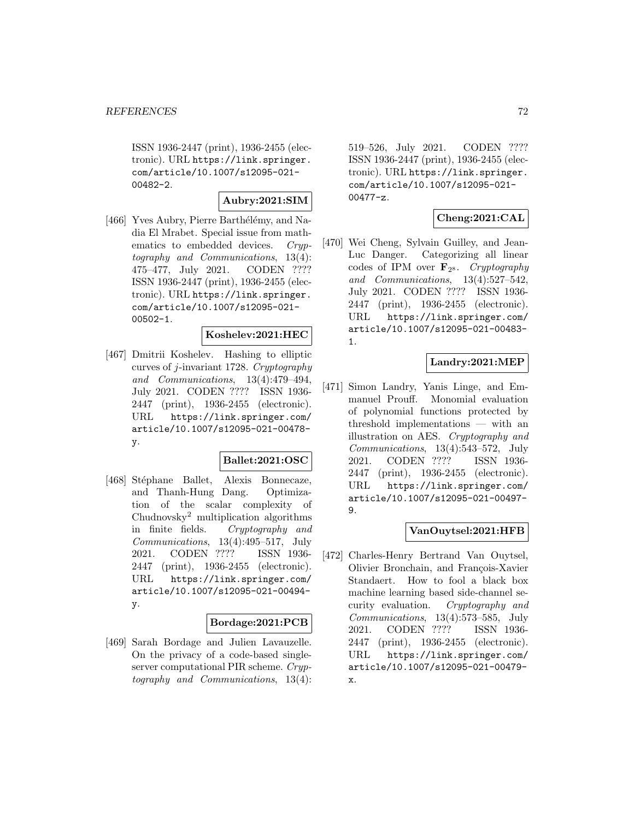ISSN 1936-2447 (print), 1936-2455 (electronic). URL https://link.springer. com/article/10.1007/s12095-021- 00482-2.

#### **Aubry:2021:SIM**

[466] Yves Aubry, Pierre Barthélémy, and Nadia El Mrabet. Special issue from mathematics to embedded devices. Cryptography and Communications, 13(4): 475–477, July 2021. CODEN ???? ISSN 1936-2447 (print), 1936-2455 (electronic). URL https://link.springer. com/article/10.1007/s12095-021- 00502-1.

#### **Koshelev:2021:HEC**

[467] Dmitrii Koshelev. Hashing to elliptic curves of  $i$ -invariant 1728. Cryptography and Communications, 13(4):479–494, July 2021. CODEN ???? ISSN 1936- 2447 (print), 1936-2455 (electronic). URL https://link.springer.com/ article/10.1007/s12095-021-00478 y.

#### **Ballet:2021:OSC**

[468] Stéphane Ballet, Alexis Bonnecaze, and Thanh-Hung Dang. Optimization of the scalar complexity of Chudnovsky<sup>2</sup> multiplication algorithms in finite fields. Cryptography and Communications, 13(4):495–517, July 2021. CODEN ???? ISSN 1936- 2447 (print), 1936-2455 (electronic). URL https://link.springer.com/ article/10.1007/s12095-021-00494 y.

#### **Bordage:2021:PCB**

[469] Sarah Bordage and Julien Lavauzelle. On the privacy of a code-based singleserver computational PIR scheme. Cryptography and Communications, 13(4): 519–526, July 2021. CODEN ???? ISSN 1936-2447 (print), 1936-2455 (electronic). URL https://link.springer. com/article/10.1007/s12095-021- 00477-z.

#### **Cheng:2021:CAL**

[470] Wei Cheng, Sylvain Guilley, and Jean-Luc Danger. Categorizing all linear codes of IPM over  $\mathbf{F}_{2^8}$ . Cryptography and Communications, 13(4):527–542, July 2021. CODEN ???? ISSN 1936- 2447 (print), 1936-2455 (electronic). URL https://link.springer.com/ article/10.1007/s12095-021-00483- 1.

### **Landry:2021:MEP**

[471] Simon Landry, Yanis Linge, and Emmanuel Prouff. Monomial evaluation of polynomial functions protected by threshold implementations — with an illustration on AES. Cryptography and Communications, 13(4):543–572, July 2021. CODEN ???? ISSN 1936- 2447 (print), 1936-2455 (electronic). URL https://link.springer.com/ article/10.1007/s12095-021-00497- 9.

#### **VanOuytsel:2021:HFB**

[472] Charles-Henry Bertrand Van Ouytsel, Olivier Bronchain, and François-Xavier Standaert. How to fool a black box machine learning based side-channel security evaluation. Cryptography and Communications, 13(4):573–585, July 2021. CODEN ???? ISSN 1936- 2447 (print), 1936-2455 (electronic). URL https://link.springer.com/ article/10.1007/s12095-021-00479 x.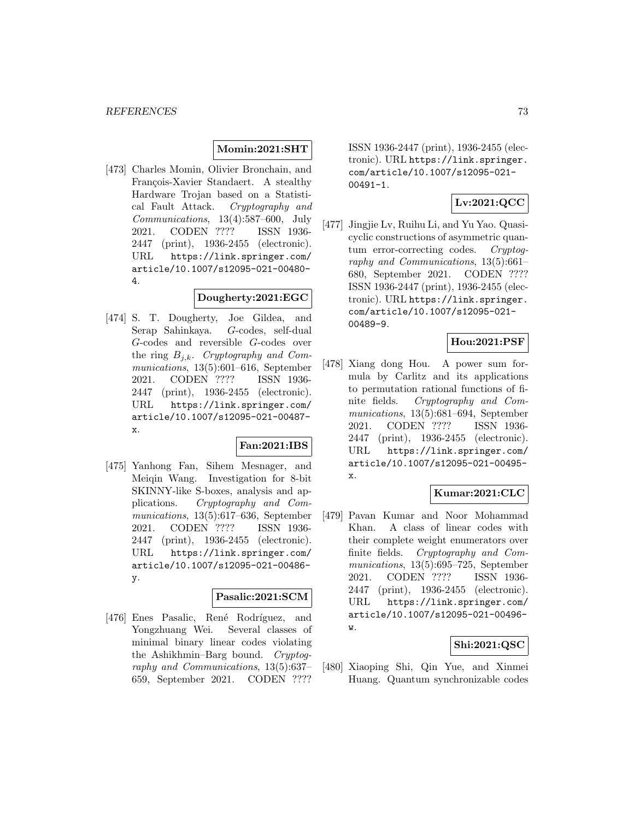## **Momin:2021:SHT**

[473] Charles Momin, Olivier Bronchain, and François-Xavier Standaert. A stealthy Hardware Trojan based on a Statistical Fault Attack. Cryptography and Communications, 13(4):587–600, July 2021. CODEN ???? ISSN 1936- 2447 (print), 1936-2455 (electronic). URL https://link.springer.com/ article/10.1007/s12095-021-00480- 4.

### **Dougherty:2021:EGC**

[474] S. T. Dougherty, Joe Gildea, and Serap Sahinkaya. G-codes, self-dual G-codes and reversible G-codes over the ring  $B_{j,k}$ . Cryptography and Communications, 13(5):601–616, September 2021. CODEN ???? ISSN 1936- 2447 (print), 1936-2455 (electronic). URL https://link.springer.com/ article/10.1007/s12095-021-00487 x.

## **Fan:2021:IBS**

[475] Yanhong Fan, Sihem Mesnager, and Meiqin Wang. Investigation for 8-bit SKINNY-like S-boxes, analysis and applications. Cryptography and Communications, 13(5):617–636, September 2021. CODEN ???? ISSN 1936- 2447 (print), 1936-2455 (electronic). URL https://link.springer.com/ article/10.1007/s12095-021-00486 y.

## **Pasalic:2021:SCM**

[476] Enes Pasalic, René Rodríguez, and Yongzhuang Wei. Several classes of minimal binary linear codes violating the Ashikhmin–Barg bound. Cryptography and Communications, 13(5):637– 659, September 2021. CODEN ????

ISSN 1936-2447 (print), 1936-2455 (electronic). URL https://link.springer. com/article/10.1007/s12095-021- 00491-1.

## **Lv:2021:QCC**

[477] Jingjie Lv, Ruihu Li, and Yu Yao. Quasicyclic constructions of asymmetric quantum error-correcting codes. Cryptography and Communications, 13(5):661– 680, September 2021. CODEN ???? ISSN 1936-2447 (print), 1936-2455 (electronic). URL https://link.springer. com/article/10.1007/s12095-021- 00489-9.

# **Hou:2021:PSF**

[478] Xiang dong Hou. A power sum formula by Carlitz and its applications to permutation rational functions of finite fields. Cryptography and Communications, 13(5):681–694, September 2021. CODEN ???? ISSN 1936- 2447 (print), 1936-2455 (electronic). URL https://link.springer.com/ article/10.1007/s12095-021-00495 x.

# **Kumar:2021:CLC**

[479] Pavan Kumar and Noor Mohammad Khan. A class of linear codes with their complete weight enumerators over finite fields. Cryptography and Communications, 13(5):695–725, September 2021. CODEN ???? ISSN 1936- 2447 (print), 1936-2455 (electronic). URL https://link.springer.com/ article/10.1007/s12095-021-00496 w.

## **Shi:2021:QSC**

[480] Xiaoping Shi, Qin Yue, and Xinmei Huang. Quantum synchronizable codes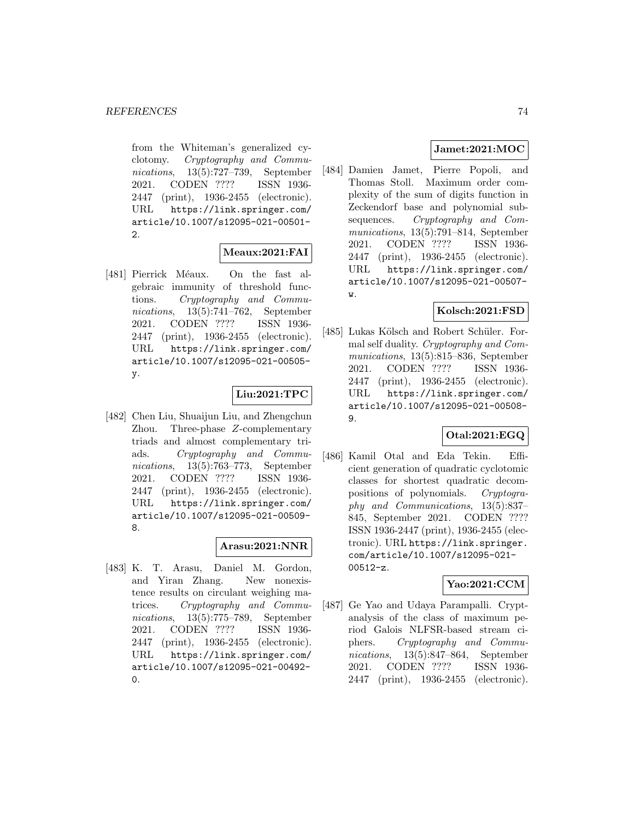from the Whiteman's generalized cyclotomy. Cryptography and Communications, 13(5):727–739, September 2021. CODEN ???? ISSN 1936- 2447 (print), 1936-2455 (electronic). URL https://link.springer.com/ article/10.1007/s12095-021-00501- 2.

## **Meaux:2021:FAI**

[481] Pierrick Méaux. On the fast algebraic immunity of threshold functions. Cryptography and Communications, 13(5):741–762, September 2021. CODEN ???? ISSN 1936- 2447 (print), 1936-2455 (electronic). URL https://link.springer.com/ article/10.1007/s12095-021-00505 y.

# **Liu:2021:TPC**

[482] Chen Liu, Shuaijun Liu, and Zhengchun Zhou. Three-phase Z-complementary triads and almost complementary triads. Cryptography and Communications, 13(5):763–773, September 2021. CODEN ???? ISSN 1936- 2447 (print), 1936-2455 (electronic). URL https://link.springer.com/ article/10.1007/s12095-021-00509- 8.

## **Arasu:2021:NNR**

[483] K. T. Arasu, Daniel M. Gordon, and Yiran Zhang. New nonexistence results on circulant weighing matrices. Cryptography and Communications, 13(5):775–789, September 2021. CODEN ???? ISSN 1936- 2447 (print), 1936-2455 (electronic). URL https://link.springer.com/ article/10.1007/s12095-021-00492- 0.

# **Jamet:2021:MOC**

[484] Damien Jamet, Pierre Popoli, and Thomas Stoll. Maximum order complexity of the sum of digits function in Zeckendorf base and polynomial subsequences. Cryptography and Communications, 13(5):791–814, September 2021. CODEN ???? ISSN 1936- 2447 (print), 1936-2455 (electronic). URL https://link.springer.com/ article/10.1007/s12095-021-00507 w.

# **Kolsch:2021:FSD**

[485] Lukas Kölsch and Robert Schüler. Formal self duality. Cryptography and Communications, 13(5):815–836, September 2021. CODEN ???? ISSN 1936- 2447 (print), 1936-2455 (electronic). URL https://link.springer.com/ article/10.1007/s12095-021-00508- 9.

# **Otal:2021:EGQ**

[486] Kamil Otal and Eda Tekin. Efficient generation of quadratic cyclotomic classes for shortest quadratic decompositions of polynomials. Cryptography and Communications, 13(5):837– 845, September 2021. CODEN ???? ISSN 1936-2447 (print), 1936-2455 (electronic). URL https://link.springer. com/article/10.1007/s12095-021- 00512-z.

## **Yao:2021:CCM**

[487] Ge Yao and Udaya Parampalli. Cryptanalysis of the class of maximum period Galois NLFSR-based stream ciphers. Cryptography and Communications, 13(5):847–864, September 2021. CODEN ???? ISSN 1936- 2447 (print), 1936-2455 (electronic).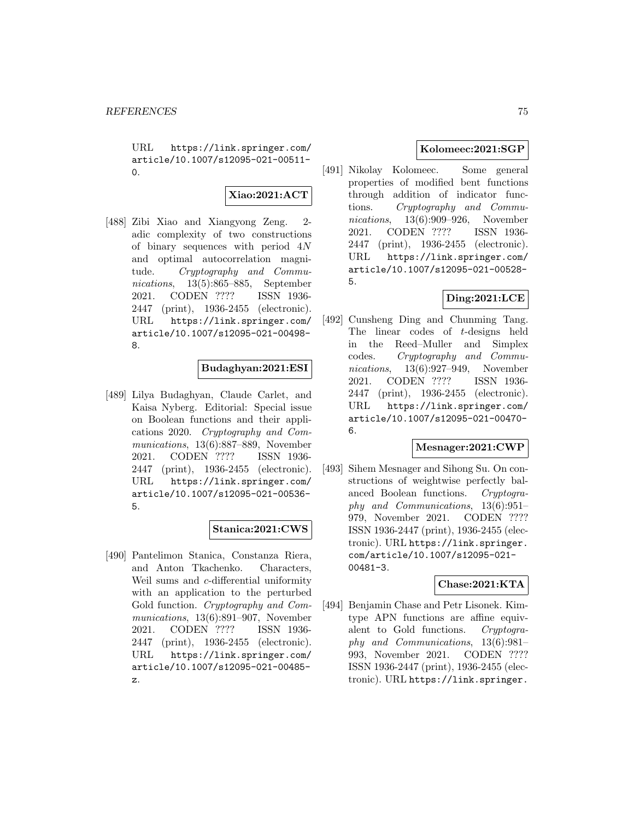URL https://link.springer.com/ article/10.1007/s12095-021-00511-  $\Omega$ 

**Xiao:2021:ACT**

[488] Zibi Xiao and Xiangyong Zeng. 2 adic complexity of two constructions of binary sequences with period 4N and optimal autocorrelation magnitude. Cryptography and Communications, 13(5):865–885, September 2021. CODEN ???? ISSN 1936- 2447 (print), 1936-2455 (electronic). URL https://link.springer.com/ article/10.1007/s12095-021-00498- 8.

## **Budaghyan:2021:ESI**

[489] Lilya Budaghyan, Claude Carlet, and Kaisa Nyberg. Editorial: Special issue on Boolean functions and their applications 2020. Cryptography and Communications, 13(6):887–889, November 2021. CODEN ???? ISSN 1936- 2447 (print), 1936-2455 (electronic). URL https://link.springer.com/ article/10.1007/s12095-021-00536- 5.

# **Stanica:2021:CWS**

[490] Pantelimon Stanica, Constanza Riera, and Anton Tkachenko. Characters, Weil sums and c-differential uniformity with an application to the perturbed Gold function. Cryptography and Communications, 13(6):891–907, November 2021. CODEN ???? ISSN 1936- 2447 (print), 1936-2455 (electronic). URL https://link.springer.com/ article/10.1007/s12095-021-00485 z.

# **Kolomeec:2021:SGP**

[491] Nikolay Kolomeec. Some general properties of modified bent functions through addition of indicator functions. Cryptography and Communications, 13(6):909–926, November 2021. CODEN ???? ISSN 1936- 2447 (print), 1936-2455 (electronic). URL https://link.springer.com/ article/10.1007/s12095-021-00528- 5.

# **Ding:2021:LCE**

[492] Cunsheng Ding and Chunming Tang. The linear codes of t-designs held in the Reed–Muller and Simplex codes. Cryptography and Communications, 13(6):927–949, November 2021. CODEN ???? ISSN 1936- 2447 (print), 1936-2455 (electronic). URL https://link.springer.com/ article/10.1007/s12095-021-00470- 6.

## **Mesnager:2021:CWP**

[493] Sihem Mesnager and Sihong Su. On constructions of weightwise perfectly balanced Boolean functions. Cryptography and Communications, 13(6):951– 979, November 2021. CODEN ???? ISSN 1936-2447 (print), 1936-2455 (electronic). URL https://link.springer. com/article/10.1007/s12095-021- 00481-3.

## **Chase:2021:KTA**

[494] Benjamin Chase and Petr Lisonek. Kimtype APN functions are affine equivalent to Gold functions. Cryptography and Communications, 13(6):981– 993, November 2021. CODEN ???? ISSN 1936-2447 (print), 1936-2455 (electronic). URL https://link.springer.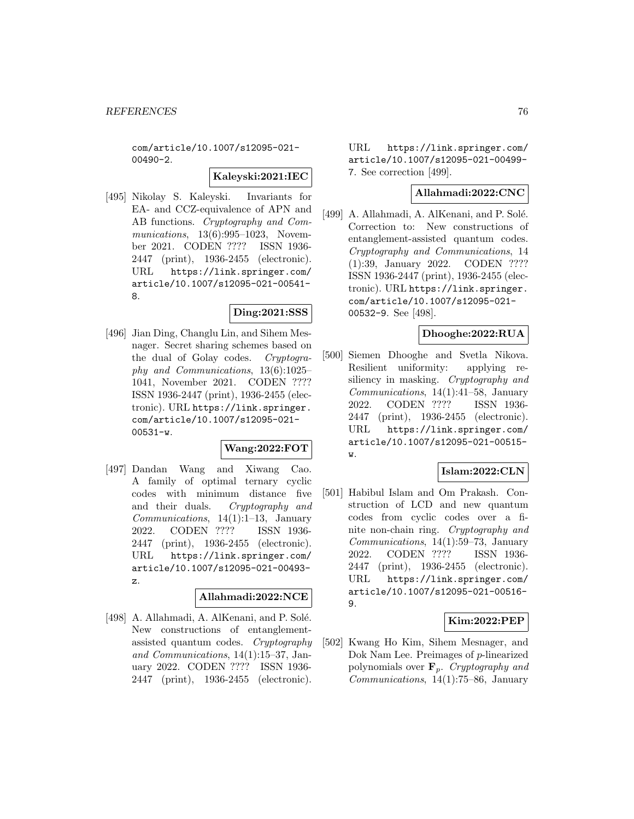com/article/10.1007/s12095-021- 00490-2.

## **Kaleyski:2021:IEC**

[495] Nikolay S. Kaleyski. Invariants for EA- and CCZ-equivalence of APN and AB functions. Cryptography and Communications, 13(6):995-1023, November 2021. CODEN ???? ISSN 1936- 2447 (print), 1936-2455 (electronic). URL https://link.springer.com/ article/10.1007/s12095-021-00541- 8.

## **Ding:2021:SSS**

[496] Jian Ding, Changlu Lin, and Sihem Mesnager. Secret sharing schemes based on the dual of Golay codes. Cryptography and Communications, 13(6):1025– 1041, November 2021. CODEN ???? ISSN 1936-2447 (print), 1936-2455 (electronic). URL https://link.springer. com/article/10.1007/s12095-021-  $00531 - w$ .

#### **Wang:2022:FOT**

[497] Dandan Wang and Xiwang Cao. A family of optimal ternary cyclic codes with minimum distance five and their duals. Cryptography and Communications, 14(1):1–13, January 2022. CODEN ???? ISSN 1936- 2447 (print), 1936-2455 (electronic). URL https://link.springer.com/ article/10.1007/s12095-021-00493 z.

# **Allahmadi:2022:NCE**

[498] A. Allahmadi, A. AlKenani, and P. Solé. New constructions of entanglementassisted quantum codes. Cryptography and Communications, 14(1):15–37, January 2022. CODEN ???? ISSN 1936- 2447 (print), 1936-2455 (electronic).

URL https://link.springer.com/ article/10.1007/s12095-021-00499- 7. See correction [499].

#### **Allahmadi:2022:CNC**

[499] A. Allahmadi, A. AlKenani, and P. Solé. Correction to: New constructions of entanglement-assisted quantum codes. Cryptography and Communications, 14 (1):39, January 2022. CODEN ???? ISSN 1936-2447 (print), 1936-2455 (electronic). URL https://link.springer. com/article/10.1007/s12095-021- 00532-9. See [498].

#### **Dhooghe:2022:RUA**

[500] Siemen Dhooghe and Svetla Nikova. Resilient uniformity: applying resiliency in masking. Cryptography and Communications, 14(1):41–58, January 2022. CODEN ???? ISSN 1936- 2447 (print), 1936-2455 (electronic). URL https://link.springer.com/ article/10.1007/s12095-021-00515 w.

# **Islam:2022:CLN**

[501] Habibul Islam and Om Prakash. Construction of LCD and new quantum codes from cyclic codes over a finite non-chain ring. Cryptography and Communications, 14(1):59–73, January 2022. CODEN ???? ISSN 1936- 2447 (print), 1936-2455 (electronic). URL https://link.springer.com/ article/10.1007/s12095-021-00516- 9.

# **Kim:2022:PEP**

[502] Kwang Ho Kim, Sihem Mesnager, and Dok Nam Lee. Preimages of p-linearized polynomials over  $\mathbf{F}_p$ . Cryptography and Communications, 14(1):75–86, January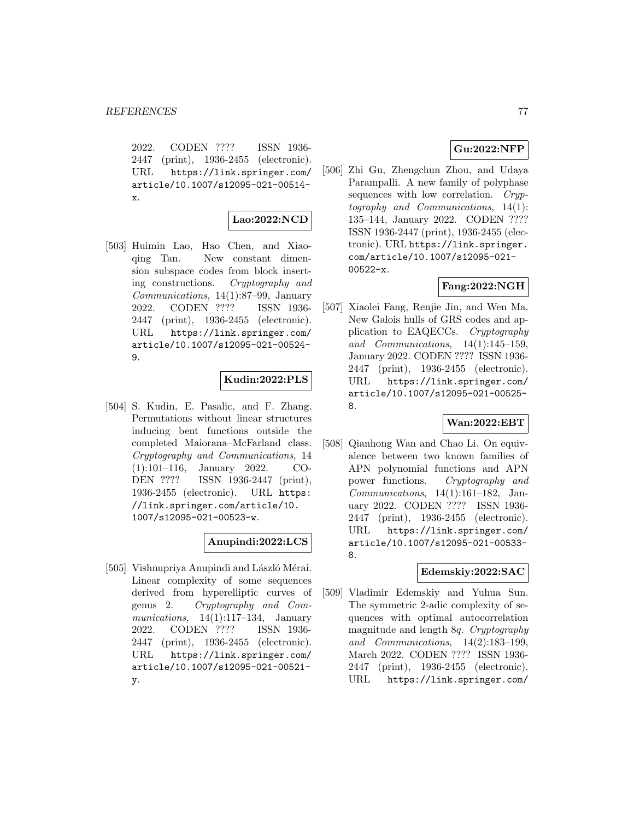2022. CODEN ???? ISSN 1936- 2447 (print), 1936-2455 (electronic). URL https://link.springer.com/ article/10.1007/s12095-021-00514 x.

#### **Lao:2022:NCD**

[503] Huimin Lao, Hao Chen, and Xiaoqing Tan. New constant dimension subspace codes from block inserting constructions. Cryptography and Communications, 14(1):87–99, January 2022. CODEN ???? ISSN 1936- 2447 (print), 1936-2455 (electronic). URL https://link.springer.com/ article/10.1007/s12095-021-00524- 9.

# **Kudin:2022:PLS**

[504] S. Kudin, E. Pasalic, and F. Zhang. Permutations without linear structures inducing bent functions outside the completed Maiorana–McFarland class. Cryptography and Communications, 14 (1):101–116, January 2022. CO-DEN ???? ISSN 1936-2447 (print), 1936-2455 (electronic). URL https: //link.springer.com/article/10. 1007/s12095-021-00523-w.

# **Anupindi:2022:LCS**

[505] Vishnupriya Anupindi and László Mérai. Linear complexity of some sequences derived from hyperelliptic curves of genus 2. Cryptography and Communications,  $14(1):117-134$ , January 2022. CODEN ???? ISSN 1936- 2447 (print), 1936-2455 (electronic). URL https://link.springer.com/ article/10.1007/s12095-021-00521 y.

# **Gu:2022:NFP**

[506] Zhi Gu, Zhengchun Zhou, and Udaya Parampalli. A new family of polyphase sequences with low correlation. Cryptography and Communications, 14(1): 135–144, January 2022. CODEN ???? ISSN 1936-2447 (print), 1936-2455 (electronic). URL https://link.springer. com/article/10.1007/s12095-021-  $00522-x.$ 

# **Fang:2022:NGH**

[507] Xiaolei Fang, Renjie Jin, and Wen Ma. New Galois hulls of GRS codes and application to EAQECCs. Cryptography and Communications, 14(1):145–159, January 2022. CODEN ???? ISSN 1936- 2447 (print), 1936-2455 (electronic). URL https://link.springer.com/ article/10.1007/s12095-021-00525- 8.

# **Wan:2022:EBT**

[508] Qianhong Wan and Chao Li. On equivalence between two known families of APN polynomial functions and APN power functions. Cryptography and Communications, 14(1):161–182, January 2022. CODEN ???? ISSN 1936- 2447 (print), 1936-2455 (electronic). URL https://link.springer.com/ article/10.1007/s12095-021-00533- 8.

## **Edemskiy:2022:SAC**

[509] Vladimir Edemskiy and Yuhua Sun. The symmetric 2-adic complexity of sequences with optimal autocorrelation magnitude and length 8q. Cryptography and Communications, 14(2):183–199, March 2022. CODEN ???? ISSN 1936- 2447 (print), 1936-2455 (electronic). URL https://link.springer.com/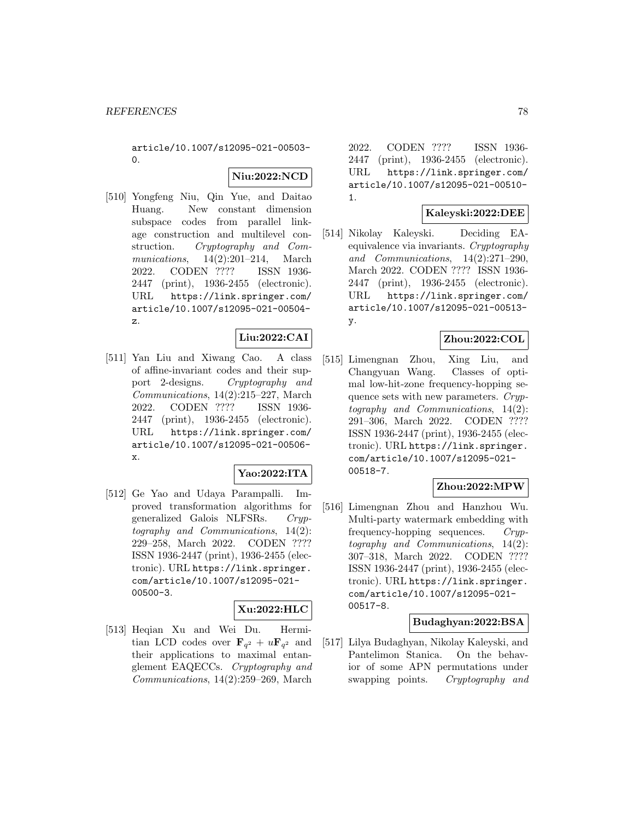article/10.1007/s12095-021-00503- 0.

# **Niu:2022:NCD**

[510] Yongfeng Niu, Qin Yue, and Daitao Huang. New constant dimension subspace codes from parallel linkage construction and multilevel construction. Cryptography and Communications, 14(2):201–214, March<br>2022. CODEN ???? ISSN 1936-2022. CODEN ???? 2447 (print), 1936-2455 (electronic). URL https://link.springer.com/ article/10.1007/s12095-021-00504 z.

## **Liu:2022:CAI**

[511] Yan Liu and Xiwang Cao. A class of affine-invariant codes and their support 2-designs. Cryptography and Communications, 14(2):215–227, March 2022. CODEN ???? ISSN 1936- 2447 (print), 1936-2455 (electronic). URL https://link.springer.com/ article/10.1007/s12095-021-00506 x.

## **Yao:2022:ITA**

[512] Ge Yao and Udaya Parampalli. Improved transformation algorithms for generalized Galois NLFSRs. Cryptography and Communications, 14(2): 229–258, March 2022. CODEN ???? ISSN 1936-2447 (print), 1936-2455 (electronic). URL https://link.springer. com/article/10.1007/s12095-021- 00500-3.

## **Xu:2022:HLC**

[513] Heqian Xu and Wei Du. Hermitian LCD codes over  $\mathbf{F}_{q^2} + u\mathbf{F}_{q^2}$  and their applications to maximal entanglement EAQECCs. Cryptography and Communications, 14(2):259–269, March

2022. CODEN ???? ISSN 1936- 2447 (print), 1936-2455 (electronic). URL https://link.springer.com/ article/10.1007/s12095-021-00510- 1.

### **Kaleyski:2022:DEE**

[514] Nikolay Kaleyski. Deciding EAequivalence via invariants. Cryptography and Communications, 14(2):271–290, March 2022. CODEN ???? ISSN 1936- 2447 (print), 1936-2455 (electronic). URL https://link.springer.com/ article/10.1007/s12095-021-00513 y.

## **Zhou:2022:COL**

[515] Limengnan Zhou, Xing Liu, and Changyuan Wang. Classes of optimal low-hit-zone frequency-hopping sequence sets with new parameters. Cryptography and Communications, 14(2): 291–306, March 2022. CODEN ???? ISSN 1936-2447 (print), 1936-2455 (electronic). URL https://link.springer. com/article/10.1007/s12095-021- 00518-7.

## **Zhou:2022:MPW**

[516] Limengnan Zhou and Hanzhou Wu. Multi-party watermark embedding with frequency-hopping sequences. Cryptography and Communications, 14(2): 307–318, March 2022. CODEN ???? ISSN 1936-2447 (print), 1936-2455 (electronic). URL https://link.springer. com/article/10.1007/s12095-021- 00517-8.

#### **Budaghyan:2022:BSA**

[517] Lilya Budaghyan, Nikolay Kaleyski, and Pantelimon Stanica. On the behavior of some APN permutations under swapping points. Cryptography and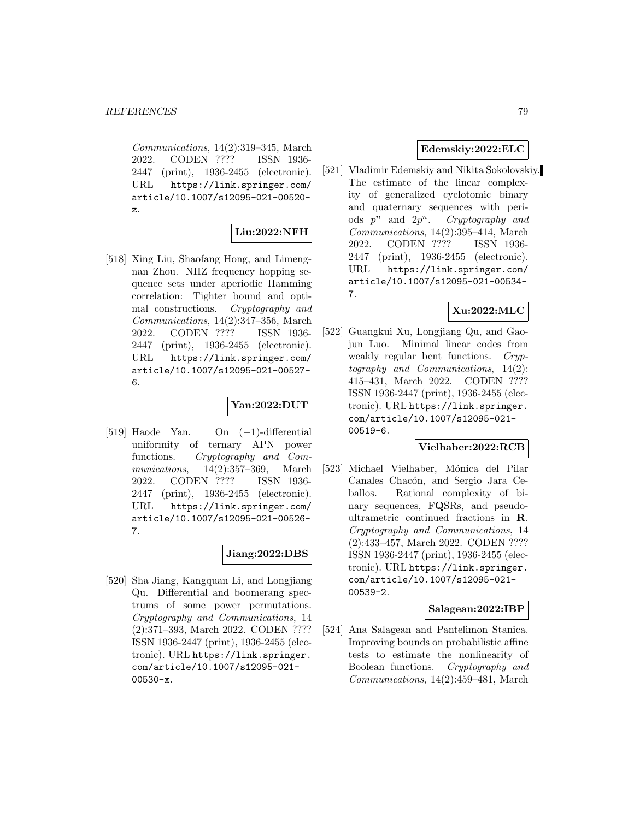Communications, 14(2):319–345, March 2022. CODEN ???? ISSN 1936- 2447 (print), 1936-2455 (electronic). URL https://link.springer.com/ article/10.1007/s12095-021-00520 z.

# **Liu:2022:NFH**

[518] Xing Liu, Shaofang Hong, and Limengnan Zhou. NHZ frequency hopping sequence sets under aperiodic Hamming correlation: Tighter bound and optimal constructions. Cryptography and Communications, 14(2):347–356, March 2022. CODEN ???? ISSN 1936- 2447 (print), 1936-2455 (electronic). URL https://link.springer.com/ article/10.1007/s12095-021-00527- 6.

## **Yan:2022:DUT**

[519] Haode Yan. On (−1)-differential ternary APN power functions. Cryptography and Communications, 14(2):357–369, March 2022. CODEN ???? ISSN 1936- 2447 (print), 1936-2455 (electronic). URL https://link.springer.com/ article/10.1007/s12095-021-00526- 7.

## **Jiang:2022:DBS**

[520] Sha Jiang, Kangquan Li, and Longjiang Qu. Differential and boomerang spectrums of some power permutations. Cryptography and Communications, 14 (2):371–393, March 2022. CODEN ???? ISSN 1936-2447 (print), 1936-2455 (electronic). URL https://link.springer. com/article/10.1007/s12095-021- 00530-x.

# **Edemskiy:2022:ELC**

[521] Vladimir Edemskiy and Nikita Sokolovskiy. The estimate of the linear complexity of generalized cyclotomic binary and quaternary sequences with periods  $p^n$  and  $2p^n$ . Cryptography and Communications, 14(2):395–414, March 2022. CODEN ???? ISSN 1936- 2447 (print), 1936-2455 (electronic). URL https://link.springer.com/ article/10.1007/s12095-021-00534- 7.

# **Xu:2022:MLC**

[522] Guangkui Xu, Longjiang Qu, and Gaojun Luo. Minimal linear codes from weakly regular bent functions. Cryptography and Communications, 14(2): 415–431, March 2022. CODEN ???? ISSN 1936-2447 (print), 1936-2455 (electronic). URL https://link.springer. com/article/10.1007/s12095-021- 00519-6.

#### **Vielhaber:2022:RCB**

[523] Michael Vielhaber, Mónica del Pilar Canales Chacón, and Sergio Jara Ceballos. Rational complexity of binary sequences, F**Q**SRs, and pseudoultrametric continued fractions in **R**. Cryptography and Communications, 14 (2):433–457, March 2022. CODEN ???? ISSN 1936-2447 (print), 1936-2455 (electronic). URL https://link.springer. com/article/10.1007/s12095-021- 00539-2.

## **Salagean:2022:IBP**

[524] Ana Salagean and Pantelimon Stanica. Improving bounds on probabilistic affine tests to estimate the nonlinearity of Boolean functions. Cryptography and Communications, 14(2):459–481, March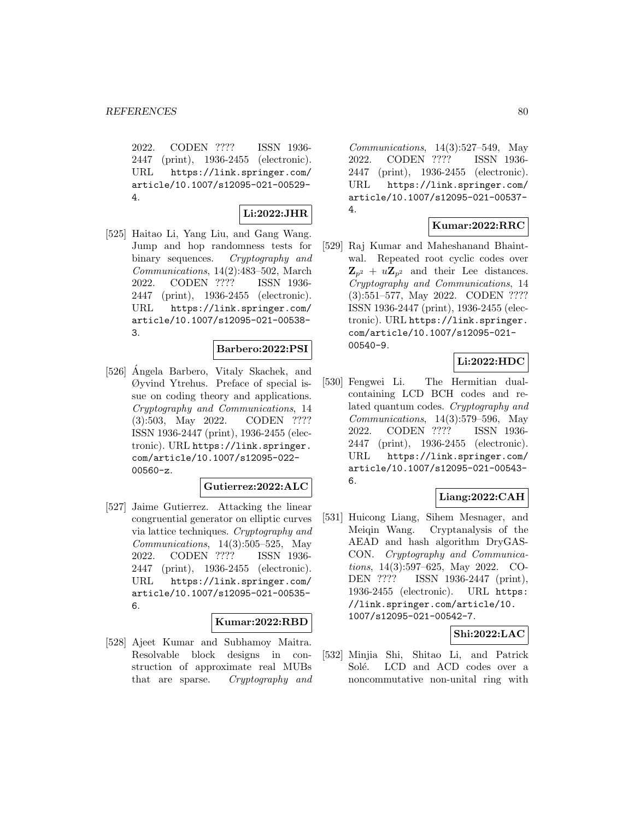2022. CODEN ???? ISSN 1936- 2447 (print), 1936-2455 (electronic). URL https://link.springer.com/ article/10.1007/s12095-021-00529- 4.

# **Li:2022:JHR**

[525] Haitao Li, Yang Liu, and Gang Wang. Jump and hop randomness tests for binary sequences. Cryptography and Communications, 14(2):483–502, March 2022. CODEN ???? ISSN 1936- 2447 (print), 1936-2455 (electronic). URL https://link.springer.com/ article/10.1007/s12095-021-00538- 3.

#### **Barbero:2022:PSI**

[526] Angela Barbero, Vitaly Skachek, and ´ Øyvind Ytrehus. Preface of special issue on coding theory and applications. Cryptography and Communications, 14 (3):503, May 2022. CODEN ???? ISSN 1936-2447 (print), 1936-2455 (electronic). URL https://link.springer. com/article/10.1007/s12095-022- 00560-z.

## **Gutierrez:2022:ALC**

[527] Jaime Gutierrez. Attacking the linear congruential generator on elliptic curves via lattice techniques. Cryptography and Communications, 14(3):505–525, May 2022. CODEN ???? ISSN 1936- 2447 (print), 1936-2455 (electronic). URL https://link.springer.com/ article/10.1007/s12095-021-00535- 6.

#### **Kumar:2022:RBD**

[528] Ajeet Kumar and Subhamoy Maitra. Resolvable block designs in construction of approximate real MUBs that are sparse. Cryptography and Communications, 14(3):527–549, May 2022. CODEN ???? ISSN 1936- 2447 (print), 1936-2455 (electronic). URL https://link.springer.com/ article/10.1007/s12095-021-00537- 4.

# **Kumar:2022:RRC**

[529] Raj Kumar and Maheshanand Bhaintwal. Repeated root cyclic codes over  $\mathbf{Z}_{p^2} + u\mathbf{Z}_{p^2}$  and their Lee distances. Cryptography and Communications, 14 (3):551–577, May 2022. CODEN ???? ISSN 1936-2447 (print), 1936-2455 (electronic). URL https://link.springer. com/article/10.1007/s12095-021- 00540-9.

# **Li:2022:HDC**

[530] Fengwei Li. The Hermitian dualcontaining LCD BCH codes and related quantum codes. Cryptography and Communications, 14(3):579–596, May 2022. CODEN ???? ISSN 1936- 2447 (print), 1936-2455 (electronic). URL https://link.springer.com/ article/10.1007/s12095-021-00543- 6.

## **Liang:2022:CAH**

[531] Huicong Liang, Sihem Mesnager, and Meiqin Wang. Cryptanalysis of the AEAD and hash algorithm DryGAS-CON. Cryptography and Communications, 14(3):597–625, May 2022. CO-DEN ???? ISSN 1936-2447 (print), 1936-2455 (electronic). URL https: //link.springer.com/article/10. 1007/s12095-021-00542-7.

## **Shi:2022:LAC**

[532] Minjia Shi, Shitao Li, and Patrick Solé. LCD and ACD codes over a noncommutative non-unital ring with